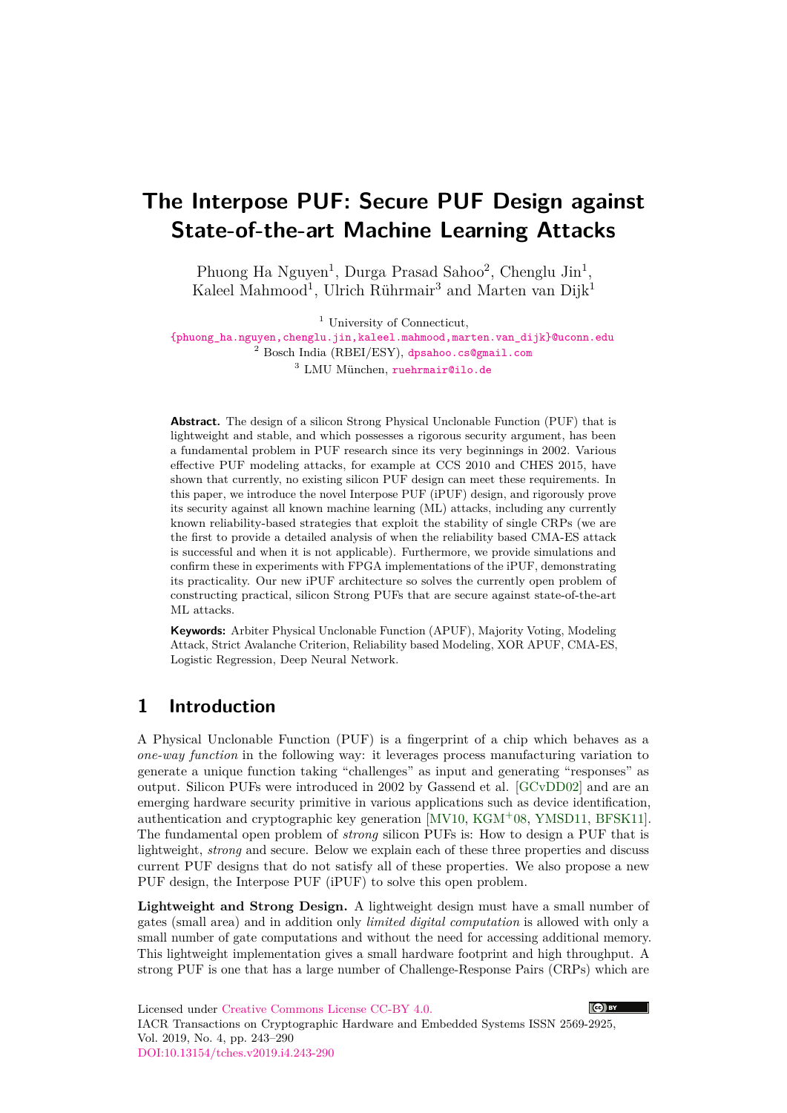# **The Interpose PUF: Secure PUF Design against State-of-the-art Machine Learning Attacks**

Phuong Ha Nguyen<sup>1</sup>, Durga Prasad Sahoo<sup>2</sup>, Chenglu Jin<sup>1</sup>, Kaleel Mahmood<sup>1</sup>, Ulrich Rührmair<sup>3</sup> and Marten van Dijk<sup>1</sup>

<sup>1</sup> University of Connecticut,

[{phuong\\_ha.nguyen,chenglu.jin,kaleel.mahmood,marten.van\\_dijk}@uconn.edu](mailto:phuong_ha.nguyen@uconn.edu,chenglu.jin@uconn.edu,kaleel.mahmood@uconn.edu,marten.van_dijk@uconn.edu) <sup>2</sup> Bosch India (RBEI/ESY), [dpsahoo.cs@gmail.com](mailto:dpsahoo.cs@gmail.com) <sup>3</sup> LMU München, [ruehrmair@ilo.de](mailto:ruehrmair@ilo.de)

**Abstract.** The design of a silicon Strong Physical Unclonable Function (PUF) that is lightweight and stable, and which possesses a rigorous security argument, has been a fundamental problem in PUF research since its very beginnings in 2002. Various effective PUF modeling attacks, for example at CCS 2010 and CHES 2015, have shown that currently, no existing silicon PUF design can meet these requirements. In this paper, we introduce the novel Interpose PUF (iPUF) design, and rigorously prove its security against all known machine learning (ML) attacks, including any currently known reliability-based strategies that exploit the stability of single CRPs (we are the first to provide a detailed analysis of when the reliability based CMA-ES attack is successful and when it is not applicable). Furthermore, we provide simulations and confirm these in experiments with FPGA implementations of the iPUF, demonstrating its practicality. Our new iPUF architecture so solves the currently open problem of constructing practical, silicon Strong PUFs that are secure against state-of-the-art ML attacks.

**Keywords:** Arbiter Physical Unclonable Function (APUF), Majority Voting, Modeling Attack, Strict Avalanche Criterion, Reliability based Modeling, XOR APUF, CMA-ES, Logistic Regression, Deep Neural Network.

## **1 Introduction**

A Physical Unclonable Function (PUF) is a fingerprint of a chip which behaves as a *one-way function* in the following way: it leverages process manufacturing variation to generate a unique function taking "challenges" as input and generating "responses" as output. Silicon PUFs were introduced in 2002 by Gassend et al. [\[GCvDD02\]](#page-44-0) and are an emerging hardware security primitive in various applications such as device identification, authentication and cryptographic key generation [\[MV10,](#page-46-0) [KGM](#page-45-0)<sup>+</sup>08, [YMSD11,](#page-47-0) [BFSK11\]](#page-44-1). The fundamental open problem of *strong* silicon PUFs is: How to design a PUF that is lightweight, *strong* and secure. Below we explain each of these three properties and discuss current PUF designs that do not satisfy all of these properties. We also propose a new PUF design, the Interpose PUF (iPUF) to solve this open problem.

**Lightweight and Strong Design.** A lightweight design must have a small number of gates (small area) and in addition only *limited digital computation* is allowed with only a small number of gate computations and without the need for accessing additional memory. This lightweight implementation gives a small hardware footprint and high throughput. A strong PUF is one that has a large number of Challenge-Response Pairs (CRPs) which are

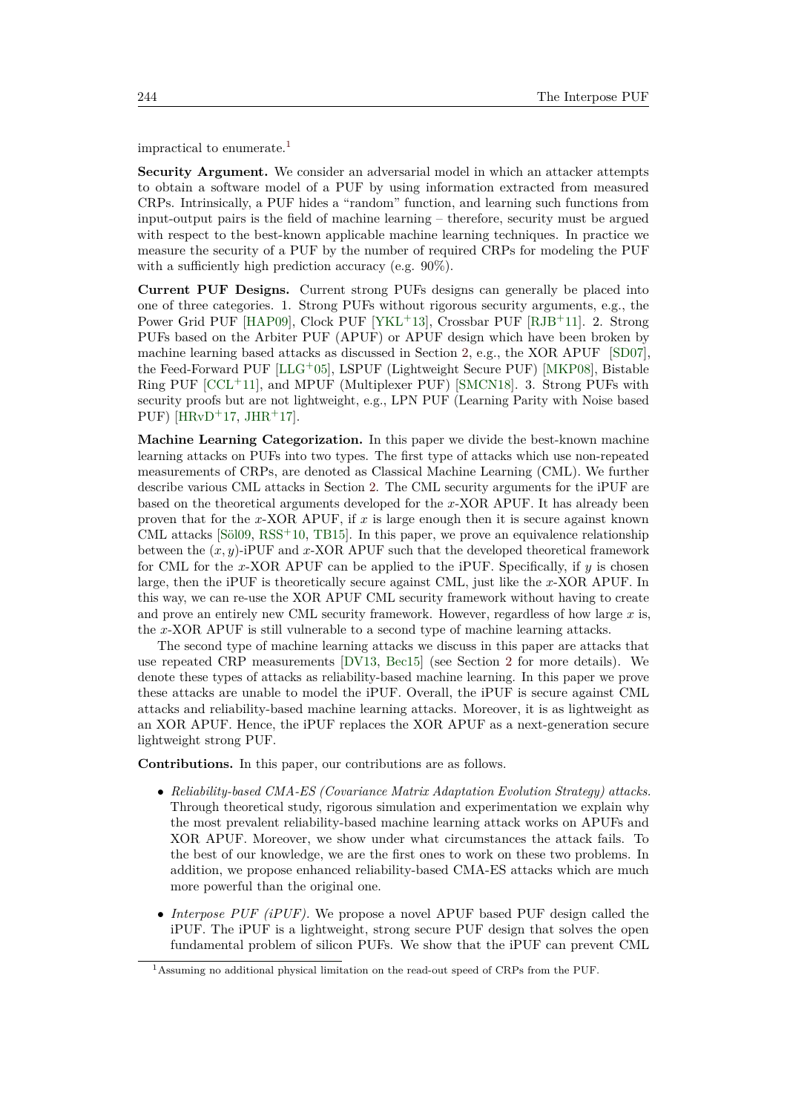impractical to enumerate.[1](#page-1-0)

**Security Argument.** We consider an adversarial model in which an attacker attempts to obtain a software model of a PUF by using information extracted from measured CRPs. Intrinsically, a PUF hides a "random" function, and learning such functions from input-output pairs is the field of machine learning – therefore, security must be argued with respect to the best-known applicable machine learning techniques. In practice we measure the security of a PUF by the number of required CRPs for modeling the PUF with a sufficiently high prediction accuracy (e.g. 90%).

**Current PUF Designs.** Current strong PUFs designs can generally be placed into one of three categories. 1. Strong PUFs without rigorous security arguments, e.g., the Power Grid PUF [\[HAP09\]](#page-45-1), Clock PUF [\[YKL](#page-47-1)<sup>+</sup>13], Crossbar PUF [\[RJB](#page-46-1)<sup>+</sup>11]. 2. Strong PUFs based on the Arbiter PUF (APUF) or APUF design which have been broken by machine learning based attacks as discussed in Section [2,](#page-2-0) e.g., the XOR APUF [\[SD07\]](#page-46-2), the Feed-Forward PUF [\[LLG](#page-45-2)<sup>+</sup>05], LSPUF (Lightweight Secure PUF) [\[MKP08\]](#page-45-3), Bistable Ring PUF  $[CCL+11]$  $[CCL+11]$ , and MPUF (Multiplexer PUF) [\[SMCN18\]](#page-47-2). 3. Strong PUFs with security proofs but are not lightweight, e.g., LPN PUF (Learning Parity with Noise based PUF) [ $HRvD+17$ ,  $JHR+17$  $JHR+17$ ].

**Machine Learning Categorization.** In this paper we divide the best-known machine learning attacks on PUFs into two types. The first type of attacks which use non-repeated measurements of CRPs, are denoted as Classical Machine Learning (CML). We further describe various CML attacks in Section [2.](#page-2-0) The CML security arguments for the iPUF are based on the theoretical arguments developed for the *x*-XOR APUF. It has already been proven that for the *x*-XOR APUF, if *x* is large enough then it is secure against known CML attacks  $[Si09, RSS^+10, TB15]$  $[Si09, RSS^+10, TB15]$  $[Si09, RSS^+10, TB15]$  $[Si09, RSS^+10, TB15]$ . In this paper, we prove an equivalence relationship between the (*x, y*)-iPUF and *x*-XOR APUF such that the developed theoretical framework for CML for the *x*-XOR APUF can be applied to the iPUF. Specifically, if *y* is chosen large, then the iPUF is theoretically secure against CML, just like the *x*-XOR APUF. In this way, we can re-use the XOR APUF CML security framework without having to create and prove an entirely new CML security framework. However, regardless of how large *x* is, the *x*-XOR APUF is still vulnerable to a second type of machine learning attacks.

The second type of machine learning attacks we discuss in this paper are attacks that use repeated CRP measurements [\[DV13,](#page-44-3) [Bec15\]](#page-44-4) (see Section [2](#page-2-0) for more details). We denote these types of attacks as reliability-based machine learning. In this paper we prove these attacks are unable to model the iPUF. Overall, the iPUF is secure against CML attacks and reliability-based machine learning attacks. Moreover, it is as lightweight as an XOR APUF. Hence, the iPUF replaces the XOR APUF as a next-generation secure lightweight strong PUF.

**Contributions.** In this paper, our contributions are as follows.

- *Reliability-based CMA-ES (Covariance Matrix Adaptation Evolution Strategy) attacks.* Through theoretical study, rigorous simulation and experimentation we explain why the most prevalent reliability-based machine learning attack works on APUFs and XOR APUF. Moreover, we show under what circumstances the attack fails. To the best of our knowledge, we are the first ones to work on these two problems. In addition, we propose enhanced reliability-based CMA-ES attacks which are much more powerful than the original one.
- *Interpose PUF (iPUF)*. We propose a novel APUF based PUF design called the iPUF. The iPUF is a lightweight, strong secure PUF design that solves the open fundamental problem of silicon PUFs. We show that the iPUF can prevent CML

<span id="page-1-0"></span><sup>1</sup>Assuming no additional physical limitation on the read-out speed of CRPs from the PUF.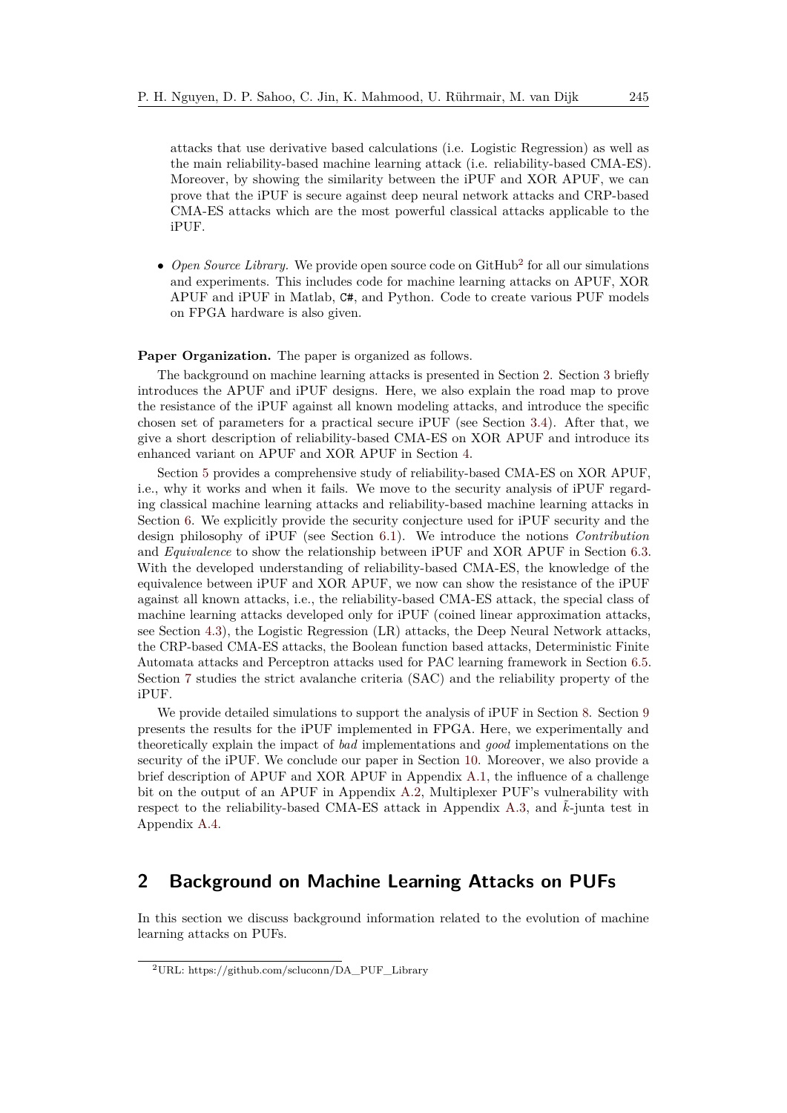attacks that use derivative based calculations (i.e. Logistic Regression) as well as the main reliability-based machine learning attack (i.e. reliability-based CMA-ES). Moreover, by showing the similarity between the iPUF and XOR APUF, we can prove that the iPUF is secure against deep neural network attacks and CRP-based CMA-ES attacks which are the most powerful classical attacks applicable to the iPUF.

 $\bullet$  *Open Source Library.* We provide open source code on GitHub<sup>[2](#page-2-1)</sup> for all our simulations and experiments. This includes code for machine learning attacks on APUF, XOR APUF and iPUF in Matlab, C#, and Python. Code to create various PUF models on FPGA hardware is also given.

Paper Organization. The paper is organized as follows.

The background on machine learning attacks is presented in Section [2.](#page-2-0) Section [3](#page-4-0) briefly introduces the APUF and iPUF designs. Here, we also explain the road map to prove the resistance of the iPUF against all known modeling attacks, and introduce the specific chosen set of parameters for a practical secure iPUF (see Section [3.4\)](#page-6-0). After that, we give a short description of reliability-based CMA-ES on XOR APUF and introduce its enhanced variant on APUF and XOR APUF in Section [4.](#page-7-0)

Section [5](#page-10-0) provides a comprehensive study of reliability-based CMA-ES on XOR APUF, i.e., why it works and when it fails. We move to the security analysis of iPUF regarding classical machine learning attacks and reliability-based machine learning attacks in Section [6.](#page-14-0) We explicitly provide the security conjecture used for iPUF security and the design philosophy of iPUF (see Section [6.1\)](#page-14-1). We introduce the notions *Contribution* and *Equivalence* to show the relationship between iPUF and XOR APUF in Section [6.3.](#page-15-0) With the developed understanding of reliability-based CMA-ES, the knowledge of the equivalence between iPUF and XOR APUF, we now can show the resistance of the iPUF against all known attacks, i.e., the reliability-based CMA-ES attack, the special class of machine learning attacks developed only for iPUF (coined linear approximation attacks, see Section [4.3\)](#page-10-1), the Logistic Regression (LR) attacks, the Deep Neural Network attacks, the CRP-based CMA-ES attacks, the Boolean function based attacks, Deterministic Finite Automata attacks and Perceptron attacks used for PAC learning framework in Section [6.5.](#page-20-0) Section [7](#page-26-0) studies the strict avalanche criteria (SAC) and the reliability property of the iPUF.

We provide detailed simulations to support the analysis of iPUF in Section [8.](#page-28-0) Section [9](#page-33-0) presents the results for the iPUF implemented in FPGA. Here, we experimentally and theoretically explain the impact of *bad* implementations and *good* implementations on the security of the iPUF. We conclude our paper in Section [10.](#page-39-0) Moreover, we also provide a brief description of APUF and XOR APUF in Appendix [A.1,](#page-41-0) the influence of a challenge bit on the output of an APUF in Appendix [A.2,](#page-41-1) Multiplexer PUF's vulnerability with respect to the reliability-based CMA-ES attack in Appendix [A.3,](#page-42-0) and  $k$ -junta test in Appendix [A.4.](#page-42-1)

## <span id="page-2-0"></span>**2 Background on Machine Learning Attacks on PUFs**

In this section we discuss background information related to the evolution of machine learning attacks on PUFs.

<span id="page-2-1"></span><sup>2</sup>URL: https://github.com/scluconn/DA\_PUF\_Library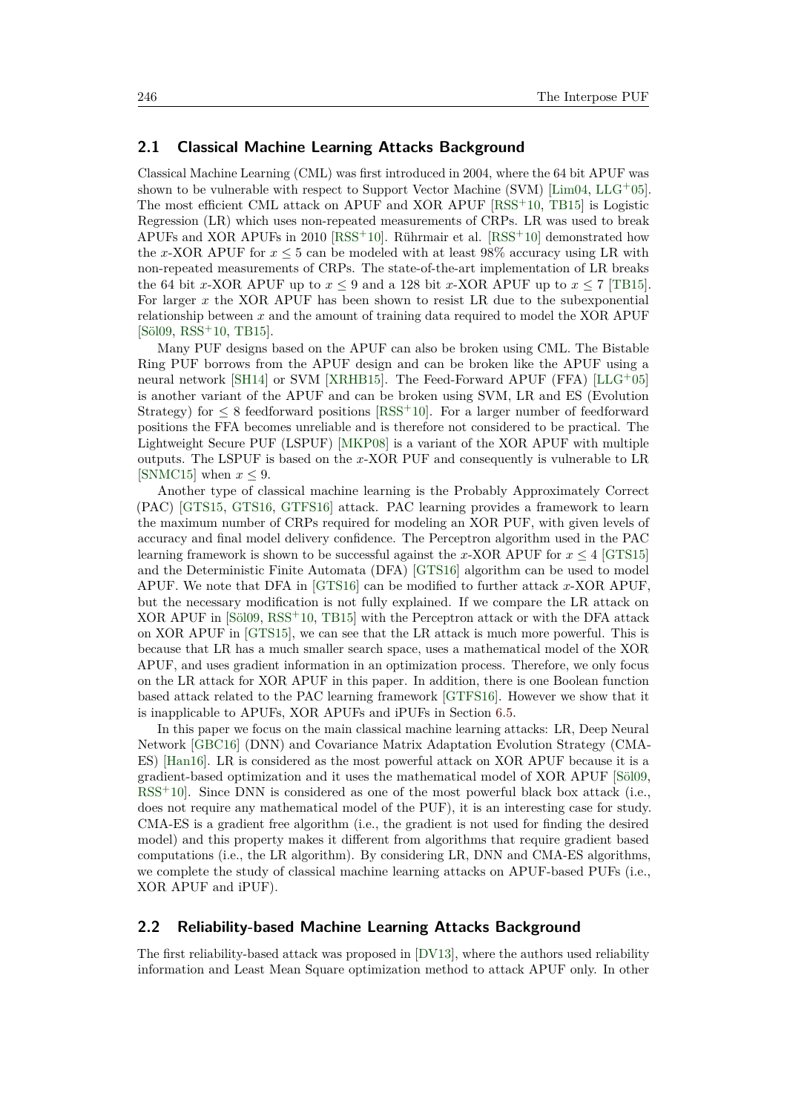### **2.1 Classical Machine Learning Attacks Background**

Classical Machine Learning (CML) was first introduced in 2004, where the 64 bit APUF was shown to be vulnerable with respect to Support Vector Machine (SVM) [\[Lim04,](#page-45-6) [LLG](#page-45-2)+05]. The most efficient CML attack on APUF and XOR APUF [\[RSS](#page-46-3)<sup>+</sup>10, [TB15\]](#page-47-4) is Logistic Regression (LR) which uses non-repeated measurements of CRPs. LR was used to break APUFs and XOR APUFs in 2010 [\[RSS](#page-46-3)<sup>+</sup>10]. Rührmair et al.  $[RSS^+10]$  demonstrated how the *x*-XOR APUF for  $x \leq 5$  can be modeled with at least 98% accuracy using LR with non-repeated measurements of CRPs. The state-of-the-art implementation of LR breaks the 64 bit *x*-XOR APUF up to  $x \le 9$  and a 128 bit *x*-XOR APUF up to  $x \le 7$  [\[TB15\]](#page-47-4). For larger *x* the XOR APUF has been shown to resist LR due to the subexponential relationship between *x* and the amount of training data required to model the XOR APUF [\[Söl09,](#page-47-3) [RSS](#page-46-3)<sup>+</sup>10, [TB15\]](#page-47-4).

Many PUF designs based on the APUF can also be broken using CML. The Bistable Ring PUF borrows from the APUF design and can be broken like the APUF using a neural network [\[SH14\]](#page-46-4) or SVM [\[XRHB15\]](#page-47-5). The Feed-Forward APUF (FFA) [\[LLG](#page-45-2)+05] is another variant of the APUF and can be broken using SVM, LR and ES (Evolution Strategy) for  $\leq 8$  feedforward positions [\[RSS](#page-46-3)<sup>+10]</sup>. For a larger number of feedforward positions the FFA becomes unreliable and is therefore not considered to be practical. The Lightweight Secure PUF (LSPUF) [\[MKP08\]](#page-45-3) is a variant of the XOR APUF with multiple outputs. The LSPUF is based on the *x*-XOR PUF and consequently is vulnerable to LR [\[SNMC15\]](#page-47-6) when  $x \leq 9$ .

Another type of classical machine learning is the Probably Approximately Correct (PAC) [\[GTS15,](#page-44-5) [GTS16,](#page-44-6) [GTFS16\]](#page-44-7) attack. PAC learning provides a framework to learn the maximum number of CRPs required for modeling an XOR PUF, with given levels of accuracy and final model delivery confidence. The Perceptron algorithm used in the PAC learning framework is shown to be successful against the *x*-XOR APUF for  $x \leq 4$  [\[GTS15\]](#page-44-5) and the Deterministic Finite Automata (DFA) [\[GTS16\]](#page-44-6) algorithm can be used to model APUF. We note that DFA in [\[GTS16\]](#page-44-6) can be modified to further attack *x*-XOR APUF, but the necessary modification is not fully explained. If we compare the LR attack on XOR APUF in [\[Söl09,](#page-47-3) [RSS](#page-46-3)<sup>+</sup>10, [TB15\]](#page-47-4) with the Perceptron attack or with the DFA attack on XOR APUF in [\[GTS15\]](#page-44-5), we can see that the LR attack is much more powerful. This is because that LR has a much smaller search space, uses a mathematical model of the XOR APUF, and uses gradient information in an optimization process. Therefore, we only focus on the LR attack for XOR APUF in this paper. In addition, there is one Boolean function based attack related to the PAC learning framework [\[GTFS16\]](#page-44-7). However we show that it is inapplicable to APUFs, XOR APUFs and iPUFs in Section [6.5.](#page-20-0)

In this paper we focus on the main classical machine learning attacks: LR, Deep Neural Network [\[GBC16\]](#page-44-8) (DNN) and Covariance Matrix Adaptation Evolution Strategy (CMA-ES) [\[Han16\]](#page-45-7). LR is considered as the most powerful attack on XOR APUF because it is a gradient-based optimization and it uses the mathematical model of XOR APUF [\[Söl09,](#page-47-3) [RSS](#page-46-3)<sup>+</sup>10. Since DNN is considered as one of the most powerful black box attack (i.e., does not require any mathematical model of the PUF), it is an interesting case for study. CMA-ES is a gradient free algorithm (i.e., the gradient is not used for finding the desired model) and this property makes it different from algorithms that require gradient based computations (i.e., the LR algorithm). By considering LR, DNN and CMA-ES algorithms, we complete the study of classical machine learning attacks on APUF-based PUFs (i.e., XOR APUF and iPUF).

### **2.2 Reliability-based Machine Learning Attacks Background**

The first reliability-based attack was proposed in [\[DV13\]](#page-44-3), where the authors used reliability information and Least Mean Square optimization method to attack APUF only. In other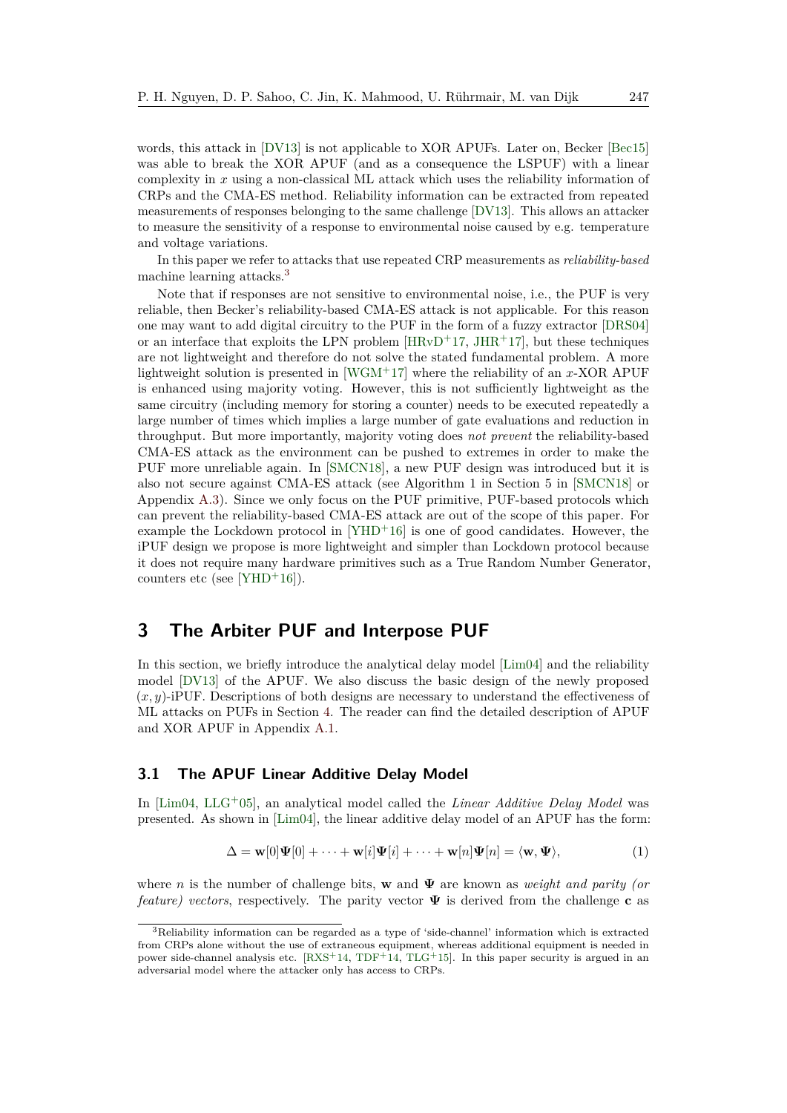words, this attack in [\[DV13\]](#page-44-3) is not applicable to XOR APUFs. Later on, Becker [\[Bec15\]](#page-44-4) was able to break the XOR APUF (and as a consequence the LSPUF) with a linear complexity in *x* using a non-classical ML attack which uses the reliability information of CRPs and the CMA-ES method. Reliability information can be extracted from repeated measurements of responses belonging to the same challenge [\[DV13\]](#page-44-3). This allows an attacker to measure the sensitivity of a response to environmental noise caused by e.g. temperature and voltage variations.

In this paper we refer to attacks that use repeated CRP measurements as *reliability-based* machine learning attacks.[3](#page-4-1)

Note that if responses are not sensitive to environmental noise, i.e., the PUF is very reliable, then Becker's reliability-based CMA-ES attack is not applicable. For this reason one may want to add digital circuitry to the PUF in the form of a fuzzy extractor [\[DRS04\]](#page-44-9) or an interface that exploits the LPN problem  $[HRvD+17, JHR+17]$  $[HRvD+17, JHR+17]$  $[HRvD+17, JHR+17]$  $[HRvD+17, JHR+17]$ , but these techniques are not lightweight and therefore do not solve the stated fundamental problem. A more lightweight solution is presented in [\[WGM](#page-47-7)<sup>+</sup>17] where the reliability of an *x*-XOR APUF is enhanced using majority voting. However, this is not sufficiently lightweight as the same circuitry (including memory for storing a counter) needs to be executed repeatedly a large number of times which implies a large number of gate evaluations and reduction in throughput. But more importantly, majority voting does *not prevent* the reliability-based CMA-ES attack as the environment can be pushed to extremes in order to make the PUF more unreliable again. In [\[SMCN18\]](#page-47-2), a new PUF design was introduced but it is also not secure against CMA-ES attack (see Algorithm 1 in Section 5 in [\[SMCN18\]](#page-47-2) or Appendix [A.3\)](#page-42-0). Since we only focus on the PUF primitive, PUF-based protocols which can prevent the reliability-based CMA-ES attack are out of the scope of this paper. For example the Lockdown protocol in  $[YHD<sup>+</sup>16]$  $[YHD<sup>+</sup>16]$  is one of good candidates. However, the iPUF design we propose is more lightweight and simpler than Lockdown protocol because it does not require many hardware primitives such as a True Random Number Generator, counters etc (see [\[YHD](#page-47-8)<sup>+</sup>16]).

## <span id="page-4-0"></span>**3 The Arbiter PUF and Interpose PUF**

In this section, we briefly introduce the analytical delay model [\[Lim04\]](#page-45-6) and the reliability model [\[DV13\]](#page-44-3) of the APUF. We also discuss the basic design of the newly proposed (*x, y*)-iPUF. Descriptions of both designs are necessary to understand the effectiveness of ML attacks on PUFs in Section [4.](#page-7-0) The reader can find the detailed description of APUF and XOR APUF in Appendix [A.1.](#page-41-0)

### **3.1 The APUF Linear Additive Delay Model**

In [\[Lim04,](#page-45-6) [LLG](#page-45-2)<sup>+</sup>05], an analytical model called the *Linear Additive Delay Model* was presented. As shown in [\[Lim04\]](#page-45-6), the linear additive delay model of an APUF has the form:

<span id="page-4-2"></span>
$$
\Delta = \mathbf{w}[0]\Psi[0] + \cdots + \mathbf{w}[i]\Psi[i] + \cdots + \mathbf{w}[n]\Psi[n] = \langle \mathbf{w}, \Psi \rangle, \tag{1}
$$

where *n* is the number of challenge bits, **w** and **Ψ** are known as *weight and parity (or feature) vectors*, respectively. The parity vector **Ψ** is derived from the challenge **c** as

<span id="page-4-1"></span><sup>3</sup>Reliability information can be regarded as a type of 'side-channel' information which is extracted from CRPs alone without the use of extraneous equipment, whereas additional equipment is needed in power side-channel analysis etc.  $[RXS^+14, TDF^+14, TLG^+15]$  $[RXS^+14, TDF^+14, TLG^+15]$  $[RXS^+14, TDF^+14, TLG^+15]$  $[RXS^+14, TDF^+14, TLG^+15]$  $[RXS^+14, TDF^+14, TLG^+15]$  $[RXS^+14, TDF^+14, TLG^+15]$ . In this paper security is argued in an adversarial model where the attacker only has access to CRPs.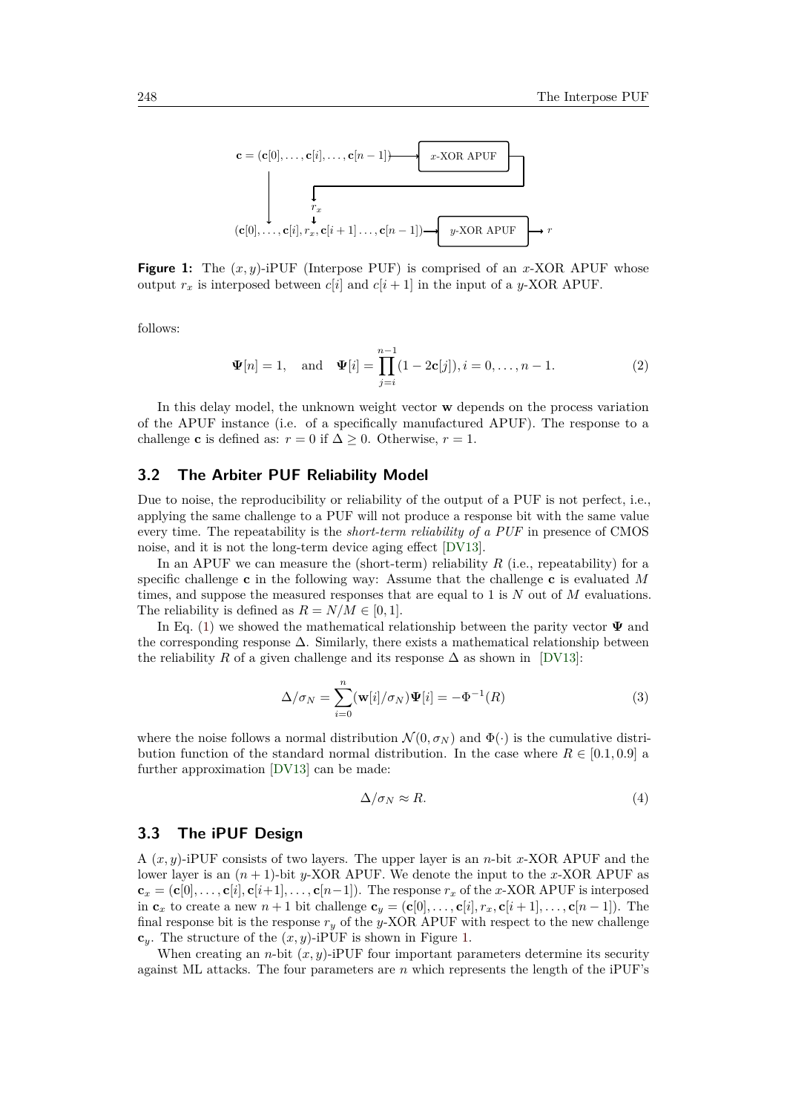<span id="page-5-0"></span>

**Figure 1:** The  $(x, y)$ -iPUF (Interpose PUF) is comprised of an *x*-XOR APUF whose output  $r_x$  is interposed between  $c[i]$  and  $c[i+1]$  in the input of a *y*-XOR APUF.

follows:

<span id="page-5-4"></span>
$$
\Psi[n] = 1
$$
, and  $\Psi[i] = \prod_{j=i}^{n-1} (1 - 2\mathbf{c}[j]), i = 0, \dots, n-1.$  (2)

In this delay model, the unknown weight vector **w** depends on the process variation of the APUF instance (i.e. of a specifically manufactured APUF). The response to a challenge **c** is defined as:  $r = 0$  if  $\Delta > 0$ . Otherwise,  $r = 1$ .

### <span id="page-5-3"></span>**3.2 The Arbiter PUF Reliability Model**

Due to noise, the reproducibility or reliability of the output of a PUF is not perfect, i.e., applying the same challenge to a PUF will not produce a response bit with the same value every time. The repeatability is the *short-term reliability of a PUF* in presence of CMOS noise, and it is not the long-term device aging effect [\[DV13\]](#page-44-3).

In an APUF we can measure the (short-term) reliability *R* (i.e., repeatability) for a specific challenge **c** in the following way: Assume that the challenge **c** is evaluated *M* times, and suppose the measured responses that are equal to 1 is *N* out of *M* evaluations. The reliability is defined as  $R = N/M \in [0, 1]$ .

In Eq. [\(1\)](#page-4-2) we showed the mathematical relationship between the parity vector **Ψ** and the corresponding response  $\Delta$ . Similarly, there exists a mathematical relationship between the reliability *R* of a given challenge and its response  $\Delta$  as shown in [\[DV13\]](#page-44-3):

$$
\Delta/\sigma_N = \sum_{i=0}^n (\mathbf{w}[i]/\sigma_N)\Psi[i] = -\Phi^{-1}(R)
$$
\n(3)

where the noise follows a normal distribution  $\mathcal{N}(0, \sigma_N)$  and  $\Phi(\cdot)$  is the cumulative distribution function of the standard normal distribution. In the case where  $R \in [0.1, 0.9]$  a further approximation [\[DV13\]](#page-44-3) can be made:

<span id="page-5-2"></span><span id="page-5-1"></span>
$$
\Delta/\sigma_N \approx R.\tag{4}
$$

### **3.3 The iPUF Design**

A (*x, y*)-iPUF consists of two layers. The upper layer is an *n*-bit *x*-XOR APUF and the lower layer is an  $(n + 1)$ -bit *y*-XOR APUF. We denote the input to the *x*-XOR APUF as  $\mathbf{c}_x = (\mathbf{c}[0], \ldots, \mathbf{c}[i], \mathbf{c}[i+1], \ldots, \mathbf{c}[n-1])$ . The response  $r_x$  of the *x*-XOR APUF is interposed in  $\mathbf{c}_x$  to create a new  $n+1$  bit challenge  $\mathbf{c}_y = (\mathbf{c}[0], \ldots, \mathbf{c}[i], r_x, \mathbf{c}[i+1], \ldots, \mathbf{c}[n-1])$ . The final response bit is the response  $r_y$  of the *y*-XOR APUF with respect to the new challenge  $c_y$ . The structure of the  $(x, y)$ -iPUF is shown in Figure [1.](#page-5-0)

When creating an *n*-bit  $(x, y)$ -iPUF four important parameters determine its security against ML attacks. The four parameters are *n* which represents the length of the iPUF's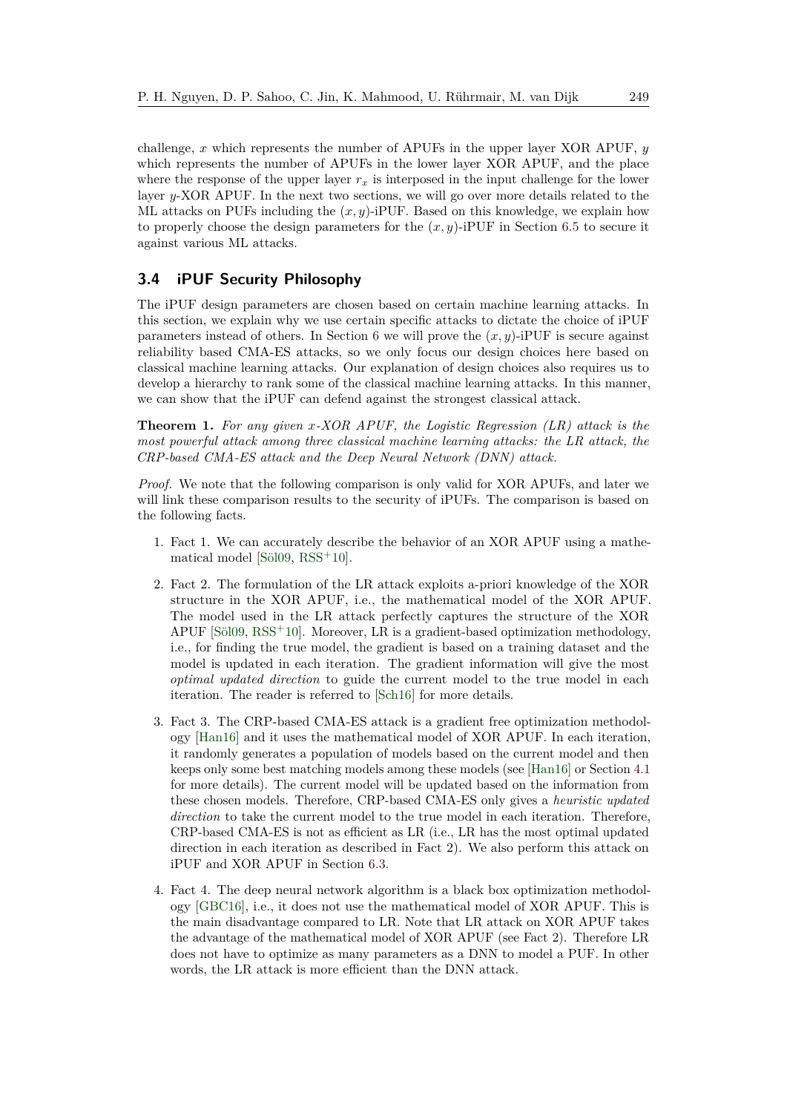challenge, *x* which represents the number of APUFs in the upper layer XOR APUF, *y* which represents the number of APUFs in the lower layer XOR APUF, and the place where the response of the upper layer  $r_x$  is interposed in the input challenge for the lower layer *y*-XOR APUF. In the next two sections, we will go over more details related to the ML attacks on PUFs including the  $(x, y)$ -iPUF. Based on this knowledge, we explain how to properly choose the design parameters for the  $(x, y)$ -iPUF in Section [6.5](#page-20-0) to secure it against various ML attacks.

### <span id="page-6-0"></span>**3.4 iPUF Security Philosophy**

The iPUF design parameters are chosen based on certain machine learning attacks. In this section, we explain why we use certain specific attacks to dictate the choice of iPUF parameters instead of others. In Section [6](#page-14-0) we will prove the (*x, y*)-iPUF is secure against reliability based CMA-ES attacks, so we only focus our design choices here based on classical machine learning attacks. Our explanation of design choices also requires us to develop a hierarchy to rank some of the classical machine learning attacks. In this manner, we can show that the iPUF can defend against the strongest classical attack.

<span id="page-6-1"></span>**Theorem 1.** *For any given x-XOR APUF, the Logistic Regression (LR) attack is the most powerful attack among three classical machine learning attacks: the LR attack, the CRP-based CMA-ES attack and the Deep Neural Network (DNN) attack.*

*Proof.* We note that the following comparison is only valid for XOR APUFs, and later we will link these comparison results to the security of iPUFs. The comparison is based on the following facts.

- 1. Fact 1. We can accurately describe the behavior of an XOR APUF using a mathematical model [\[Söl09,](#page-47-3) [RSS](#page-46-3)<sup>+</sup>10].
- 2. Fact 2. The formulation of the LR attack exploits a-priori knowledge of the XOR structure in the XOR APUF, i.e., the mathematical model of the XOR APUF. The model used in the LR attack perfectly captures the structure of the XOR APUF  $[{\rm Si}09, {\rm RSS}^+10]$  $[{\rm Si}09, {\rm RSS}^+10]$  $[{\rm Si}09, {\rm RSS}^+10]$ . Moreover, LR is a gradient-based optimization methodology, i.e., for finding the true model, the gradient is based on a training dataset and the model is updated in each iteration. The gradient information will give the most *optimal updated direction* to guide the current model to the true model in each iteration. The reader is referred to [\[Sch16\]](#page-46-6) for more details.
- 3. Fact 3. The CRP-based CMA-ES attack is a gradient free optimization methodology [\[Han16\]](#page-45-7) and it uses the mathematical model of XOR APUF. In each iteration, it randomly generates a population of models based on the current model and then keeps only some best matching models among these models (see [\[Han16\]](#page-45-7) or Section [4.1](#page-8-0) for more details). The current model will be updated based on the information from these chosen models. Therefore, CRP-based CMA-ES only gives a *heuristic updated direction* to take the current model to the true model in each iteration. Therefore, CRP-based CMA-ES is not as efficient as LR (i.e., LR has the most optimal updated direction in each iteration as described in Fact 2). We also perform this attack on iPUF and XOR APUF in Section [6.3.](#page-15-0)
- 4. Fact 4. The deep neural network algorithm is a black box optimization methodology [\[GBC16\]](#page-44-8), i.e., it does not use the mathematical model of XOR APUF. This is the main disadvantage compared to LR. Note that LR attack on XOR APUF takes the advantage of the mathematical model of XOR APUF (see Fact 2). Therefore LR does not have to optimize as many parameters as a DNN to model a PUF. In other words, the LR attack is more efficient than the DNN attack.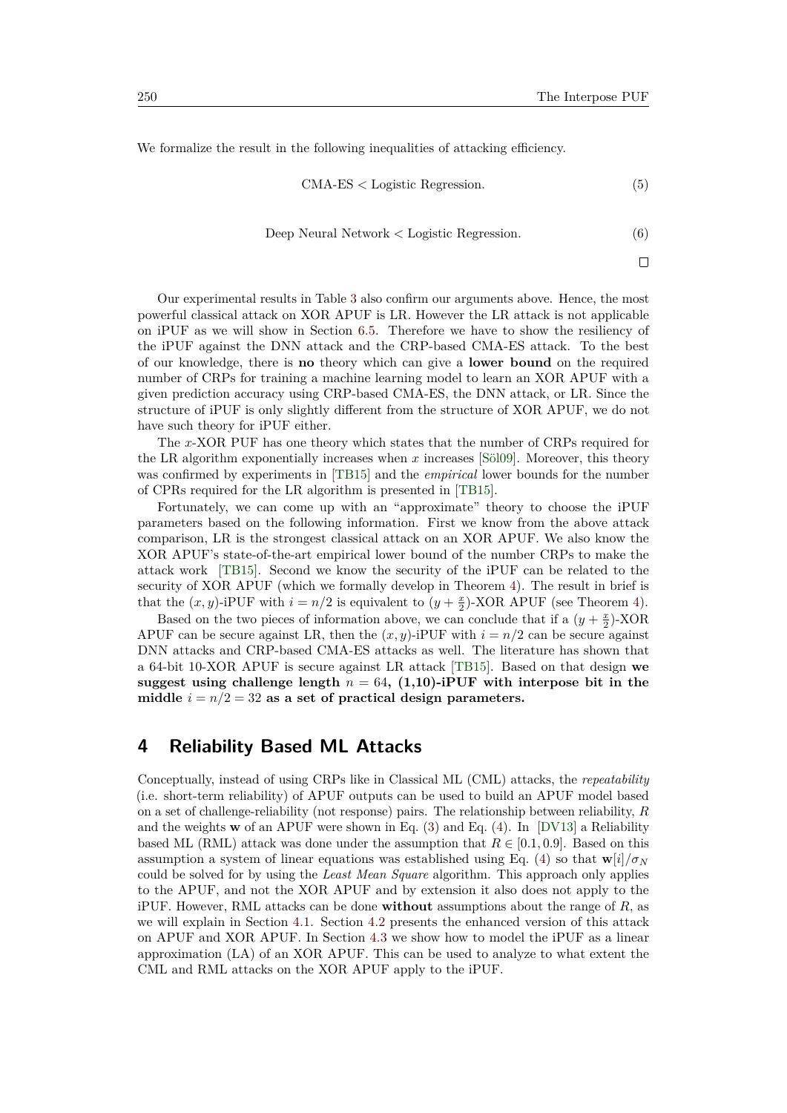We formalize the result in the following inequalities of attacking efficiency.

<span id="page-7-1"></span>
$$
CMA-ES < Logistic Regression. \tag{5}
$$

Deep Neural Network *<* Logistic Regression*.* (6)

 $\Box$ 

Our experimental results in Table [3](#page-29-0) also confirm our arguments above. Hence, the most powerful classical attack on XOR APUF is LR. However the LR attack is not applicable on iPUF as we will show in Section [6.5.](#page-20-0) Therefore we have to show the resiliency of the iPUF against the DNN attack and the CRP-based CMA-ES attack. To the best of our knowledge, there is **no** theory which can give a **lower bound** on the required number of CRPs for training a machine learning model to learn an XOR APUF with a given prediction accuracy using CRP-based CMA-ES, the DNN attack, or LR. Since the structure of iPUF is only slightly different from the structure of XOR APUF, we do not have such theory for iPUF either.

The *x*-XOR PUF has one theory which states that the number of CRPs required for the LR algorithm exponentially increases when *x* increases [\[Söl09\]](#page-47-3). Moreover, this theory was confirmed by experiments in [\[TB15\]](#page-47-4) and the *empirical* lower bounds for the number of CPRs required for the LR algorithm is presented in [\[TB15\]](#page-47-4).

Fortunately, we can come up with an "approximate" theory to choose the iPUF parameters based on the following information. First we know from the above attack comparison, LR is the strongest classical attack on an XOR APUF. We also know the XOR APUF's state-of-the-art empirical lower bound of the number CRPs to make the attack work [\[TB15\]](#page-47-4). Second we know the security of the iPUF can be related to the security of XOR APUF (which we formally develop in Theorem [4\)](#page-16-0). The result in brief is that the  $(x, y)$ -iPUF with  $i = n/2$  is equivalent to  $(y + \frac{x}{2})$ -XOR APUF (see Theorem [4\)](#page-16-0).

Based on the two pieces of information above, we can conclude that if a  $(y + \frac{x}{2})$ -XOR APUF can be secure against LR, then the  $(x, y)$ -iPUF with  $i = n/2$  can be secure against DNN attacks and CRP-based CMA-ES attacks as well. The literature has shown that a 64-bit 10-XOR APUF is secure against LR attack [\[TB15\]](#page-47-4). Based on that design **we suggest using challenge length** *n* = 64**, (1,10)-iPUF with interpose bit in the** middle  $i = n/2 = 32$  as a set of practical design parameters.

## <span id="page-7-0"></span>**4 Reliability Based ML Attacks**

Conceptually, instead of using CRPs like in Classical ML (CML) attacks, the *repeatability* (i.e. short-term reliability) of APUF outputs can be used to build an APUF model based on a set of challenge-reliability (not response) pairs. The relationship between reliability, *R* and the weights **w** of an APUF were shown in Eq. [\(3\)](#page-5-1) and Eq. [\(4\)](#page-5-2). In [\[DV13\]](#page-44-3) a Reliability based ML (RML) attack was done under the assumption that  $R \in [0.1, 0.9]$ . Based on this assumption a system of linear equations was established using Eq. [\(4\)](#page-5-2) so that  $\mathbf{w}[i]/\sigma_N$ could be solved for by using the *Least Mean Square* algorithm. This approach only applies to the APUF, and not the XOR APUF and by extension it also does not apply to the iPUF. However, RML attacks can be done **without** assumptions about the range of *R*, as we will explain in Section [4.1.](#page-8-0) Section [4.2](#page-9-0) presents the enhanced version of this attack on APUF and XOR APUF. In Section [4.3](#page-10-1) we show how to model the iPUF as a linear approximation (LA) of an XOR APUF. This can be used to analyze to what extent the CML and RML attacks on the XOR APUF apply to the iPUF.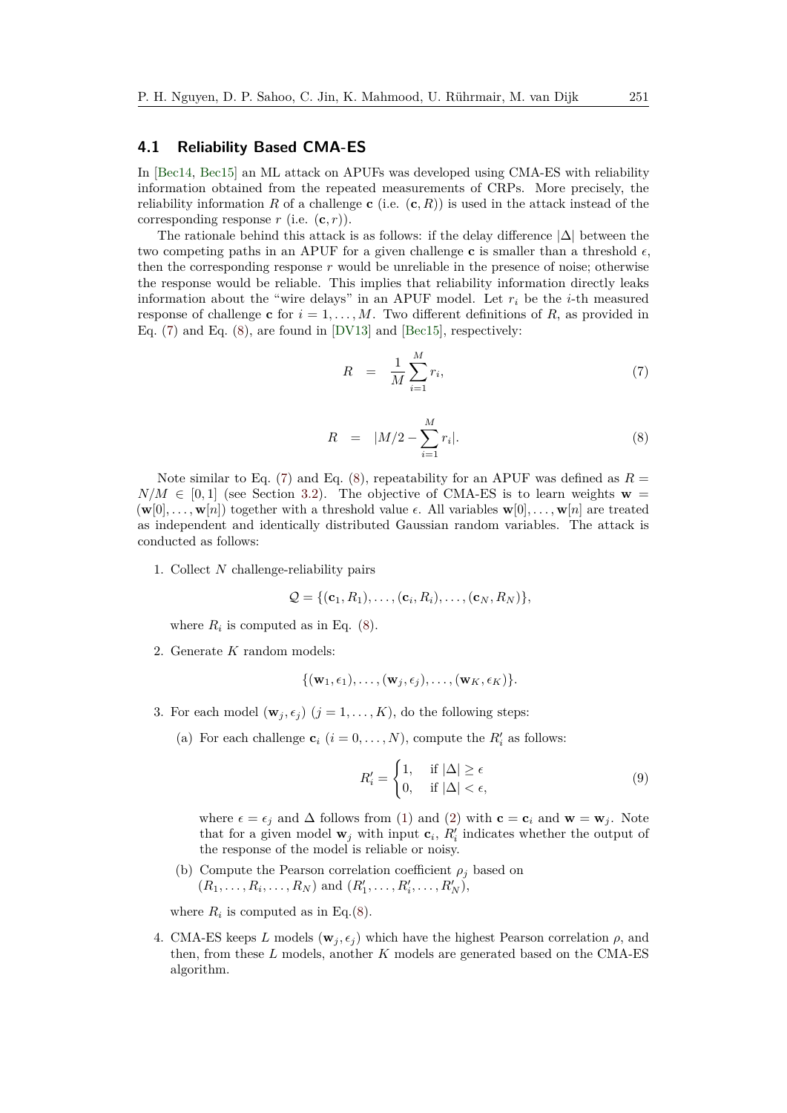### <span id="page-8-0"></span>**4.1 Reliability Based CMA-ES**

In [\[Bec14,](#page-44-10) [Bec15\]](#page-44-4) an ML attack on APUFs was developed using CMA-ES with reliability information obtained from the repeated measurements of CRPs. More precisely, the reliability information *R* of a challenge **c** (i.e.  $(c, R)$ ) is used in the attack instead of the corresponding response  $r$  (i.e.  $(c, r)$ ).

The rationale behind this attack is as follows: if the delay difference  $|\Delta|$  between the two competing paths in an APUF for a given challenge **c** is smaller than a threshold  $\epsilon$ , then the corresponding response *r* would be unreliable in the presence of noise; otherwise the response would be reliable. This implies that reliability information directly leaks information about the "wire delays" in an APUF model. Let  $r_i$  be the *i*-th measured response of challenge **c** for  $i = 1, \ldots, M$ . Two different definitions of R, as provided in Eq. [\(7\)](#page-8-1) and Eq. [\(8\)](#page-8-2), are found in [\[DV13\]](#page-44-3) and [\[Bec15\]](#page-44-4), respectively:

<span id="page-8-1"></span>
$$
R = \frac{1}{M} \sum_{i=1}^{M} r_i,\tag{7}
$$

<span id="page-8-2"></span>
$$
R = |M/2 - \sum_{i=1}^{M} r_i|.
$$
 (8)

Note similar to Eq. [\(7\)](#page-8-1) and Eq. [\(8\)](#page-8-2), repeatability for an APUF was defined as  $R =$  $N/M \in [0,1]$  (see Section [3.2\)](#page-5-3). The objective of CMA-ES is to learn weights **w** =  $(\mathbf{w}[0], \ldots, \mathbf{w}[n])$  together with a threshold value  $\epsilon$ . All variables  $\mathbf{w}[0], \ldots, \mathbf{w}[n]$  are treated as independent and identically distributed Gaussian random variables. The attack is conducted as follows:

1. Collect *N* challenge-reliability pairs

$$
\mathcal{Q} = \{(\mathbf{c}_1, R_1), \ldots, (\mathbf{c}_i, R_i), \ldots, (\mathbf{c}_N, R_N)\},\
$$

where  $R_i$  is computed as in Eq.  $(8)$ .

2. Generate *K* random models:

$$
\{(\mathbf{w}_1,\epsilon_1),\ldots,(\mathbf{w}_j,\epsilon_j),\ldots,(\mathbf{w}_K,\epsilon_K)\}.
$$

- 3. For each model  $(\mathbf{w}_j, \epsilon_j)$   $(j = 1, ..., K)$ , do the following steps:
	- (a) For each challenge  $\mathbf{c}_i$  ( $i = 0, \ldots, N$ ), compute the  $R'_i$  as follows:

<span id="page-8-3"></span>
$$
R'_{i} = \begin{cases} 1, & \text{if } |\Delta| \ge \epsilon \\ 0, & \text{if } |\Delta| < \epsilon, \end{cases}
$$
 (9)

where  $\epsilon = \epsilon_i$  and  $\Delta$  follows from [\(1\)](#page-4-2) and [\(2\)](#page-5-4) with  $\mathbf{c} = \mathbf{c}_i$  and  $\mathbf{w} = \mathbf{w}_i$ . Note that for a given model  $\mathbf{w}_j$  with input  $\mathbf{c}_i$ ,  $R'_i$  indicates whether the output of the response of the model is reliable or noisy.

(b) Compute the Pearson correlation coefficient  $\rho_i$  based on  $(R_1, \ldots, R_i, \ldots, R_N)$  and  $(R'_1, \ldots, R'_i, \ldots, R'_N)$ ,

where  $R_i$  is computed as in Eq.[\(8\)](#page-8-2).

4. CMA-ES keeps *L* models ( $\mathbf{w}_i, \epsilon_i$ ) which have the highest Pearson correlation  $\rho$ , and then, from these *L* models, another *K* models are generated based on the CMA-ES algorithm.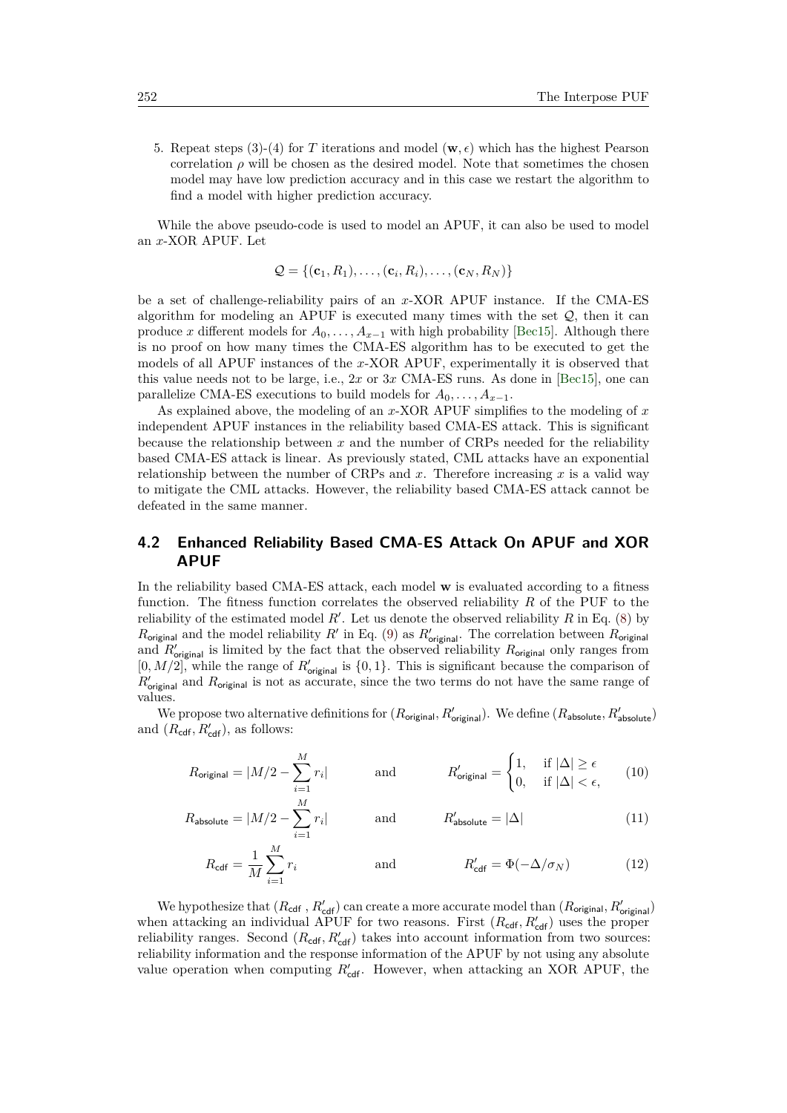5. Repeat steps (3)-(4) for *T* iterations and model ( $\mathbf{w}, \epsilon$ ) which has the highest Pearson correlation  $\rho$  will be chosen as the desired model. Note that sometimes the chosen model may have low prediction accuracy and in this case we restart the algorithm to find a model with higher prediction accuracy.

While the above pseudo-code is used to model an APUF, it can also be used to model an *x*-XOR APUF. Let

$$
\mathcal{Q} = \{(\mathbf{c}_1, R_1), \dots, (\mathbf{c}_i, R_i), \dots, (\mathbf{c}_N, R_N)\}
$$

be a set of challenge-reliability pairs of an *x*-XOR APUF instance. If the CMA-ES algorithm for modeling an APUF is executed many times with the set  $Q$ , then it can produce *x* different models for  $A_0, \ldots, A_{x-1}$  with high probability [\[Bec15\]](#page-44-4). Although there is no proof on how many times the CMA-ES algorithm has to be executed to get the models of all APUF instances of the *x*-XOR APUF, experimentally it is observed that this value needs not to be large, i.e., 2*x* or 3*x* CMA-ES runs. As done in [\[Bec15\]](#page-44-4), one can parallelize CMA-ES executions to build models for  $A_0, \ldots, A_{x-1}$ .

As explained above, the modeling of an *x*-XOR APUF simplifies to the modeling of *x* independent APUF instances in the reliability based CMA-ES attack. This is significant because the relationship between *x* and the number of CRPs needed for the reliability based CMA-ES attack is linear. As previously stated, CML attacks have an exponential relationship between the number of CRPs and  $x$ . Therefore increasing  $x$  is a valid way to mitigate the CML attacks. However, the reliability based CMA-ES attack cannot be defeated in the same manner.

## <span id="page-9-0"></span>**4.2 Enhanced Reliability Based CMA-ES Attack On APUF and XOR APUF**

In the reliability based CMA-ES attack, each model **w** is evaluated according to a fitness function. The fitness function correlates the observed reliability *R* of the PUF to the reliability of the estimated model  $R'$ . Let us denote the observed reliability  $R$  in Eq. [\(8\)](#page-8-2) by  $R_{\text{original}}$  and the model reliability  $R'$  in Eq. [\(9\)](#page-8-3) as  $R'_{\text{original}}$ . The correlation between  $R_{\text{original}}$ and  $R'_{\text{original}}$  is limited by the fact that the observed reliability  $R_{\text{original}}$  only ranges from  $[0, M/2]$ , while the range of  $R'_{\text{original}}$  is  $\{0, 1\}$ . This is significant because the comparison of  $R_{\text{original}}'$  and  $R_{\text{original}}$  is not as accurate, since the two terms do not have the same range of values.

We propose two alternative definitions for  $(R_{\text{original}}, R_{\text{original}}')$ . We define  $(R_{\text{absolute}}, R_{\text{absolute}}')$ and  $(R_{\text{cdf}}, R'_{\text{cdf}})$ , as follows:

$$
R_{\text{original}} = |M/2 - \sum_{i=1}^{M} r_i| \quad \text{and} \quad R'_{\text{original}} = \begin{cases} 1, & \text{if } |\Delta| \ge \epsilon \\ 0, & \text{if } |\Delta| < \epsilon, \end{cases} \tag{10}
$$

$$
R_{\text{absolute}} = |M/2 - \sum_{i=1}^{M} r_i| \quad \text{and} \quad R_{\text{absolute}}' = |\Delta| \tag{11}
$$

$$
R_{\text{cdf}} = \frac{1}{M} \sum_{i=1}^{M} r_i \qquad \text{and} \qquad R'_{\text{cdf}} = \Phi(-\Delta/\sigma_N) \qquad (12)
$$

We hypothesize that  $(R_{\text{cdf}}, R'_{\text{cdf}})$  can create a more accurate model than  $(R_{\text{original}}, R'_{\text{original}})$ when attacking an individual APUF for two reasons. First  $(R_{\text{cdf}}, R_{\text{cdf}}')$  uses the proper reliability ranges. Second  $(R_{\text{cdf}}, R'_{\text{cdf}})$  takes into account information from two sources: reliability information and the response information of the APUF by not using any absolute value operation when computing  $R'_{\text{cdf}}$ . However, when attacking an XOR APUF, the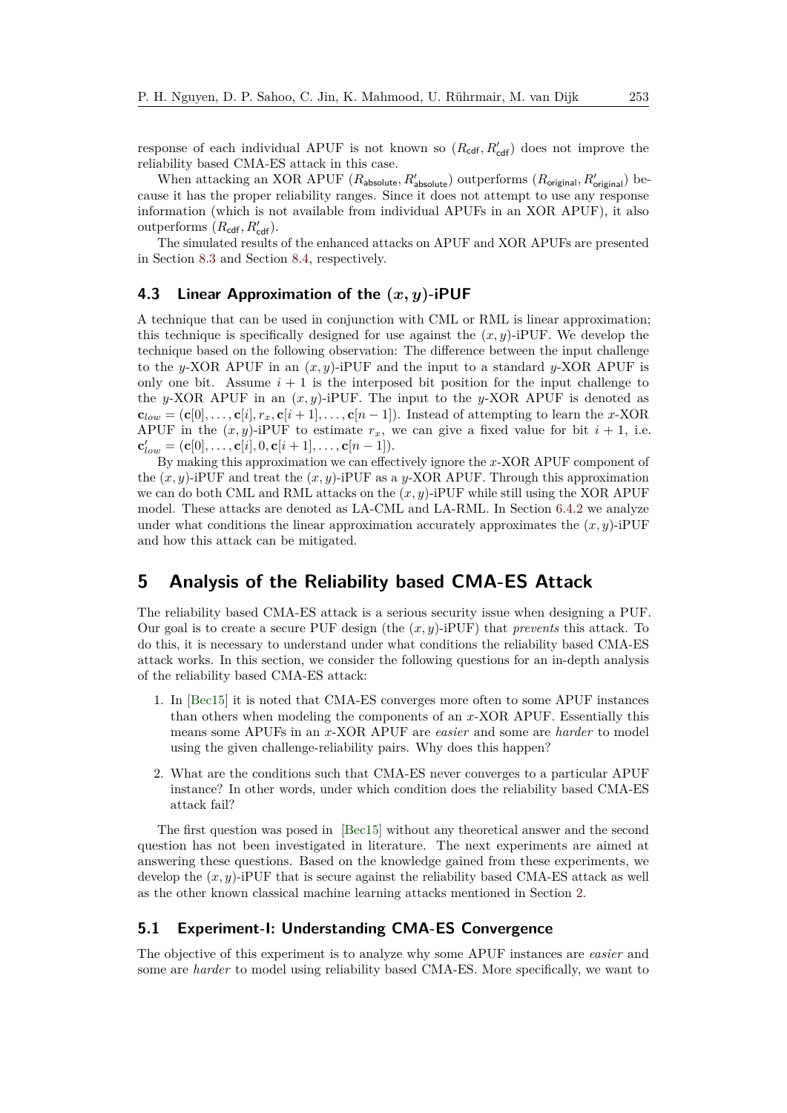response of each individual APUF is not known so  $(R_{\text{cdf}}, R'_{\text{cdf}})$  does not improve the reliability based CMA-ES attack in this case.

When attacking an XOR APUF ( $R_{\text{absolute}}$ ,  $R_{\text{absolute}}'$ ) outperforms ( $R_{\text{original}}$ ,  $R_{\text{original}}'$ ) because it has the proper reliability ranges. Since it does not attempt to use any response information (which is not available from individual APUFs in an XOR APUF), it also outperforms  $(R_{\text{cdf}}, R'_{\text{cdf}})$ .

The simulated results of the enhanced attacks on APUF and XOR APUFs are presented in Section [8.3](#page-31-0) and Section [8.4,](#page-32-0) respectively.

### <span id="page-10-1"></span>**4.3 Linear Approximation of the (***x, y***)-iPUF**

A technique that can be used in conjunction with CML or RML is linear approximation; this technique is specifically designed for use against the  $(x, y)$ -iPUF. We develop the technique based on the following observation: The difference between the input challenge to the *y*-XOR APUF in an  $(x, y)$ -iPUF and the input to a standard *y*-XOR APUF is only one bit. Assume  $i + 1$  is the interposed bit position for the input challenge to the *y*-XOR APUF in an  $(x, y)$ -iPUF. The input to the *y*-XOR APUF is denoted as  $\mathbf{c}_{low} = (\mathbf{c}[0], \ldots, \mathbf{c}[i], r_x, \mathbf{c}[i+1], \ldots, \mathbf{c}[n-1])$ . Instead of attempting to learn the *x*-XOR APUF in the  $(x, y)$ -iPUF to estimate  $r_x$ , we can give a fixed value for bit  $i + 1$ , i.e.  ${\bf c}'_{low} = ({\bf c}[0], \ldots, {\bf c}[i], 0, {\bf c}[i+1], \ldots, {\bf c}[n-1]).$ 

By making this approximation we can effectively ignore the *x*-XOR APUF component of the (*x, y*)-iPUF and treat the (*x, y*)-iPUF as a *y*-XOR APUF. Through this approximation we can do both CML and RML attacks on the  $(x, y)$ -iPUF while still using the XOR APUF model. These attacks are denoted as LA-CML and LA-RML. In Section [6.4.2](#page-18-0) we analyze under what conditions the linear approximation accurately approximates the  $(x, y)$ -iPUF and how this attack can be mitigated.

## <span id="page-10-0"></span>**5 Analysis of the Reliability based CMA-ES Attack**

The reliability based CMA-ES attack is a serious security issue when designing a PUF. Our goal is to create a secure PUF design (the (*x, y*)-iPUF) that *prevents* this attack. To do this, it is necessary to understand under what conditions the reliability based CMA-ES attack works. In this section, we consider the following questions for an in-depth analysis of the reliability based CMA-ES attack:

- 1. In [\[Bec15\]](#page-44-4) it is noted that CMA-ES converges more often to some APUF instances than others when modeling the components of an *x*-XOR APUF. Essentially this means some APUFs in an *x*-XOR APUF are *easier* and some are *harder* to model using the given challenge-reliability pairs. Why does this happen?
- 2. What are the conditions such that CMA-ES never converges to a particular APUF instance? In other words, under which condition does the reliability based CMA-ES attack fail?

The first question was posed in [\[Bec15\]](#page-44-4) without any theoretical answer and the second question has not been investigated in literature. The next experiments are aimed at answering these questions. Based on the knowledge gained from these experiments, we develop the  $(x, y)$ -iPUF that is secure against the reliability based CMA-ES attack as well as the other known classical machine learning attacks mentioned in Section [2.](#page-2-0)

### **5.1 Experiment-I: Understanding CMA-ES Convergence**

The objective of this experiment is to analyze why some APUF instances are *easier* and some are *harder* to model using reliability based CMA-ES. More specifically, we want to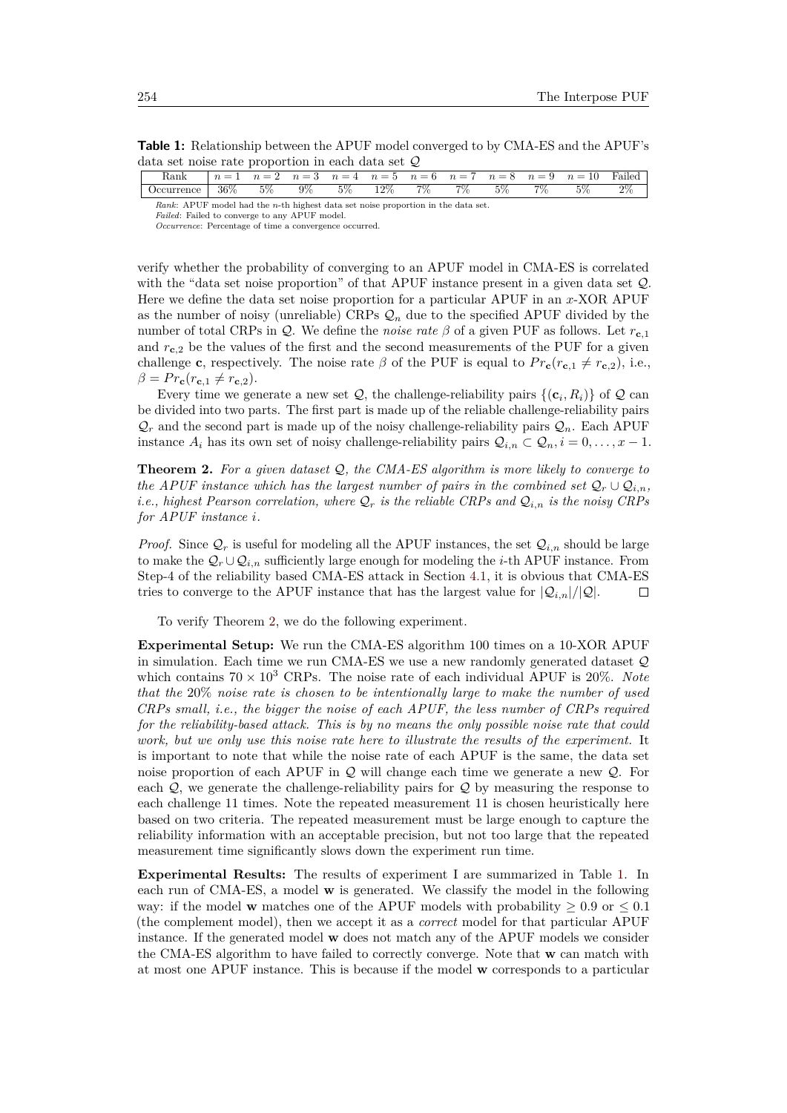**Table 1:** Relationship between the APUF model converged to by CMA-ES and the APUF's data set noise rate proportion in each data set Q

<span id="page-11-1"></span>

| $\operatorname{Rank}$                                                                      |     | $\overline{\phantom{0}}$ | $n=3$ | $n=4$ | $n = 5$ | $n=6$ | $n = 7$ | $n = 8$ | $n = 9$ | $n=10$ | -Failed |
|--------------------------------------------------------------------------------------------|-----|--------------------------|-------|-------|---------|-------|---------|---------|---------|--------|---------|
| currence                                                                                   | 36% | 5%                       | 9%    | 50%   | 12%     | $7\%$ | $7\%$   | 5%      | $7\%$   | 5%     | 07      |
| Rank:<br>APUE model had the <i>n</i> -th highest data set noise proportion in the data set |     |                          |       |       |         |       |         |         |         |        |         |

*Rank*: APUF model had the *n*-th highest data set noise proportion in the data set. *Failed*: Failed to converge to any APUF model.

verify whether the probability of converging to an APUF model in CMA-ES is correlated with the "data set noise proportion" of that APUF instance present in a given data set Q. Here we define the data set noise proportion for a particular APUF in an *x*-XOR APUF as the number of noisy (unreliable) CRPs  $\mathcal{Q}_n$  due to the specified APUF divided by the number of total CRPs in Q. We define the *noise rate β* of a given PUF as follows. Let *r***<sup>c</sup>***,*<sup>1</sup> and  $r_{c}$ <sub>2</sub> be the values of the first and the second measurements of the PUF for a given challenge **c**, respectively. The noise rate  $\beta$  of the PUF is equal to  $Pr_{\mathbf{c}}(r_{\mathbf{c},1} \neq r_{\mathbf{c},2})$ , i.e.,  $\beta = Pr_{\mathbf{c}}(r_{\mathbf{c},1} \neq r_{\mathbf{c},2}).$ 

Every time we generate a new set  $Q$ , the challenge-reliability pairs  $\{(\mathbf{c}_i, R_i)\}\$  of  $Q$  can be divided into two parts. The first part is made up of the reliable challenge-reliability pairs  $\mathcal{Q}_r$  and the second part is made up of the noisy challenge-reliability pairs  $\mathcal{Q}_n$ . Each APUF instance  $A_i$  has its own set of noisy challenge-reliability pairs  $Q_{i,n} \subset Q_n$ ,  $i = 0, \ldots, x - 1$ .

<span id="page-11-0"></span>**Theorem 2.** *For a given dataset* Q*, the CMA-ES algorithm is more likely to converge to the APUF instance which has the largest number of pairs in the combined set*  $Q_r \cup Q_{i,n}$ *, i.e., highest Pearson correlation, where*  $Q_r$  *is the reliable CRPs and*  $Q_{i,n}$  *is the noisy CRPs for APUF instance i.*

*Proof.* Since  $Q_r$  is useful for modeling all the APUF instances, the set  $Q_{i,n}$  should be large to make the  $\mathcal{Q}_r \cup \mathcal{Q}_{i,n}$  sufficiently large enough for modeling the *i*-th APUF instance. From Step-4 of the reliability based CMA-ES attack in Section [4.1,](#page-8-0) it is obvious that CMA-ES tries to converge to the APUF instance that has the largest value for  $|Q_{i,n}|/|Q|$ .  $\Box$ 

To verify Theorem [2,](#page-11-0) we do the following experiment.

**Experimental Setup:** We run the CMA-ES algorithm 100 times on a 10-XOR APUF in simulation. Each time we run CMA-ES we use a new randomly generated dataset Q which contains  $70 \times 10^3$  CRPs. The noise rate of each individual APUF is 20%. Note *that the* 20% *noise rate is chosen to be intentionally large to make the number of used CRPs small, i.e., the bigger the noise of each APUF, the less number of CRPs required for the reliability-based attack. This is by no means the only possible noise rate that could work, but we only use this noise rate here to illustrate the results of the experiment.* It is important to note that while the noise rate of each APUF is the same, the data set noise proportion of each APUF in Q will change each time we generate a new Q. For each  $Q$ , we generate the challenge-reliability pairs for  $Q$  by measuring the response to each challenge 11 times. Note the repeated measurement 11 is chosen heuristically here based on two criteria. The repeated measurement must be large enough to capture the reliability information with an acceptable precision, but not too large that the repeated measurement time significantly slows down the experiment run time.

**Experimental Results:** The results of experiment I are summarized in Table [1.](#page-11-1) In each run of CMA-ES, a model **w** is generated. We classify the model in the following way: if the model **w** matches one of the APUF models with probability  $\geq 0.9$  or  $\leq 0.1$ (the complement model), then we accept it as a *correct* model for that particular APUF instance. If the generated model **w** does not match any of the APUF models we consider the CMA-ES algorithm to have failed to correctly converge. Note that **w** can match with at most one APUF instance. This is because if the model **w** corresponds to a particular

*Occurrence*: Percentage of time a convergence occurred.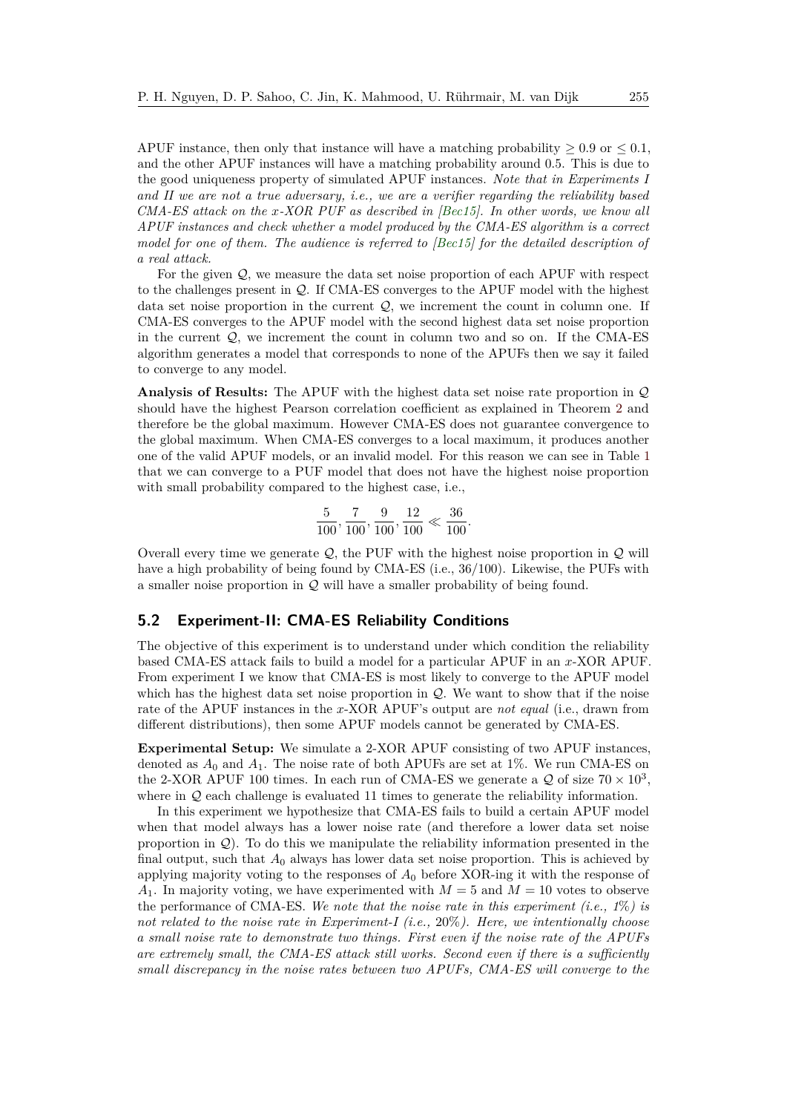APUF instance, then only that instance will have a matching probability  $\geq 0.9$  or  $\leq 0.1$ , and the other APUF instances will have a matching probability around 0*.*5. This is due to the good uniqueness property of simulated APUF instances. *Note that in Experiments I and II we are not a true adversary, i.e., we are a verifier regarding the reliability based CMA-ES attack on the x-XOR PUF as described in [\[Bec15\]](#page-44-4). In other words, we know all APUF instances and check whether a model produced by the CMA-ES algorithm is a correct model for one of them. The audience is referred to [\[Bec15\]](#page-44-4) for the detailed description of a real attack.*

For the given  $\mathcal{Q}$ , we measure the data set noise proportion of each APUF with respect to the challenges present in Q. If CMA-ES converges to the APUF model with the highest data set noise proportion in the current  $Q$ , we increment the count in column one. If CMA-ES converges to the APUF model with the second highest data set noise proportion in the current  $Q$ , we increment the count in column two and so on. If the CMA-ES algorithm generates a model that corresponds to none of the APUFs then we say it failed to converge to any model.

**Analysis of Results:** The APUF with the highest data set noise rate proportion in Q should have the highest Pearson correlation coefficient as explained in Theorem [2](#page-11-0) and therefore be the global maximum. However CMA-ES does not guarantee convergence to the global maximum. When CMA-ES converges to a local maximum, it produces another one of the valid APUF models, or an invalid model. For this reason we can see in Table [1](#page-11-1) that we can converge to a PUF model that does not have the highest noise proportion with small probability compared to the highest case, i.e.,

$$
\frac{5}{100}, \frac{7}{100}, \frac{9}{100}, \frac{12}{100} \ll \frac{36}{100}.
$$

Overall every time we generate  $Q$ , the PUF with the highest noise proportion in  $Q$  will have a high probability of being found by CMA-ES (i.e., 36*/*100). Likewise, the PUFs with a smaller noise proportion in Q will have a smaller probability of being found.

### <span id="page-12-0"></span>**5.2 Experiment-II: CMA-ES Reliability Conditions**

The objective of this experiment is to understand under which condition the reliability based CMA-ES attack fails to build a model for a particular APUF in an *x*-XOR APUF. From experiment I we know that CMA-ES is most likely to converge to the APUF model which has the highest data set noise proportion in  $\mathcal{Q}$ . We want to show that if the noise rate of the APUF instances in the *x*-XOR APUF's output are *not equal* (i.e., drawn from different distributions), then some APUF models cannot be generated by CMA-ES.

**Experimental Setup:** We simulate a 2-XOR APUF consisting of two APUF instances, denoted as  $A_0$  and  $A_1$ . The noise rate of both APUFs are set at 1%. We run CMA-ES on the 2-XOR APUF 100 times. In each run of CMA-ES we generate a  $\mathcal Q$  of size  $70 \times 10^3$ , where in  $\mathcal Q$  each challenge is evaluated 11 times to generate the reliability information.

In this experiment we hypothesize that CMA-ES fails to build a certain APUF model when that model always has a lower noise rate (and therefore a lower data set noise proportion in  $Q$ ). To do this we manipulate the reliability information presented in the final output, such that *A*<sup>0</sup> always has lower data set noise proportion. This is achieved by applying majority voting to the responses of *A*<sup>0</sup> before XOR-ing it with the response of  $A_1$ . In majority voting, we have experimented with  $M = 5$  and  $M = 10$  votes to observe the performance of CMA-ES. *We note that the noise rate in this experiment (i.e., 1*%*) is not related to the noise rate in Experiment-I (i.e.,* 20%*). Here, we intentionally choose a small noise rate to demonstrate two things. First even if the noise rate of the APUFs are extremely small, the CMA-ES attack still works. Second even if there is a sufficiently small discrepancy in the noise rates between two APUFs, CMA-ES will converge to the*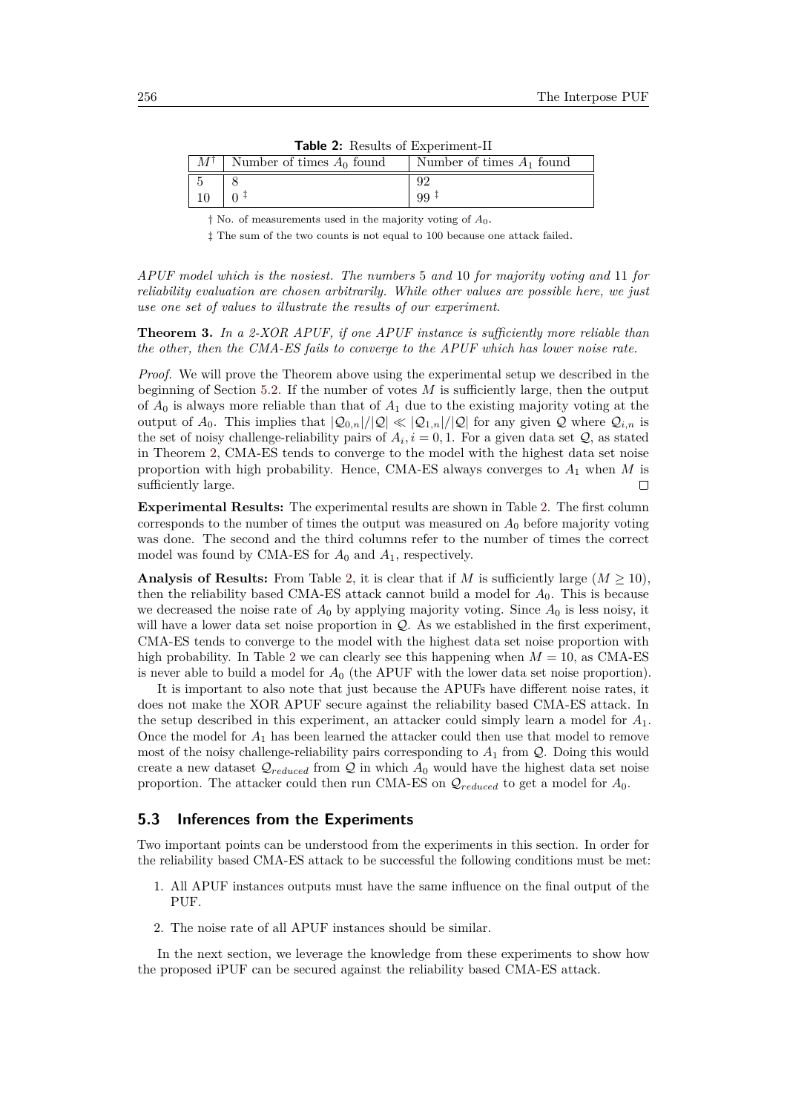<span id="page-13-0"></span>

| $\frac{1}{2}$ and $\frac{2}{2}$ . Results of Experiment-11 |                             |
|------------------------------------------------------------|-----------------------------|
| Number of times $A_0$ found                                | Number of times $A_1$ found |
|                                                            |                             |
|                                                            |                             |

**Table 2:** Results of Experiment-II

‡ The sum of the two counts is not equal to 100 because one attack failed.

*APUF model which is the nosiest. The numbers* 5 *and* 10 *for majority voting and* 11 *for reliability evaluation are chosen arbitrarily. While other values are possible here, we just use one set of values to illustrate the results of our experiment*.

**Theorem 3.** *In a 2-XOR APUF, if one APUF instance is sufficiently more reliable than the other, then the CMA-ES fails to converge to the APUF which has lower noise rate.*

*Proof.* We will prove the Theorem above using the experimental setup we described in the beginning of Section [5.2.](#page-12-0) If the number of votes *M* is sufficiently large, then the output of *A*<sup>0</sup> is always more reliable than that of *A*<sup>1</sup> due to the existing majority voting at the output of  $A_0$ . This implies that  $|Q_{0,n}|/|Q| \ll |Q_{1,n}|/|Q|$  for any given Q where  $Q_{i,n}$  is the set of noisy challenge-reliability pairs of  $A_i$ ,  $i = 0, 1$ . For a given data set  $\mathcal{Q}$ , as stated in Theorem [2,](#page-11-0) CMA-ES tends to converge to the model with the highest data set noise proportion with high probability. Hence, CMA-ES always converges to *A*<sup>1</sup> when *M* is sufficiently large.  $\Box$ 

**Experimental Results:** The experimental results are shown in Table [2.](#page-13-0) The first column corresponds to the number of times the output was measured on  $A_0$  before majority voting was done. The second and the third columns refer to the number of times the correct model was found by CMA-ES for  $A_0$  and  $A_1$ , respectively.

**Analysis of Results:** From Table [2,](#page-13-0) it is clear that if *M* is sufficiently large  $(M \geq 10)$ , then the reliability based CMA-ES attack cannot build a model for *A*0. This is because we decreased the noise rate of  $A_0$  by applying majority voting. Since  $A_0$  is less noisy, it will have a lower data set noise proportion in  $\mathcal{Q}$ . As we established in the first experiment, CMA-ES tends to converge to the model with the highest data set noise proportion with high probability. In Table [2](#page-13-0) we can clearly see this happening when  $M = 10$ , as CMA-ES is never able to build a model for  $A_0$  (the APUF with the lower data set noise proportion).

It is important to also note that just because the APUFs have different noise rates, it does not make the XOR APUF secure against the reliability based CMA-ES attack. In the setup described in this experiment, an attacker could simply learn a model for  $A_1$ . Once the model for  $A_1$  has been learned the attacker could then use that model to remove most of the noisy challenge-reliability pairs corresponding to  $A_1$  from  $\mathcal Q$ . Doing this would create a new dataset  $\mathcal{Q}_{reduced}$  from  $\mathcal Q$  in which  $A_0$  would have the highest data set noise proportion. The attacker could then run CMA-ES on Q*reduced* to get a model for *A*0.

### **5.3 Inferences from the Experiments**

Two important points can be understood from the experiments in this section. In order for the reliability based CMA-ES attack to be successful the following conditions must be met:

- 1. All APUF instances outputs must have the same influence on the final output of the PUF.
- 2. The noise rate of all APUF instances should be similar.

In the next section, we leverage the knowledge from these experiments to show how the proposed iPUF can be secured against the reliability based CMA-ES attack.

<sup>†</sup> No. of measurements used in the majority voting of *A*0.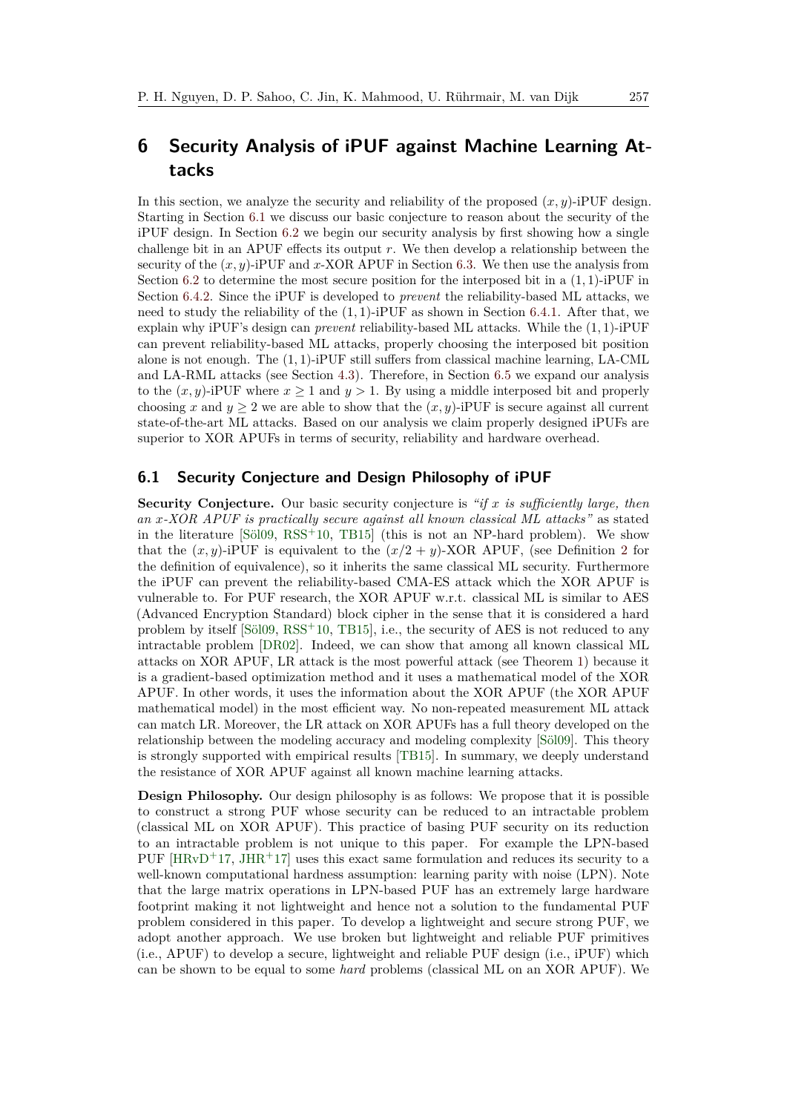## <span id="page-14-0"></span>**6 Security Analysis of iPUF against Machine Learning Attacks**

In this section, we analyze the security and reliability of the proposed  $(x, y)$ -iPUF design. Starting in Section [6.1](#page-14-1) we discuss our basic conjecture to reason about the security of the iPUF design. In Section [6.2](#page-15-1) we begin our security analysis by first showing how a single challenge bit in an APUF effects its output *r*. We then develop a relationship between the security of the (*x, y*)-iPUF and *x*-XOR APUF in Section [6.3.](#page-15-0) We then use the analysis from Section [6.2](#page-15-1) to determine the most secure position for the interposed bit in a (1*,* 1)-iPUF in Section [6.4.2.](#page-18-0) Since the iPUF is developed to *prevent* the reliability-based ML attacks, we need to study the reliability of the (1*,* 1)-iPUF as shown in Section [6.4.1.](#page-18-1) After that, we explain why iPUF's design can *prevent* reliability-based ML attacks. While the (1*,* 1)-iPUF can prevent reliability-based ML attacks, properly choosing the interposed bit position alone is not enough. The (1*,* 1)-iPUF still suffers from classical machine learning, LA-CML and LA-RML attacks (see Section [4.3\)](#page-10-1). Therefore, in Section [6.5](#page-20-0) we expand our analysis to the  $(x, y)$ -iPUF where  $x \ge 1$  and  $y > 1$ . By using a middle interposed bit and properly choosing *x* and  $y \ge 2$  we are able to show that the  $(x, y)$ -iPUF is secure against all current state-of-the-art ML attacks. Based on our analysis we claim properly designed iPUFs are superior to XOR APUFs in terms of security, reliability and hardware overhead.

### <span id="page-14-1"></span>**6.1 Security Conjecture and Design Philosophy of iPUF**

**Security Conjecture.** Our basic security conjecture is *"if x is sufficiently large, then an x-XOR APUF is practically secure against all known classical ML attacks"* as stated in the literature [\[Söl09,](#page-47-3) [RSS](#page-46-3)<sup>+</sup>10, [TB15\]](#page-47-4) (this is not an NP-hard problem). We show that the  $(x, y)$ -iPUF is equivalent to the  $(x/2 + y)$  $(x/2 + y)$  $(x/2 + y)$ -XOR APUF, (see Definition 2 for the definition of equivalence), so it inherits the same classical ML security. Furthermore the iPUF can prevent the reliability-based CMA-ES attack which the XOR APUF is vulnerable to. For PUF research, the XOR APUF w.r.t. classical ML is similar to AES (Advanced Encryption Standard) block cipher in the sense that it is considered a hard problem by itself  $[5\ddot{o}109, RSS^+10, TB15]$  $[5\ddot{o}109, RSS^+10, TB15]$  $[5\ddot{o}109, RSS^+10, TB15]$  $[5\ddot{o}109, RSS^+10, TB15]$ , i.e., the security of AES is not reduced to any intractable problem [\[DR02\]](#page-44-11). Indeed, we can show that among all known classical ML attacks on XOR APUF, LR attack is the most powerful attack (see Theorem [1\)](#page-6-1) because it is a gradient-based optimization method and it uses a mathematical model of the XOR APUF. In other words, it uses the information about the XOR APUF (the XOR APUF mathematical model) in the most efficient way. No non-repeated measurement ML attack can match LR. Moreover, the LR attack on XOR APUFs has a full theory developed on the relationship between the modeling accuracy and modeling complexity [\[Söl09\]](#page-47-3). This theory is strongly supported with empirical results [\[TB15\]](#page-47-4). In summary, we deeply understand the resistance of XOR APUF against all known machine learning attacks.

**Design Philosophy.** Our design philosophy is as follows: We propose that it is possible to construct a strong PUF whose security can be reduced to an intractable problem (classical ML on XOR APUF). This practice of basing PUF security on its reduction to an intractable problem is not unique to this paper. For example the LPN-based PUF  $[HRvD+17, JHR+17]$  $[HRvD+17, JHR+17]$  $[HRvD+17, JHR+17]$  $[HRvD+17, JHR+17]$  uses this exact same formulation and reduces its security to a well-known computational hardness assumption: learning parity with noise (LPN). Note that the large matrix operations in LPN-based PUF has an extremely large hardware footprint making it not lightweight and hence not a solution to the fundamental PUF problem considered in this paper. To develop a lightweight and secure strong PUF, we adopt another approach. We use broken but lightweight and reliable PUF primitives (i.e., APUF) to develop a secure, lightweight and reliable PUF design (i.e., iPUF) which can be shown to be equal to some *hard* problems (classical ML on an XOR APUF). We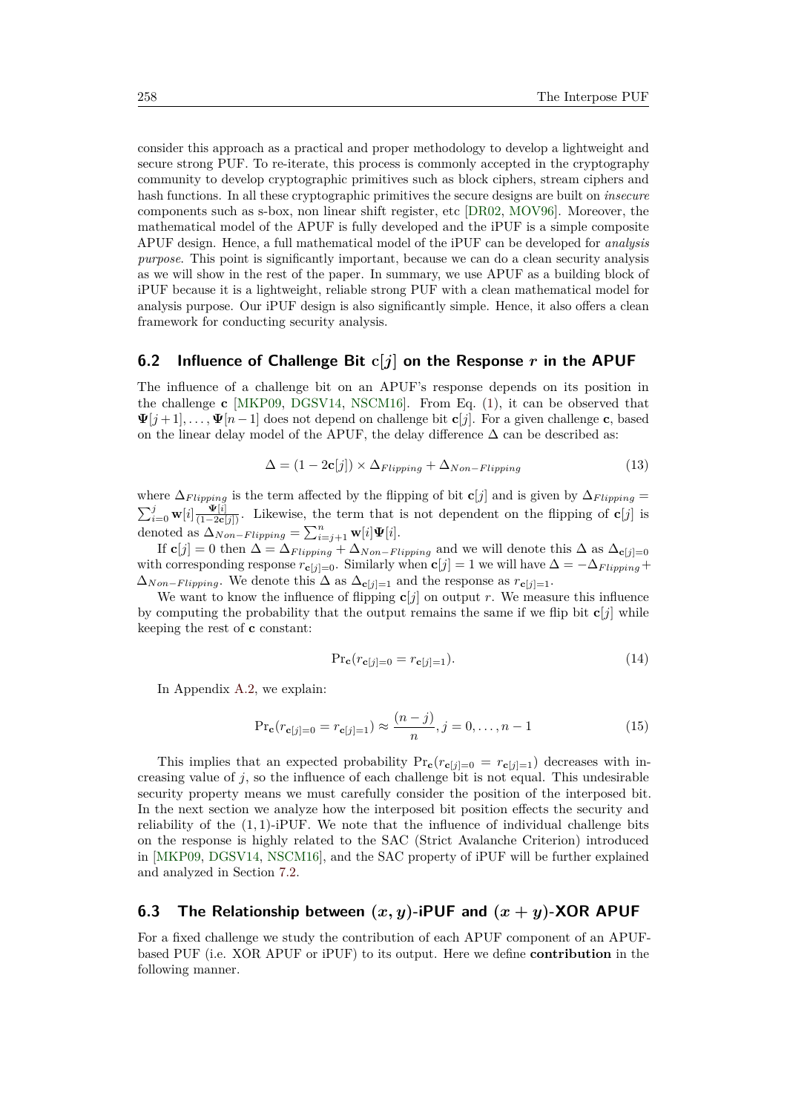consider this approach as a practical and proper methodology to develop a lightweight and secure strong PUF. To re-iterate, this process is commonly accepted in the cryptography community to develop cryptographic primitives such as block ciphers, stream ciphers and hash functions. In all these cryptographic primitives the secure designs are built on *insecure* components such as s-box, non linear shift register, etc [\[DR02,](#page-44-11) [MOV96\]](#page-46-7). Moreover, the mathematical model of the APUF is fully developed and the iPUF is a simple composite APUF design. Hence, a full mathematical model of the iPUF can be developed for *analysis purpose*. This point is significantly important, because we can do a clean security analysis as we will show in the rest of the paper. In summary, we use APUF as a building block of iPUF because it is a lightweight, reliable strong PUF with a clean mathematical model for analysis purpose. Our iPUF design is also significantly simple. Hence, it also offers a clean framework for conducting security analysis.

### <span id="page-15-1"></span>**6.2 Influence of Challenge Bit c[***j***] on the Response** *r* **in the APUF**

The influence of a challenge bit on an APUF's response depends on its position in the challenge **c** [\[MKP09,](#page-45-8) [DGSV14,](#page-44-12) [NSCM16\]](#page-46-8). From Eq. [\(1\)](#page-4-2), it can be observed that  $\Psi[j+1], \ldots, \Psi[n-1]$  does not depend on challenge bit **c**[*j*]. For a given challenge **c**, based on the linear delay model of the APUF, the delay difference  $\Delta$  can be described as:

$$
\Delta = (1 - 2c[j]) \times \Delta_{Flipping} + \Delta_{Non-Flipping}
$$
\n(13)

where  $\Delta_{Flipping}$  is the term affected by the flipping of bit **c**[*j*] and is given by  $\Delta_{Flipping}$  =  $\sum_{i=0}^{j}$  **w**[*i*] $\frac{\Psi[i]}{(1-2\mathbf{c}[j])}$ . Likewise, the term that is not dependent on the flipping of **c**[*j*] is denoted as  $\Delta_{Non-Flipping} = \sum_{i=j+1}^{n} \mathbf{w}[i] \mathbf{\Psi}[i].$ 

If  $\mathbf{c}[j] = 0$  then  $\Delta = \Delta_{Flipping} + \Delta_{Non-Flipping}$  and we will denote this  $\Delta$  as  $\Delta_{\mathbf{c}[j]=0}$ with corresponding response  $r_{\mathbf{c}[j]=0}$ . Similarly when  $\mathbf{c}[j] = 1$  we will have  $\Delta = -\Delta_{Flipping} +$  $\Delta_{Non-Flipping}$ . We denote this  $\Delta$  as  $\Delta_{\mathbf{c}[j]=1}$  and the response as  $r_{\mathbf{c}[j]=1}$ .

We want to know the influence of flipping  $\mathbf{c}[j]$  on output *r*. We measure this influence by computing the probability that the output remains the same if we flip bit  $c[j]$  while keeping the rest of **c** constant:

<span id="page-15-3"></span>
$$
\Pr_{\mathbf{c}}(r_{\mathbf{c}[j]=0} = r_{\mathbf{c}[j]=1}).\tag{14}
$$

In Appendix [A.2,](#page-41-1) we explain:

<span id="page-15-2"></span>
$$
\Pr_{\mathbf{c}}(r_{\mathbf{c}[j]=0} = r_{\mathbf{c}[j]=1}) \approx \frac{(n-j)}{n}, j = 0, \dots, n-1
$$
 (15)

This implies that an expected probability  $Pr_c(r_{c[j]=0} = r_{c[j]=1})$  decreases with increasing value of  $j$ , so the influence of each challenge bit is not equal. This undesirable security property means we must carefully consider the position of the interposed bit. In the next section we analyze how the interposed bit position effects the security and reliability of the  $(1, 1)$ -iPUF. We note that the influence of individual challenge bits on the response is highly related to the SAC (Strict Avalanche Criterion) introduced in [\[MKP09,](#page-45-8) [DGSV14,](#page-44-12) [NSCM16\]](#page-46-8), and the SAC property of iPUF will be further explained and analyzed in Section [7.2.](#page-27-0)

### <span id="page-15-0"></span>**6.3 The Relationship between**  $(x, y)$ -iPUF and  $(x + y)$ -XOR APUF

For a fixed challenge we study the contribution of each APUF component of an APUFbased PUF (i.e. XOR APUF or iPUF) to its output. Here we define **contribution** in the following manner.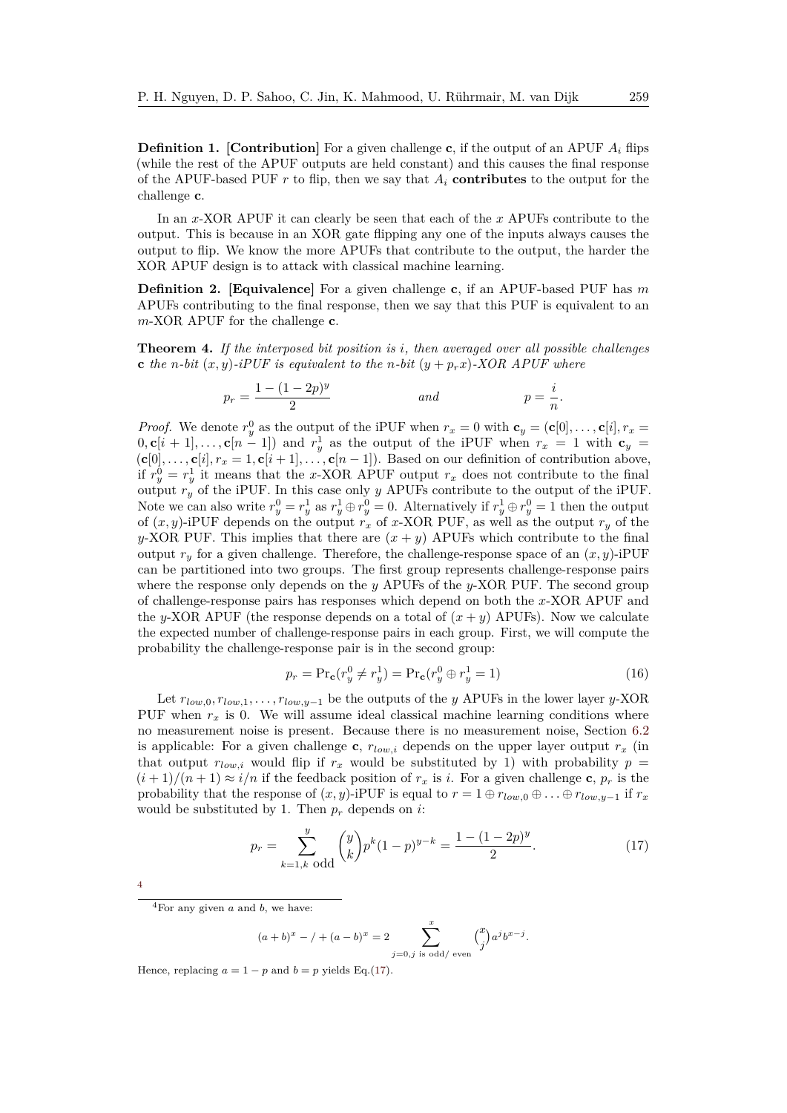**Definition 1.** [Contribution] For a given challenge **c**, if the output of an APUF  $A_i$  flips (while the rest of the APUF outputs are held constant) and this causes the final response of the APUF-based PUF *r* to flip, then we say that *A<sup>i</sup>* **contributes** to the output for the challenge **c**.

In an *x*-XOR APUF it can clearly be seen that each of the *x* APUFs contribute to the output. This is because in an XOR gate flipping any one of the inputs always causes the output to flip. We know the more APUFs that contribute to the output, the harder the XOR APUF design is to attack with classical machine learning.

<span id="page-16-1"></span>**Definition 2. [Equivalence]** For a given challenge **c**, if an APUF-based PUF has *m* APUFs contributing to the final response, then we say that this PUF is equivalent to an *m*-XOR APUF for the challenge **c**.

<span id="page-16-0"></span>**Theorem 4.** *If the interposed bit position is i, then averaged over all possible challenges* **c** the *n*-bit  $(x, y)$ -iPUF is equivalent to the *n*-bit  $(y + p_r x)$ -XOR APUF where

$$
p_r = \frac{1 - (1 - 2p)^y}{2}
$$
 and 
$$
p = \frac{i}{n}.
$$

*Proof.* We denote  $r_y^0$  as the output of the iPUF when  $r_x = 0$  with  $\mathbf{c}_y = (\mathbf{c}[0], \dots, \mathbf{c}[i], r_x = 0)$  $(0, \mathbf{c}[i+1], \ldots, \mathbf{c}[n-1])$  and  $r_y^1$  as the output of the iPUF when  $r_x = 1$  with  $\mathbf{c}_y =$  $(c[0], \ldots, c[i], r_x = 1, c[i+1], \ldots, c[n-1])$ . Based on our definition of contribution above, if  $r_y^0 = r_y^1$  it means that the *x*-XOR APUF output  $r_x$  does not contribute to the final output *r<sup>y</sup>* of the iPUF. In this case only *y* APUFs contribute to the output of the iPUF. Note we can also write  $r_y^0 = r_y^1$  as  $r_y^1 \oplus r_y^0 = 0$ . Alternatively if  $r_y^1 \oplus r_y^0 = 1$  then the output of (*x, y*)-iPUF depends on the output *r<sup>x</sup>* of *x*-XOR PUF, as well as the output *r<sup>y</sup>* of the *y*-XOR PUF. This implies that there are  $(x + y)$  APUFs which contribute to the final output  $r_y$  for a given challenge. Therefore, the challenge-response space of an  $(x, y)$ -iPUF can be partitioned into two groups. The first group represents challenge-response pairs where the response only depends on the *y* APUFs of the *y*-XOR PUF. The second group of challenge-response pairs has responses which depend on both the *x*-XOR APUF and the *y*-XOR APUF (the response depends on a total of  $(x + y)$  APUFs). Now we calculate the expected number of challenge-response pairs in each group. First, we will compute the probability the challenge-response pair is in the second group:

$$
p_r = \Pr{\mathbf{c}}(r_y^0 \neq r_y^1) = \Pr{\mathbf{c}}(r_y^0 \oplus r_y^1 = 1)
$$
\n(16)

Let *rlow,*0*, rlow,*1*, . . . , rlow,y*−<sup>1</sup> be the outputs of the *y* APUFs in the lower layer *y*-XOR PUF when  $r_x$  is 0. We will assume ideal classical machine learning conditions where no measurement noise is present. Because there is no measurement noise, Section [6.2](#page-15-1) is applicable: For a given challenge **c**,  $r_{low,i}$  depends on the upper layer output  $r_x$  (in that output  $r_{low,i}$  would flip if  $r_x$  would be substituted by 1) with probability  $p =$  $(i+1)/(n+1) \approx i/n$  if the feedback position of  $r_x$  is *i*. For a given challenge **c**,  $p_r$  is the probability that the response of  $(x, y)$ -iPUF is equal to  $r = 1 \oplus r_{low,0} \oplus ... \oplus r_{low,y-1}$  if  $r_x$ would be substituted by 1. Then  $p_r$  depends on *i*:

<span id="page-16-3"></span>
$$
p_r = \sum_{k=1,k \text{ odd}}^{y} \binom{y}{k} p^k (1-p)^{y-k} = \frac{1 - (1-2p)^y}{2}.
$$
 (17)

| I |
|---|
|   |
|   |
|   |

$$
(a+b)^{x} - / + (a-b)^{x} = 2 \sum_{j=0,j \text{ is odd/ even}}^{x} {x \choose j} a^{j}b^{x-j}.
$$

Hence, replacing  $a = 1 - p$  and  $b = p$  yields Eq.[\(17\)](#page-16-3).

<span id="page-16-2"></span> ${}^{4}$ For any given *a* and *b*, we have: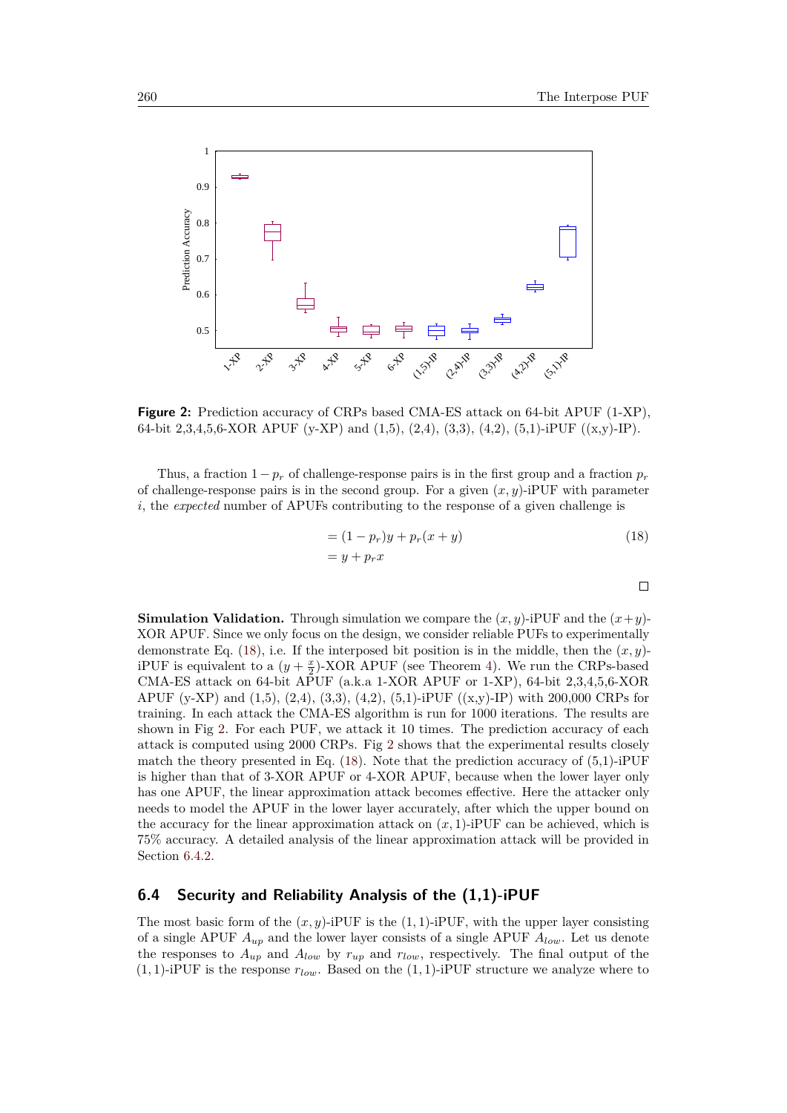<span id="page-17-0"></span> $\Box$ 

<span id="page-17-1"></span>

**Figure 2:** Prediction accuracy of CRPs based CMA-ES attack on 64-bit APUF (1-XP), 64-bit 2,3,4,5,6-XOR APUF (y-XP) and (1,5), (2,4), (3,3), (4,2), (5,1)-iPUF ((x,y)-IP).

Thus, a fraction  $1 - p_r$  of challenge-response pairs is in the first group and a fraction  $p_r$ of challenge-response pairs is in the second group. For a given  $(x, y)$ -iPUF with parameter *i*, the *expected* number of APUFs contributing to the response of a given challenge is

$$
= (1 - pr)y + pr(x + y)
$$
  
= y + p<sub>r</sub>x (18)

**Simulation Validation.** Through simulation we compare the  $(x, y)$ -iPUF and the  $(x + y)$ -XOR APUF. Since we only focus on the design, we consider reliable PUFs to experimentally demonstrate Eq.  $(18)$ , i.e. If the interposed bit position is in the middle, then the  $(x, y)$ iPUF is equivalent to a  $(y + \frac{x}{2})$ -XOR APUF (see Theorem [4\)](#page-16-0). We run the CRPs-based CMA-ES attack on 64-bit APUF (a.k.a 1-XOR APUF or 1-XP), 64-bit 2,3,4,5,6-XOR APUF (y-XP) and  $(1,5)$ ,  $(2,4)$ ,  $(3,3)$ ,  $(4,2)$ ,  $(5,1)$ -iPUF  $((x,y)$ -IP) with 200,000 CRPs for training. In each attack the CMA-ES algorithm is run for 1000 iterations. The results are shown in Fig [2.](#page-17-1) For each PUF, we attack it 10 times. The prediction accuracy of each attack is computed using 2000 CRPs. Fig [2](#page-17-1) shows that the experimental results closely match the theory presented in Eq.  $(18)$ . Note that the prediction accuracy of  $(5,1)$ -iPUF is higher than that of 3-XOR APUF or 4-XOR APUF, because when the lower layer only has one APUF, the linear approximation attack becomes effective. Here the attacker only needs to model the APUF in the lower layer accurately, after which the upper bound on the accuracy for the linear approximation attack on  $(x, 1)$ -iPUF can be achieved, which is 75% accuracy. A detailed analysis of the linear approximation attack will be provided in Section [6.4.2.](#page-18-0)

### <span id="page-17-2"></span>**6.4 Security and Reliability Analysis of the (1,1)-iPUF**

The most basic form of the  $(x, y)$ -iPUF is the  $(1, 1)$ -iPUF, with the upper layer consisting of a single APUF *Aup* and the lower layer consists of a single APUF *Alow*. Let us denote the responses to *Aup* and *Alow* by *rup* and *rlow*, respectively. The final output of the  $(1,1)$ -iPUF is the response  $r_{low}$ . Based on the  $(1,1)$ -iPUF structure we analyze where to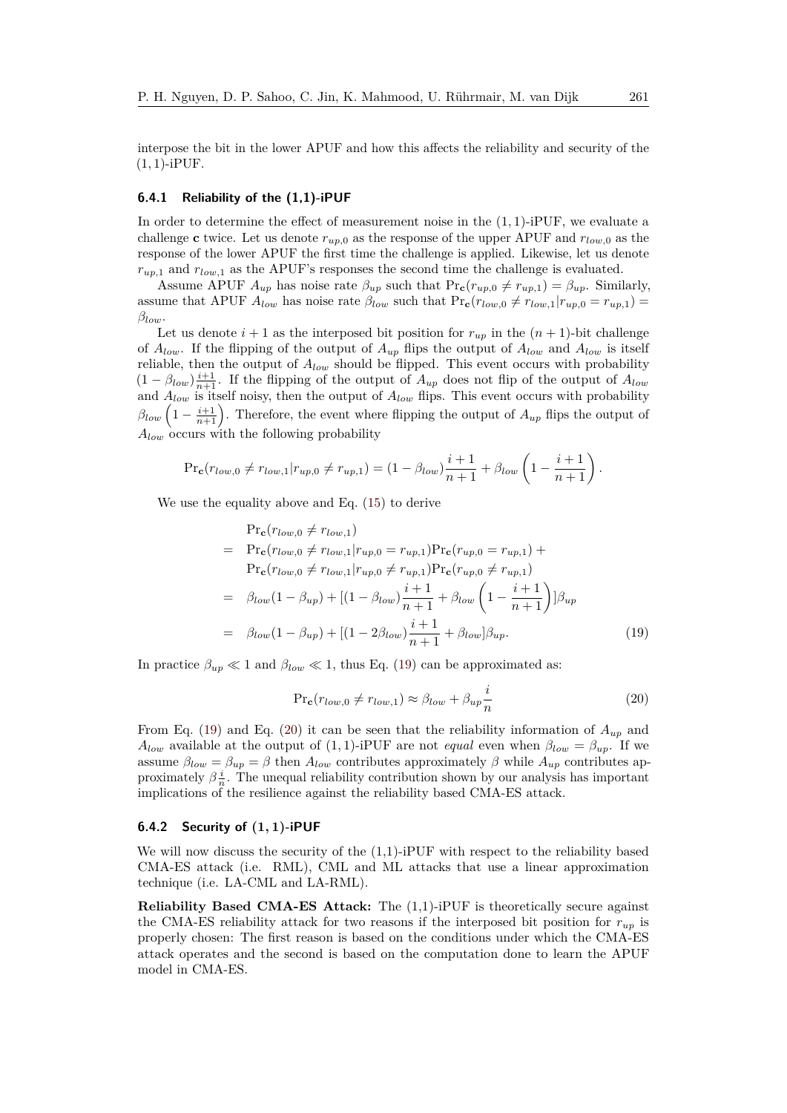interpose the bit in the lower APUF and how this affects the reliability and security of the (1*,* 1)-iPUF.

### <span id="page-18-1"></span>**6.4.1 Reliability of the (1,1)-iPUF**

In order to determine the effect of measurement noise in the (1*,* 1)-iPUF, we evaluate a challenge **c** twice. Let us denote  $r_{uv,0}$  as the response of the upper APUF and  $r_{low,0}$  as the response of the lower APUF the first time the challenge is applied. Likewise, let us denote *rup,*<sup>1</sup> and *rlow,*<sup>1</sup> as the APUF's responses the second time the challenge is evaluated.

Assume APUF  $A_{up}$  has noise rate  $\beta_{up}$  such that  $Pr_c(r_{up,0} \neq r_{up,1}) = \beta_{up}$ . Similarly, assume that APUF  $A_{low}$  has noise rate  $\beta_{low}$  such that  $Pr_c(r_{low,0} \neq r_{low,1}|r_{up,0} = r_{up,1})$ *βlow*.

Let us denote  $i + 1$  as the interposed bit position for  $r_{up}$  in the  $(n + 1)$ -bit challenge of  $A_{low}$ . If the flipping of the output of  $A_{up}$  flips the output of  $A_{low}$  and  $A_{low}$  is itself reliable, then the output of *Alow* should be flipped. This event occurs with probability  $(1 - \beta_{low})\frac{i+1}{n+1}$ . If the flipping of the output of  $A_{up}$  does not flip of the output of  $A_{low}$ and  $A_{low}$  is itself noisy, then the output of  $A_{low}$  flips. This event occurs with probability  $\beta_{low}\left(1-\frac{i+1}{n+1}\right)$ . Therefore, the event where flipping the output of  $A_{up}$  flips the output of *Alow* occurs with the following probability

$$
\Pr_{\mathbf{c}}(r_{low,0} \neq r_{low,1} | r_{up,0} \neq r_{up,1}) = (1 - \beta_{low}) \frac{i+1}{n+1} + \beta_{low} \left(1 - \frac{i+1}{n+1}\right).
$$

We use the equality above and Eq. [\(15\)](#page-15-2) to derive

<span id="page-18-2"></span>
$$
\Pr_{\mathbf{c}}(r_{low,0} \neq r_{low,1})
$$
\n
$$
= \Pr_{\mathbf{c}}(r_{low,0} \neq r_{low,1}|r_{up,0} = r_{up,1})\Pr_{\mathbf{c}}(r_{up,0} = r_{up,1}) +
$$
\n
$$
\Pr_{\mathbf{c}}(r_{low,0} \neq r_{low,1}|r_{up,0} \neq r_{up,1})\Pr_{\mathbf{c}}(r_{up,0} \neq r_{up,1})
$$
\n
$$
= \beta_{low}(1 - \beta_{up}) + [(1 - \beta_{low})\frac{i+1}{n+1} + \beta_{low}\left(1 - \frac{i+1}{n+1}\right)]\beta_{up}
$$
\n
$$
= \beta_{low}(1 - \beta_{up}) + [(1 - 2\beta_{low})\frac{i+1}{n+1} + \beta_{low}]\beta_{up}. \tag{19}
$$

In practice  $\beta_{up} \ll 1$  and  $\beta_{low} \ll 1$ , thus Eq. [\(19\)](#page-18-2) can be approximated as:

<span id="page-18-3"></span>
$$
\Pr_{\mathbf{c}}(r_{low,0} \neq r_{low,1}) \approx \beta_{low} + \beta_{up}\frac{i}{n}
$$
 (20)

From Eq. [\(19\)](#page-18-2) and Eq. [\(20\)](#page-18-3) it can be seen that the reliability information of  $A_{up}$  and *A*<sub>low</sub> available at the output of  $(1,1)$ -iPUF are not *equal* even when  $\beta_{low} = \beta_{up}$ . If we assume  $\beta_{low} = \beta_{up} = \beta$  then  $A_{low}$  contributes approximately  $\beta$  while  $A_{up}$  contributes approximately  $\beta \frac{i}{n}$ . The unequal reliability contribution shown by our analysis has important implications of the resilience against the reliability based CMA-ES attack.

#### <span id="page-18-0"></span>**6.4.2 Security of (1***,* **1)-iPUF**

We will now discuss the security of the  $(1,1)$ -iPUF with respect to the reliability based CMA-ES attack (i.e. RML), CML and ML attacks that use a linear approximation technique (i.e. LA-CML and LA-RML).

**Reliability Based CMA-ES Attack:** The (1,1)-iPUF is theoretically secure against the CMA-ES reliability attack for two reasons if the interposed bit position for  $r_{up}$  is properly chosen: The first reason is based on the conditions under which the CMA-ES attack operates and the second is based on the computation done to learn the APUF model in CMA-ES.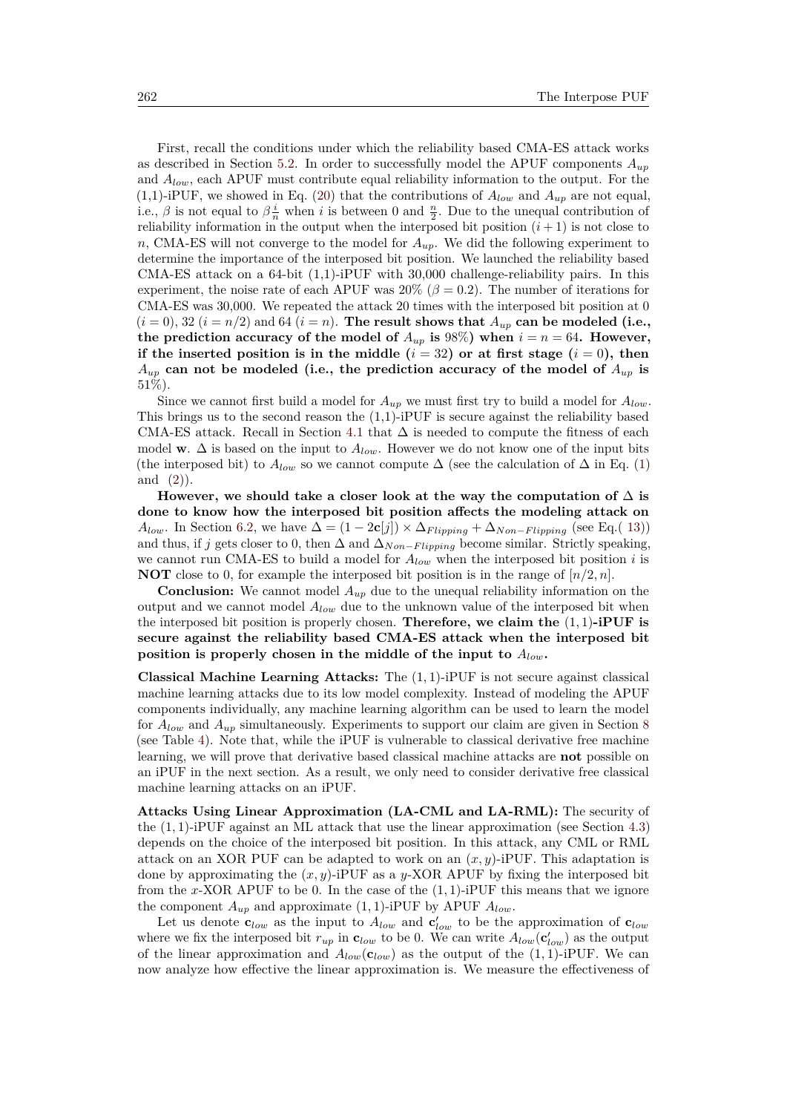First, recall the conditions under which the reliability based CMA-ES attack works as described in Section [5.2.](#page-12-0) In order to successfully model the APUF components *Aup* and *Alow*, each APUF must contribute equal reliability information to the output. For the (1,1)-iPUF, we showed in Eq. [\(20\)](#page-18-3) that the contributions of  $A_{low}$  and  $A_{up}$  are not equal, i.e.,  $\beta$  is not equal to  $\beta \frac{i}{n}$  when *i* is between 0 and  $\frac{n}{2}$ . Due to the unequal contribution of reliability information in the output when the interposed bit position  $(i + 1)$  is not close to *n*, CMA-ES will not converge to the model for *Aup*. We did the following experiment to determine the importance of the interposed bit position. We launched the reliability based CMA-ES attack on a 64-bit (1,1)-iPUF with 30,000 challenge-reliability pairs. In this experiment, the noise rate of each APUF was  $20\%$  ( $\beta = 0.2$ ). The number of iterations for CMA-ES was 30,000. We repeated the attack 20 times with the interposed bit position at 0  $(i = 0)$ , 32  $(i = n/2)$  and 64  $(i = n)$ . The result shows that  $A_{up}$  can be modeled (i.e., the prediction accuracy of the model of  $A_{up}$  is 98%) when  $i = n = 64$ . However, **if the inserted position is in the middle (** $i = 32$ **) or at first stage (** $i = 0$ **), then**  $A_{up}$  can not be modeled (i.e., the prediction accuracy of the model of  $A_{up}$  is 51%).

Since we cannot first build a model for  $A_{up}$  we must first try to build a model for  $A_{low}$ . This brings us to the second reason the  $(1,1)$ -iPUF is secure against the reliability based CMA-ES attack. Recall in Section [4.1](#page-8-0) that  $\Delta$  is needed to compute the fitness of each model **w**.  $\Delta$  is based on the input to  $A_{low}$ . However we do not know one of the input bits (the interposed bit) to  $A_{low}$  so we cannot compute  $\Delta$  (see the calculation of  $\Delta$  in Eq. [\(1\)](#page-4-2) and  $(2)$ ).

However, we should take a closer look at the way the computation of  $\Delta$  is **done to know how the interposed bit position affects the modeling attack on** *A*<sub>low</sub>. In Section [6.2,](#page-15-1) we have  $\Delta = (1 - 2c[j]) \times \Delta_{Flipping} + \Delta_{Non-Flipping}$  (see Eq.( [13\)](#page-15-3)) and thus, if *j* gets closer to 0, then  $\Delta$  and  $\Delta_{Non-Flipping}$  become similar. Strictly speaking, we cannot run CMA-ES to build a model for *Alow* when the interposed bit position *i* is **NOT** close to 0, for example the interposed bit position is in the range of  $[n/2, n]$ .

**Conclusion:** We cannot model *Aup* due to the unequal reliability information on the output and we cannot model *Alow* due to the unknown value of the interposed bit when the interposed bit position is properly chosen. **Therefore, we claim the** (1*,* 1)**-iPUF is secure against the reliability based CMA-ES attack when the interposed bit position is properly chosen in the middle of the input to** *Alow***.**

**Classical Machine Learning Attacks:** The (1*,* 1)-iPUF is not secure against classical machine learning attacks due to its low model complexity. Instead of modeling the APUF components individually, any machine learning algorithm can be used to learn the model for *Alow* and *Aup* simultaneously. Experiments to support our claim are given in Section [8](#page-28-0) (see Table [4\)](#page-29-1). Note that, while the iPUF is vulnerable to classical derivative free machine learning, we will prove that derivative based classical machine attacks are **not** possible on an iPUF in the next section. As a result, we only need to consider derivative free classical machine learning attacks on an iPUF.

**Attacks Using Linear Approximation (LA-CML and LA-RML):** The security of the (1*,* 1)-iPUF against an ML attack that use the linear approximation (see Section [4.3\)](#page-10-1) depends on the choice of the interposed bit position. In this attack, any CML or RML attack on an XOR PUF can be adapted to work on an  $(x, y)$ -iPUF. This adaptation is done by approximating the  $(x, y)$ -iPUF as a *y*-XOR APUF by fixing the interposed bit from the *x*-XOR APUF to be 0. In the case of the (1*,* 1)-iPUF this means that we ignore the component  $A_{up}$  and approximate  $(1, 1)$ -iPUF by APUF  $A_{low}$ .

Let us denote  $\mathbf{c}_{low}$  as the input to  $A_{low}$  and  $\mathbf{c}'_{low}$  to be the approximation of  $\mathbf{c}_{low}$ where we fix the interposed bit  $r_{up}$  in  $\mathbf{c}_{low}$  to be 0. We can write  $A_{low}(\mathbf{c}'_{low})$  as the output of the linear approximation and  $A_{low}(\mathbf{c}_{low})$  as the output of the  $(1, 1)$ -iPUF. We can now analyze how effective the linear approximation is. We measure the effectiveness of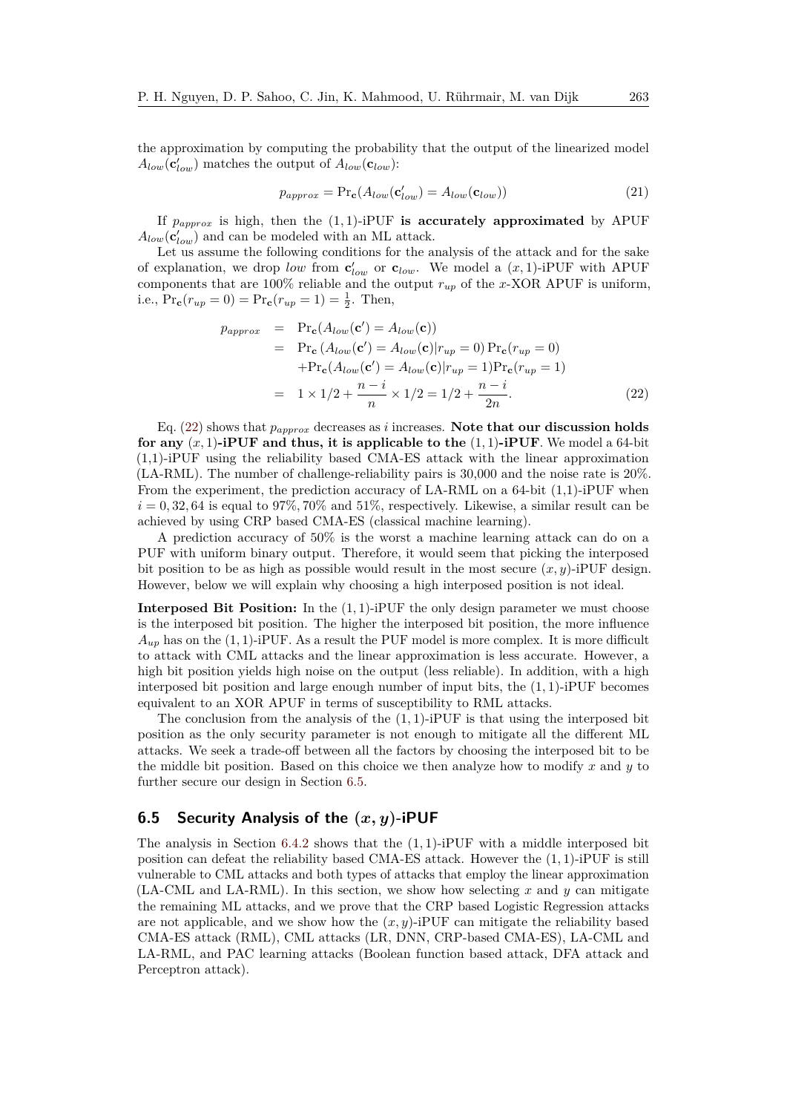the approximation by computing the probability that the output of the linearized model  $A_{low}$  ( $\mathbf{c}'_{low}$ ) matches the output of  $A_{low}$  ( $\mathbf{c}_{low}$ ):

$$
p_{approx} = \Pr_{\mathbf{c}}(A_{low}(\mathbf{c}'_{low}) = A_{low}(\mathbf{c}_{low}))
$$
\n(21)

If  $p_{\text{approx}}$  is high, then the (1,1)-iPUF is accurately approximated by APUF  $A_{low}(\mathbf{c}'_{low})$  and can be modeled with an ML attack.

Let us assume the following conditions for the analysis of the attack and for the sake of explanation, we drop *low* from  $\mathbf{c}'_{low}$  or  $\mathbf{c}_{low}$ . We model a  $(x, 1)$ -iPUF with APUF components that are 100% reliable and the output  $r_{up}$  of the *x*-XOR APUF is uniform, i.e.,  $Pr_{\mathbf{c}}(r_{up} = 0) = Pr_{\mathbf{c}}(r_{up} = 1) = \frac{1}{2}$ . Then,

<span id="page-20-1"></span>
$$
p_{approx} = \Pr_{\mathbf{c}}(A_{low}(\mathbf{c}') = A_{low}(\mathbf{c}))
$$
  
\n
$$
= \Pr_{\mathbf{c}}(A_{low}(\mathbf{c}') = A_{low}(\mathbf{c})|r_{up} = 0) \Pr_{\mathbf{c}}(r_{up} = 0)
$$
  
\n
$$
+ \Pr_{\mathbf{c}}(A_{low}(\mathbf{c}') = A_{low}(\mathbf{c})|r_{up} = 1) \Pr_{\mathbf{c}}(r_{up} = 1)
$$
  
\n
$$
= 1 \times 1/2 + \frac{n - i}{n} \times 1/2 = 1/2 + \frac{n - i}{2n}.
$$
 (22)

Eq. [\(22\)](#page-20-1) shows that *papprox* decreases as *i* increases. **Note that our discussion holds for any**  $(x, 1)$ **-iPUF and thus, it is applicable to the**  $(1, 1)$ **-iPUF**. We model a 64-bit (1,1)-iPUF using the reliability based CMA-ES attack with the linear approximation (LA-RML). The number of challenge-reliability pairs is 30,000 and the noise rate is 20%. From the experiment, the prediction accuracy of LA-RML on a 64-bit  $(1,1)$ -iPUF when  $i = 0, 32, 64$  is equal to 97%, 70% and 51%, respectively. Likewise, a similar result can be achieved by using CRP based CMA-ES (classical machine learning).

A prediction accuracy of 50% is the worst a machine learning attack can do on a PUF with uniform binary output. Therefore, it would seem that picking the interposed bit position to be as high as possible would result in the most secure  $(x, y)$ -iPUF design. However, below we will explain why choosing a high interposed position is not ideal.

**Interposed Bit Position:** In the  $(1, 1)$ -iPUF the only design parameter we must choose is the interposed bit position. The higher the interposed bit position, the more influence  $A_{up}$  has on the (1, 1)-iPUF. As a result the PUF model is more complex. It is more difficult to attack with CML attacks and the linear approximation is less accurate. However, a high bit position yields high noise on the output (less reliable). In addition, with a high interposed bit position and large enough number of input bits, the (1*,* 1)-iPUF becomes equivalent to an XOR APUF in terms of susceptibility to RML attacks.

The conclusion from the analysis of the (1*,* 1)-iPUF is that using the interposed bit position as the only security parameter is not enough to mitigate all the different ML attacks. We seek a trade-off between all the factors by choosing the interposed bit to be the middle bit position. Based on this choice we then analyze how to modify *x* and *y* to further secure our design in Section [6.5.](#page-20-0)

### <span id="page-20-0"></span>**6.5 Security Analysis of the (***x, y***)-iPUF**

The analysis in Section [6.4.2](#page-18-0) shows that the (1*,* 1)-iPUF with a middle interposed bit position can defeat the reliability based CMA-ES attack. However the (1*,* 1)-iPUF is still vulnerable to CML attacks and both types of attacks that employ the linear approximation (LA-CML and LA-RML). In this section, we show how selecting *x* and *y* can mitigate the remaining ML attacks, and we prove that the CRP based Logistic Regression attacks are not applicable, and we show how the  $(x, y)$ -iPUF can mitigate the reliability based CMA-ES attack (RML), CML attacks (LR, DNN, CRP-based CMA-ES), LA-CML and LA-RML, and PAC learning attacks (Boolean function based attack, DFA attack and Perceptron attack).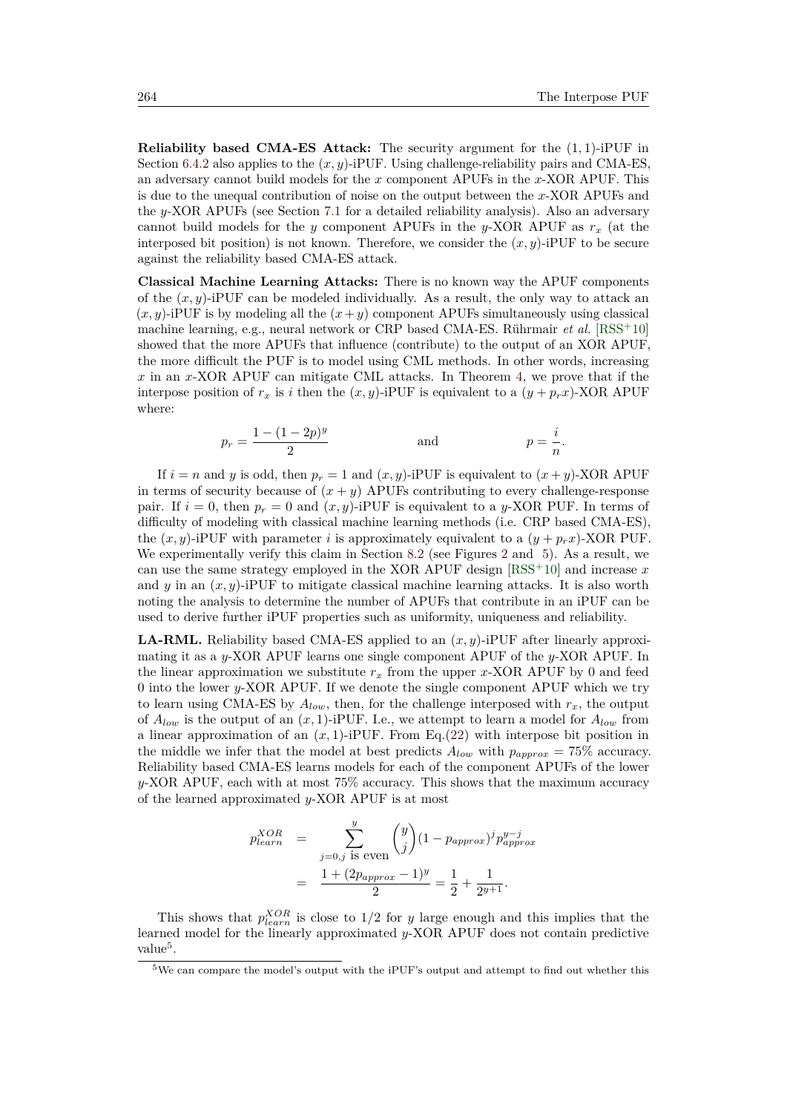**Reliability based CMA-ES Attack:** The security argument for the (1*,* 1)-iPUF in Section [6.4.2](#page-18-0) also applies to the  $(x, y)$ -iPUF. Using challenge-reliability pairs and CMA-ES, an adversary cannot build models for the *x* component APUFs in the *x*-XOR APUF. This is due to the unequal contribution of noise on the output between the *x*-XOR APUFs and the *y*-XOR APUFs (see Section [7.1](#page-26-1) for a detailed reliability analysis). Also an adversary cannot build models for the *y* component APUFs in the *y*-XOR APUF as *r<sup>x</sup>* (at the interposed bit position) is not known. Therefore, we consider the  $(x, y)$ -iPUF to be secure against the reliability based CMA-ES attack.

**Classical Machine Learning Attacks:** There is no known way the APUF components of the  $(x, y)$ -iPUF can be modeled individually. As a result, the only way to attack an  $(x, y)$ -iPUF is by modeling all the  $(x + y)$  component APUFs simultaneously using classical machine learning, e.g., neural network or CRP based CMA-ES. Rührmair *et al.* [\[RSS](#page-46-3)<sup>+</sup>10] showed that the more APUFs that influence (contribute) to the output of an XOR APUF, the more difficult the PUF is to model using CML methods. In other words, increasing *x* in an *x*-XOR APUF can mitigate CML attacks. In Theorem [4,](#page-16-0) we prove that if the interpose position of  $r_x$  is *i* then the  $(x, y)$ -iPUF is equivalent to a  $(y + p_x x)$ -XOR APUF where:

$$
p_r = \frac{1 - (1 - 2p)^y}{2}
$$
 and  $p = \frac{i}{n}$ .

If  $i = n$  and *y* is odd, then  $p_r = 1$  and  $(x, y)$ -iPUF is equivalent to  $(x + y)$ -XOR APUF in terms of security because of  $(x + y)$  APUFs contributing to every challenge-response pair. If  $i = 0$ , then  $p_r = 0$  and  $(x, y)$ -iPUF is equivalent to a y-XOR PUF. In terms of difficulty of modeling with classical machine learning methods (i.e. CRP based CMA-ES), the  $(x, y)$ -iPUF with parameter *i* is approximately equivalent to a  $(y + p_r x)$ -XOR PUF. We experimentally verify this claim in Section [8.2](#page-29-2) (see Figures [2](#page-17-1) and [5\)](#page-36-0). As a result, we can use the same strategy employed in the XOR APUF design [\[RSS](#page-46-3)<sup>+</sup>10] and increase *x* and  $y$  in an  $(x, y)$ -iPUF to mitigate classical machine learning attacks. It is also worth noting the analysis to determine the number of APUFs that contribute in an iPUF can be used to derive further iPUF properties such as uniformity, uniqueness and reliability.

**LA-RML.** Reliability based CMA-ES applied to an (*x, y*)-iPUF after linearly approximating it as a *y*-XOR APUF learns one single component APUF of the *y*-XOR APUF. In the linear approximation we substitute  $r_x$  from the upper *x*-XOR APUF by 0 and feed 0 into the lower *y*-XOR APUF. If we denote the single component APUF which we try to learn using CMA-ES by  $A_{low}$ , then, for the challenge interposed with  $r_x$ , the output of  $A_{low}$  is the output of an  $(x, 1)$ -iPUF. I.e., we attempt to learn a model for  $A_{low}$  from a linear approximation of an  $(x, 1)$ -iPUF. From Eq.[\(22\)](#page-20-1) with interpose bit position in the middle we infer that the model at best predicts  $A_{low}$  with  $p_{approx} = 75\%$  accuracy. Reliability based CMA-ES learns models for each of the component APUFs of the lower *y*-XOR APUF, each with at most 75% accuracy. This shows that the maximum accuracy of the learned approximated *y*-XOR APUF is at most

$$
p_{learn}^{XOR} = \sum_{j=0,j \text{ is even}}^{y} {y \choose j} (1 - p_{approx})^{j} p_{approx}^{y-j}
$$
  
= 
$$
\frac{1 + (2p_{approx} - 1)^{y}}{2} = \frac{1}{2} + \frac{1}{2^{y+1}}.
$$

This shows that  $p_{learn}^{XOR}$  is close to  $1/2$  for *y* large enough and this implies that the learned model for the linearly approximated *y*-XOR APUF does not contain predictive value<sup>[5](#page-21-0)</sup>.

<span id="page-21-0"></span><sup>5</sup>We can compare the model's output with the iPUF's output and attempt to find out whether this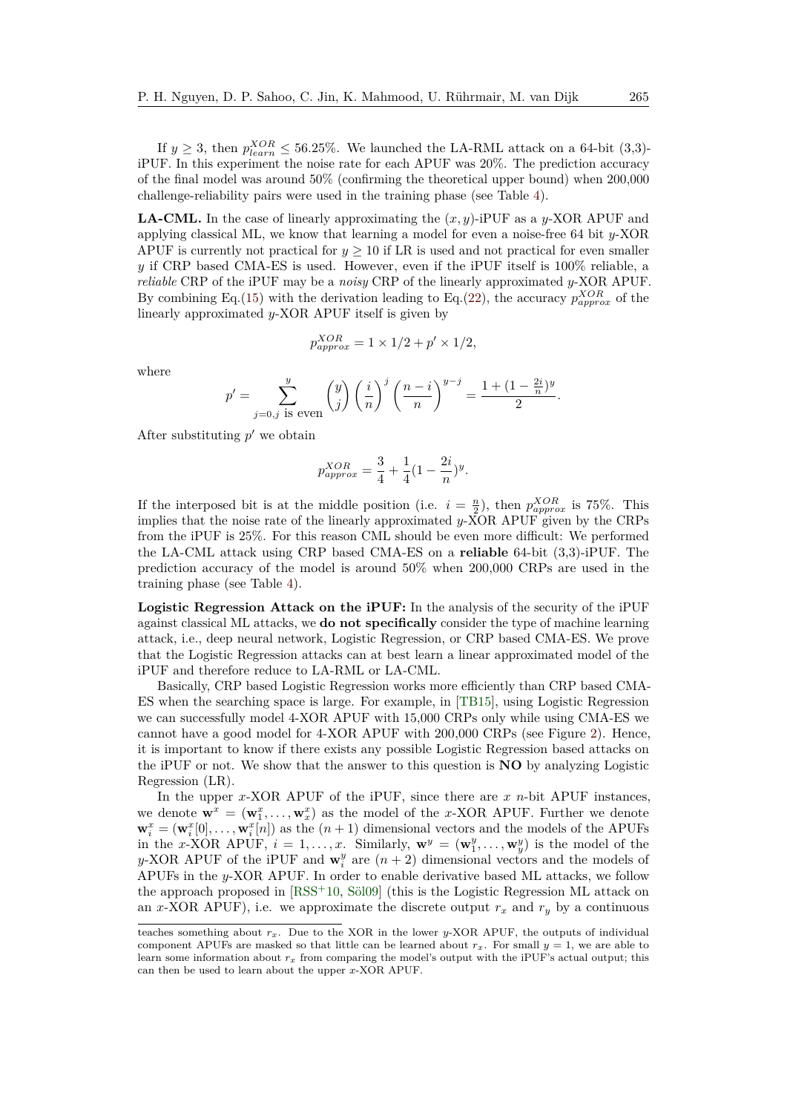If  $y \ge 3$ , then  $p_{learn}^{XOR} \le 56.25\%$ . We launched the LA-RML attack on a 64-bit (3,3)iPUF. In this experiment the noise rate for each APUF was 20%. The prediction accuracy of the final model was around 50% (confirming the theoretical upper bound) when 200,000 challenge-reliability pairs were used in the training phase (see Table [4\)](#page-29-1).

**LA-CML.** In the case of linearly approximating the (*x, y*)-iPUF as a *y*-XOR APUF and applying classical ML, we know that learning a model for even a noise-free 64 bit *y*-XOR APUF is currently not practical for  $y \ge 10$  if LR is used and not practical for even smaller *y* if CRP based CMA-ES is used. However, even if the iPUF itself is 100% reliable, a *reliable* CRP of the iPUF may be a *noisy* CRP of the linearly approximated *y*-XOR APUF. By combining Eq.[\(15\)](#page-15-2) with the derivation leading to Eq.[\(22\)](#page-20-1), the accuracy  $p_{approx}^{XOR}$  of the linearly approximated *y*-XOR APUF itself is given by

$$
p_{approx}^{XOR} = 1 \times 1/2 + p' \times 1/2,
$$

where

$$
p' = \sum_{j=0,j \text{ is even}}^{y} \binom{y}{j} \left(\frac{i}{n}\right)^j \left(\frac{n-i}{n}\right)^{y-j} = \frac{1 + (1 - \frac{2i}{n})^y}{2}.
$$

After substituting  $p'$  we obtain

$$
p_{approx}^{XOR} = \frac{3}{4} + \frac{1}{4}(1 - \frac{2i}{n})^y.
$$

If the interposed bit is at the middle position (i.e.  $i = \frac{n}{2}$ ), then  $p_{approx}^{XOR}$  is 75%. This implies that the noise rate of the linearly approximated *y*-XOR APUF given by the CRPs from the iPUF is 25%. For this reason CML should be even more difficult: We performed the LA-CML attack using CRP based CMA-ES on a **reliable** 64-bit (3,3)-iPUF. The prediction accuracy of the model is around 50% when 200,000 CRPs are used in the training phase (see Table [4\)](#page-29-1).

**Logistic Regression Attack on the iPUF:** In the analysis of the security of the iPUF against classical ML attacks, we **do not specifically** consider the type of machine learning attack, i.e., deep neural network, Logistic Regression, or CRP based CMA-ES. We prove that the Logistic Regression attacks can at best learn a linear approximated model of the iPUF and therefore reduce to LA-RML or LA-CML.

Basically, CRP based Logistic Regression works more efficiently than CRP based CMA-ES when the searching space is large. For example, in [\[TB15\]](#page-47-4), using Logistic Regression we can successfully model 4-XOR APUF with 15,000 CRPs only while using CMA-ES we cannot have a good model for 4-XOR APUF with 200,000 CRPs (see Figure [2\)](#page-17-1). Hence, it is important to know if there exists any possible Logistic Regression based attacks on the iPUF or not. We show that the answer to this question is **NO** by analyzing Logistic Regression (LR).

In the upper *x*-XOR APUF of the iPUF, since there are *x n*-bit APUF instances, we denote  $\mathbf{w}^x = (\mathbf{w}_1^x, \dots, \mathbf{w}_x^x)$  as the model of the *x*-XOR APUF. Further we denote  $\mathbf{w}_i^x = (\mathbf{w}_i^x[0], \dots, \mathbf{w}_i^x[n])$  as the  $(n+1)$  dimensional vectors and the models of the APUFs in the *x*-XOR APUF,  $i = 1, \ldots, x$ . Similarly,  $\mathbf{w}^y = (\mathbf{w}^y_1, \ldots, \mathbf{w}^y_y)$  is the model of the *y*-XOR APUF of the iPUF and  $\mathbf{w}_i^y$  are  $(n+2)$  dimensional vectors and the models of APUFs in the *y*-XOR APUF. In order to enable derivative based ML attacks, we follow the approach proposed in [\[RSS](#page-46-3)<sup>+</sup>10, [Söl09\]](#page-47-3) (this is the Logistic Regression ML attack on an *x*-XOR APUF), i.e. we approximate the discrete output  $r_x$  and  $r_y$  by a continuous

teaches something about *rx*. Due to the XOR in the lower *y*-XOR APUF, the outputs of individual component APUFs are masked so that little can be learned about  $r_x$ . For small  $y = 1$ , we are able to learn some information about *rx* from comparing the model's output with the iPUF's actual output; this can then be used to learn about the upper *x*-XOR APUF.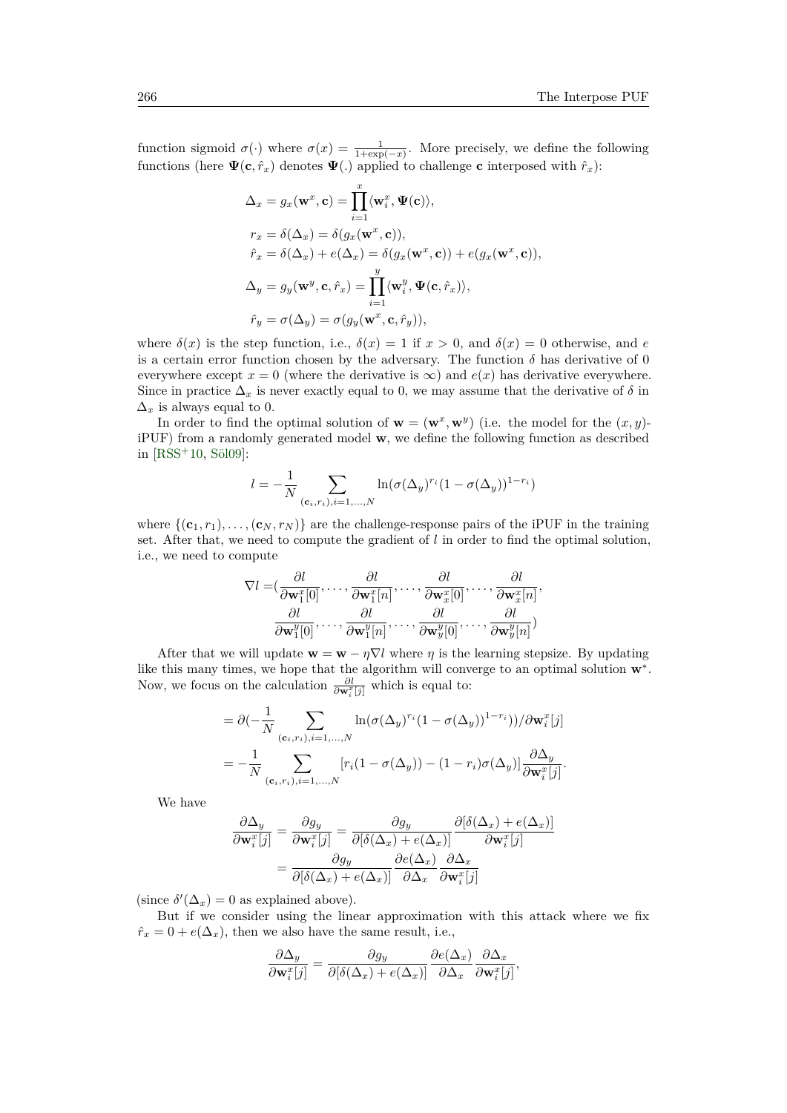function sigmoid  $\sigma(\cdot)$  where  $\sigma(x) = \frac{1}{1+\exp(-x)}$ . More precisely, we define the following functions (here  $\Psi(\mathbf{c}, \hat{r}_x)$  denotes  $\Psi(.)$  applied to challenge **c** interposed with  $\hat{r}_x$ ):

$$
\begin{aligned} \Delta_x &= g_x(\mathbf{w}^x, \mathbf{c}) = \prod_{i=1}^x \langle \mathbf{w}_i^x, \Psi(\mathbf{c}) \rangle, \\ r_x &= \delta(\Delta_x) = \delta(g_x(\mathbf{w}^x, \mathbf{c})), \\ \hat{r}_x &= \delta(\Delta_x) + e(\Delta_x) = \delta(g_x(\mathbf{w}^x, \mathbf{c})) + e(g_x(\mathbf{w}^x, \mathbf{c})), \\ \Delta_y &= g_y(\mathbf{w}^y, \mathbf{c}, \hat{r}_x) = \prod_{i=1}^y \langle \mathbf{w}_i^y, \Psi(\mathbf{c}, \hat{r}_x) \rangle, \\ \hat{r}_y &= \sigma(\Delta_y) = \sigma(g_y(\mathbf{w}^x, \mathbf{c}, \hat{r}_y)), \end{aligned}
$$

where  $\delta(x)$  is the step function, i.e.,  $\delta(x) = 1$  if  $x > 0$ , and  $\delta(x) = 0$  otherwise, and *e* is a certain error function chosen by the adversary. The function  $\delta$  has derivative of 0 everywhere except  $x = 0$  (where the derivative is  $\infty$ ) and  $e(x)$  has derivative everywhere. Since in practice  $\Delta_x$  is never exactly equal to 0, we may assume that the derivative of  $\delta$  in  $\Delta_x$  is always equal to 0.

In order to find the optimal solution of  $\mathbf{w} = (\mathbf{w}^x, \mathbf{w}^y)$  (i.e. the model for the  $(x, y)$ iPUF) from a randomly generated model **w**, we define the following function as described in [\[RSS](#page-46-3)<sup>+</sup>10, [Söl09\]](#page-47-3):

$$
l = -\frac{1}{N} \sum_{(\mathbf{c}_i, r_i), i = 1, ..., N} \ln(\sigma(\Delta_y)^{r_i} (1 - \sigma(\Delta_y))^{1 - r_i})
$$

where  $\{(\mathbf{c}_1, r_1), \ldots, (\mathbf{c}_N, r_N)\}\)$  are the challenge-response pairs of the iPUF in the training set. After that, we need to compute the gradient of *l* in order to find the optimal solution, i.e., we need to compute

$$
\nabla l = (\frac{\partial l}{\partial \mathbf{w}_{1}^{x}[0]}, \dots, \frac{\partial l}{\partial \mathbf{w}_{1}^{x}[n]}, \dots, \frac{\partial l}{\partial \mathbf{w}_{x}^{x}[0]}, \dots, \frac{\partial l}{\partial \mathbf{w}_{x}^{x}[n]}, \dots, \frac{\partial l}{\partial \mathbf{w}_{x}^{y}[n]}, \dots, \frac{\partial l}{\partial \mathbf{w}_{y}^{y}[0]}, \dots, \frac{\partial l}{\partial \mathbf{w}_{y}^{y}[n]})
$$

After that we will update  $\mathbf{w} = \mathbf{w} - \eta \nabla l$  where  $\eta$  is the learning stepsize. By updating like this many times, we hope that the algorithm will converge to an optimal solution **w**<sup>∗</sup> . Now, we focus on the calculation *∂l ∂***w***<sup>x</sup> i* [*j*] which is equal to:

$$
= \partial \left(-\frac{1}{N} \sum_{(\mathbf{c}_i,r_i),i=1,\dots,N} \ln(\sigma(\Delta_y)^{r_i} (1-\sigma(\Delta_y))^{1-r_i})\right) / \partial \mathbf{w}_i^x[j]
$$
  

$$
= -\frac{1}{N} \sum_{(\mathbf{c}_i,r_i),i=1,\dots,N} [r_i(1-\sigma(\Delta_y)) - (1-r_i)\sigma(\Delta_y)] \frac{\partial \Delta_y}{\partial \mathbf{w}_i^x[j]}.
$$

We have

$$
\frac{\partial \Delta_y}{\partial \mathbf{w}_i^x[j]} = \frac{\partial g_y}{\partial \mathbf{w}_i^x[j]} = \frac{\partial g_y}{\partial [\delta(\Delta_x) + e(\Delta_x)]} \frac{\partial [\delta(\Delta_x) + e(\Delta_x)]}{\partial \mathbf{w}_i^x[j]}
$$

$$
= \frac{\partial g_y}{\partial [\delta(\Delta_x) + e(\Delta_x)]} \frac{\partial e(\Delta_x)}{\partial \Delta_x} \frac{\partial \Delta_x}{\partial \mathbf{w}_i^x[j]}
$$

(since  $\delta'(\Delta_x) = 0$  as explained above).

But if we consider using the linear approximation with this attack where we fix  $\hat{r}_x = 0 + e(\Delta_x)$ , then we also have the same result, i.e.,

$$
\frac{\partial \Delta_y}{\partial \mathbf{w}_i^x[j]} = \frac{\partial g_y}{\partial [\delta(\Delta_x) + e(\Delta_x)]} \frac{\partial e(\Delta_x)}{\partial \Delta_x} \frac{\partial \Delta_x}{\partial \mathbf{w}_i^x[j]},
$$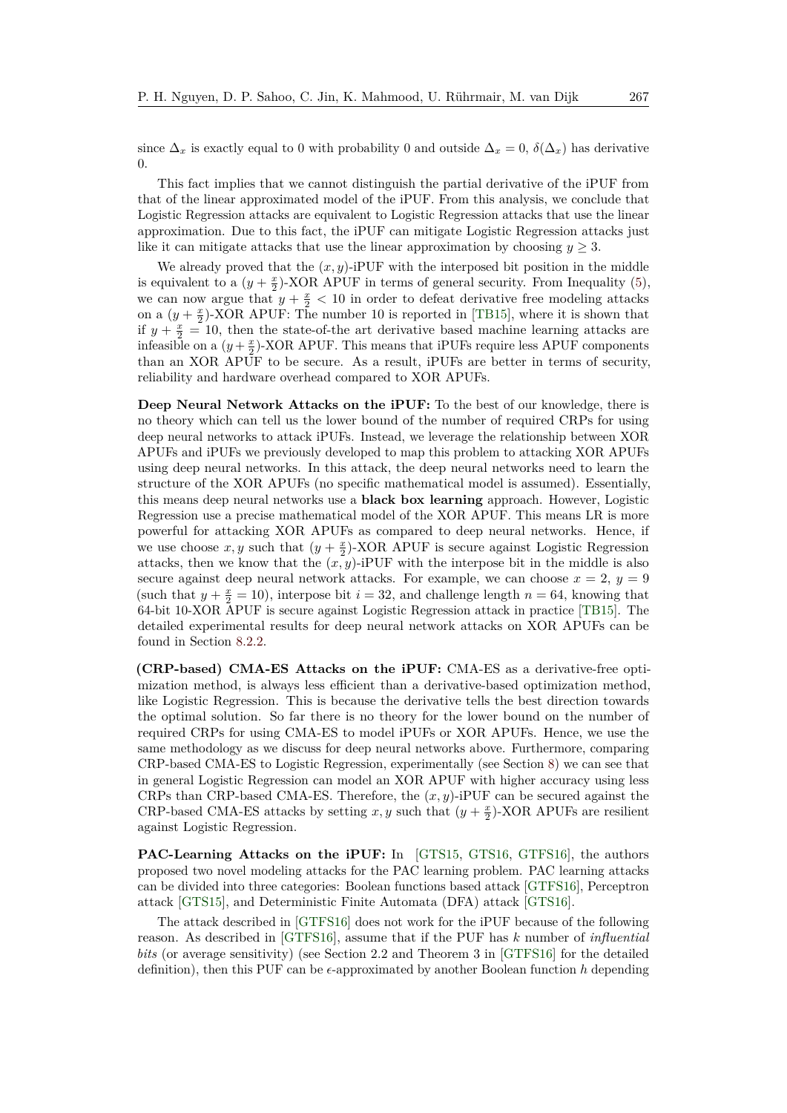since  $\Delta_x$  is exactly equal to 0 with probability 0 and outside  $\Delta_x = 0$ ,  $\delta(\Delta_x)$  has derivative  $\Omega$ .

This fact implies that we cannot distinguish the partial derivative of the iPUF from that of the linear approximated model of the iPUF. From this analysis, we conclude that Logistic Regression attacks are equivalent to Logistic Regression attacks that use the linear approximation. Due to this fact, the iPUF can mitigate Logistic Regression attacks just like it can mitigate attacks that use the linear approximation by choosing  $y \geq 3$ .

We already proved that the  $(x, y)$ -iPUF with the interposed bit position in the middle is equivalent to a  $(y + \frac{x}{2})$ -XOR APUF in terms of general security. From Inequality [\(5\)](#page-7-1), we can now argue that  $y + \frac{x}{2} < 10$  in order to defeat derivative free modeling attacks on a  $(y + \frac{x}{2})$ -XOR APUF: The number 10 is reported in [\[TB15\]](#page-47-4), where it is shown that if  $y + \frac{x}{2} = 10$ , then the state-of-the art derivative based machine learning attacks are infeasible on a  $(y + \frac{x}{2})$ -XOR APUF. This means that iPUFs require less APUF components than an XOR APUF to be secure. As a result, iPUFs are better in terms of security, reliability and hardware overhead compared to XOR APUFs.

**Deep Neural Network Attacks on the iPUF:** To the best of our knowledge, there is no theory which can tell us the lower bound of the number of required CRPs for using deep neural networks to attack iPUFs. Instead, we leverage the relationship between XOR APUFs and iPUFs we previously developed to map this problem to attacking XOR APUFs using deep neural networks. In this attack, the deep neural networks need to learn the structure of the XOR APUFs (no specific mathematical model is assumed). Essentially, this means deep neural networks use a **black box learning** approach. However, Logistic Regression use a precise mathematical model of the XOR APUF. This means LR is more powerful for attacking XOR APUFs as compared to deep neural networks. Hence, if we use choose  $x, y$  such that  $(y + \frac{x}{2})$ -XOR APUF is secure against Logistic Regression attacks, then we know that the  $(x, y)$ -iPUF with the interpose bit in the middle is also secure against deep neural network attacks. For example, we can choose  $x = 2$ ,  $y = 9$ (such that  $y + \frac{x}{2} = 10$ ), interpose bit  $i = 32$ , and challenge length  $n = 64$ , knowing that 64-bit 10-XOR APUF is secure against Logistic Regression attack in practice [\[TB15\]](#page-47-4). The detailed experimental results for deep neural network attacks on XOR APUFs can be found in Section [8.2.2.](#page-30-0)

**(CRP-based) CMA-ES Attacks on the iPUF:** CMA-ES as a derivative-free optimization method, is always less efficient than a derivative-based optimization method, like Logistic Regression. This is because the derivative tells the best direction towards the optimal solution. So far there is no theory for the lower bound on the number of required CRPs for using CMA-ES to model iPUFs or XOR APUFs. Hence, we use the same methodology as we discuss for deep neural networks above. Furthermore, comparing CRP-based CMA-ES to Logistic Regression, experimentally (see Section [8\)](#page-28-0) we can see that in general Logistic Regression can model an XOR APUF with higher accuracy using less CRPs than CRP-based CMA-ES. Therefore, the (*x, y*)-iPUF can be secured against the CRP-based CMA-ES attacks by setting  $x, y$  such that  $(y + \frac{x}{2})$ -XOR APUFs are resilient against Logistic Regression.

**PAC-Learning Attacks on the iPUF:** In [\[GTS15,](#page-44-5) [GTS16,](#page-44-6) [GTFS16\]](#page-44-7), the authors proposed two novel modeling attacks for the PAC learning problem. PAC learning attacks can be divided into three categories: Boolean functions based attack [\[GTFS16\]](#page-44-7), Perceptron attack [\[GTS15\]](#page-44-5), and Deterministic Finite Automata (DFA) attack [\[GTS16\]](#page-44-6).

The attack described in [\[GTFS16\]](#page-44-7) does not work for the iPUF because of the following reason. As described in [\[GTFS16\]](#page-44-7), assume that if the PUF has *k* number of *influential bits* (or average sensitivity) (see Section 2.2 and Theorem 3 in [\[GTFS16\]](#page-44-7) for the detailed definition), then this PUF can be  $\epsilon$ -approximated by another Boolean function *h* depending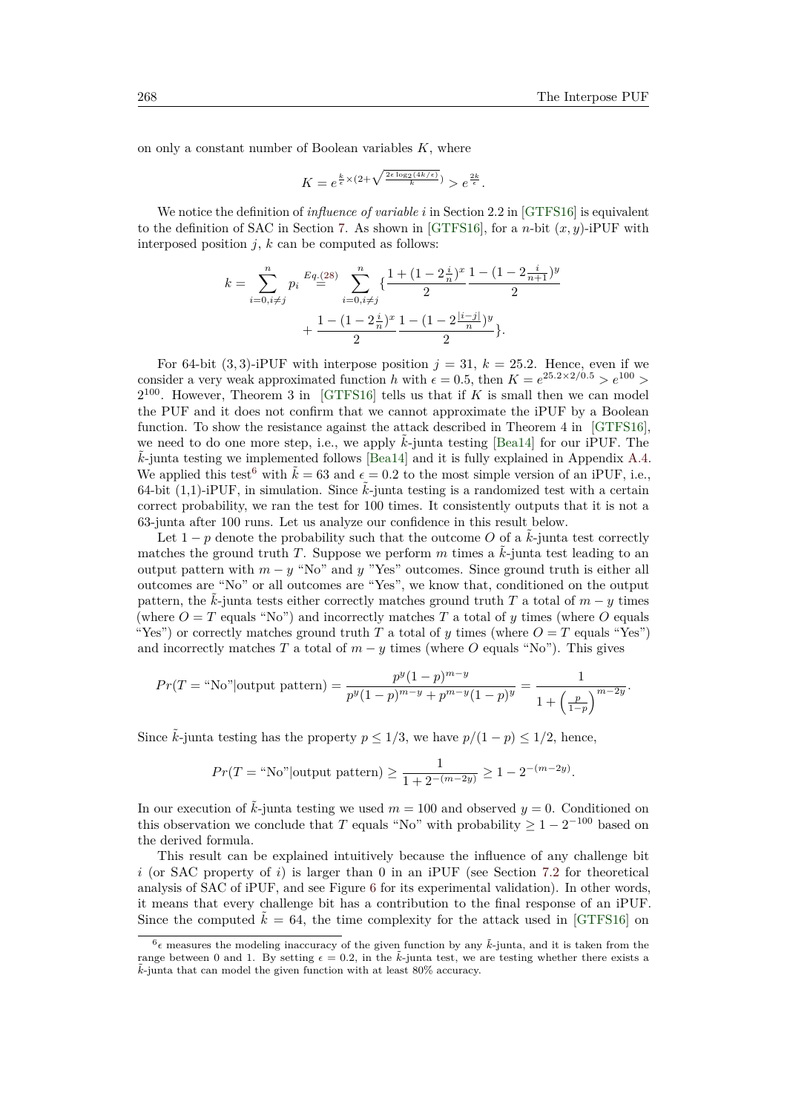on only a constant number of Boolean variables *K*, where

$$
K = e^{\frac{k}{\epsilon} \times (2 + \sqrt{\frac{2\epsilon \log_2(4k/\epsilon)}{k}})} > e^{\frac{2k}{\epsilon}}.
$$

We notice the definition of *influence of variable i* in Section 2.2 in [\[GTFS16\]](#page-44-7) is equivalent to the definition of SAC in Section [7.](#page-26-0) As shown in [\[GTFS16\]](#page-44-7), for a *n*-bit  $(x, y)$ -iPUF with interposed position  $j$ ,  $k$  can be computed as follows:

$$
k = \sum_{i=0, i \neq j}^{n} p_i \stackrel{Eq.(28)}{=} \sum_{i=0, i \neq j}^{n} \left\{ \frac{1 + (1 - 2\frac{i}{n})^x}{2} \frac{1 - (1 - 2\frac{i}{n+1})^y}{2} + \frac{1 - (1 - 2\frac{i}{n})^x}{2} \frac{1 - (1 - 2\frac{i}{n})^y}{2} \right\}.
$$

For 64-bit  $(3,3)$ -iPUF with interpose position  $j = 31, k = 25.2$ . Hence, even if we consider a very weak approximated function *h* with  $\epsilon = 0.5$ , then  $K = e^{25.2 \times 2/0.5} > e^{100} >$  $2^{100}$ . However, Theorem 3 in [\[GTFS16\]](#page-44-7) tells us that if *K* is small then we can model the PUF and it does not confirm that we cannot approximate the iPUF by a Boolean function. To show the resistance against the attack described in Theorem 4 in [\[GTFS16\]](#page-44-7), we need to do one more step, i.e., we apply  $\tilde{k}$ -junta testing [\[Bea14\]](#page-44-13) for our iPUF. The ˜*k*-junta testing we implemented follows [\[Bea14\]](#page-44-13) and it is fully explained in Appendix [A.4.](#page-42-1) We applied this test<sup>[6](#page-25-0)</sup> with  $\tilde{k} = 63$  and  $\epsilon = 0.2$  to the most simple version of an iPUF, i.e., 64-bit  $(1,1)$ -iPUF, in simulation. Since  $k$ -junta testing is a randomized test with a certain correct probability, we ran the test for 100 times. It consistently outputs that it is not a 63-junta after 100 runs. Let us analyze our confidence in this result below.

Let  $1 - p$  denote the probability such that the outcome O of a  $\tilde{k}$ -junta test correctly matches the ground truth *T*. Suppose we perform  $m$  times a  $\tilde{k}$ -junta test leading to an output pattern with  $m - y$  "No" and  $y$  "Yes" outcomes. Since ground truth is either all outcomes are "No" or all outcomes are "Yes", we know that, conditioned on the output pattern, the  $k$ -junta tests either correctly matches ground truth *T* a total of  $m - y$  times (where  $O = T$  equals "No") and incorrectly matches T a total of *y* times (where O equals "Yes") or correctly matches ground truth *T* a total of *y* times (where  $O = T$  equals "Yes") and incorrectly matches *T* a total of  $m - y$  times (where *O* equals "No"). This gives

$$
Pr(T = "No" | \text{output pattern}) = \frac{p^y (1-p)^{m-y}}{p^y (1-p)^{m-y} + p^{m-y} (1-p)^y} = \frac{1}{1 + \left(\frac{p}{1-p}\right)^{m-2y}}.
$$

Since  $\tilde{k}$ -junta testing has the property  $p \leq 1/3$ , we have  $p/(1-p) \leq 1/2$ , hence,

$$
Pr(T = "No" | \text{output pattern}) \ge \frac{1}{1 + 2^{-(m-2y)}} \ge 1 - 2^{-(m-2y)}.
$$

In our execution of  $\vec{k}$ -junta testing we used  $m = 100$  and observed  $y = 0$ . Conditioned on this observation we conclude that *T* equals "No" with probability  $\geq 1 - 2^{-100}$  based on the derived formula.

This result can be explained intuitively because the influence of any challenge bit *i* (or SAC property of *i*) is larger than 0 in an iPUF (see Section [7.2](#page-27-0) for theoretical analysis of SAC of iPUF, and see Figure [6](#page-37-0) for its experimental validation). In other words, it means that every challenge bit has a contribution to the final response of an iPUF. Since the computed  $\tilde{k} = 64$ , the time complexity for the attack used in [\[GTFS16\]](#page-44-7) on

<span id="page-25-0"></span> $6\epsilon$  measures the modeling inaccuracy of the given function by any  $\tilde{k}$ -junta, and it is taken from the range between 0 and 1. By setting  $\epsilon = 0.2$ , in the  $\tilde{k}$ -junta test, we are testing whether there exists a  $\tilde{k}$ -junta that can model the given function with at least 80% accuracy.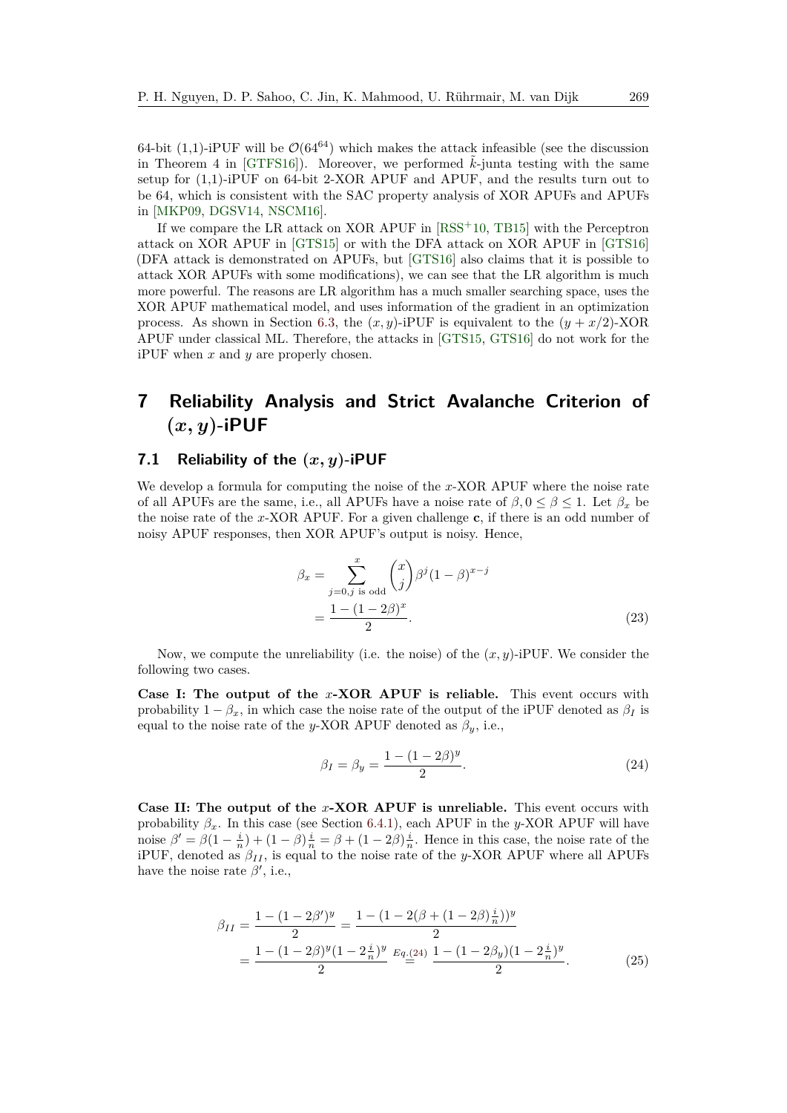64-bit (1,1)-iPUF will be  $\mathcal{O}(64^{64})$  which makes the attack infeasible (see the discussion in Theorem 4 in  $[GTFS16]$ . Moreover, we performed  $k$ -junta testing with the same setup for (1,1)-iPUF on 64-bit 2-XOR APUF and APUF, and the results turn out to be 64, which is consistent with the SAC property analysis of XOR APUFs and APUFs in [\[MKP09,](#page-45-8) [DGSV14,](#page-44-12) [NSCM16\]](#page-46-8).

If we compare the LR attack on XOR APUF in [\[RSS](#page-46-3)<sup>+</sup>10, [TB15\]](#page-47-4) with the Perceptron attack on XOR APUF in [\[GTS15\]](#page-44-5) or with the DFA attack on XOR APUF in [\[GTS16\]](#page-44-6) (DFA attack is demonstrated on APUFs, but [\[GTS16\]](#page-44-6) also claims that it is possible to attack XOR APUFs with some modifications), we can see that the LR algorithm is much more powerful. The reasons are LR algorithm has a much smaller searching space, uses the XOR APUF mathematical model, and uses information of the gradient in an optimization process. As shown in Section [6.3,](#page-15-0) the  $(x, y)$ -iPUF is equivalent to the  $(y + x/2)$ -XOR APUF under classical ML. Therefore, the attacks in [\[GTS15,](#page-44-5) [GTS16\]](#page-44-6) do not work for the iPUF when *x* and *y* are properly chosen.

## <span id="page-26-0"></span>**7 Reliability Analysis and Strict Avalanche Criterion of**  $(x, y)$ **-iPUF**

## <span id="page-26-1"></span>**7.1 Reliability of the (***x, y***)-iPUF**

We develop a formula for computing the noise of the *x*-XOR APUF where the noise rate of all APUFs are the same, i.e., all APUFs have a noise rate of  $\beta, 0 \leq \beta \leq 1$ . Let  $\beta_x$  be the noise rate of the *x*-XOR APUF. For a given challenge **c**, if there is an odd number of noisy APUF responses, then XOR APUF's output is noisy. Hence,

$$
\beta_x = \sum_{j=0,j \text{ is odd}}^{x} {x \choose j} \beta^j (1-\beta)^{x-j} \n= \frac{1 - (1 - 2\beta)^x}{2}.
$$
\n(23)

Now, we compute the unreliability (i.e. the noise) of the (*x, y*)-iPUF. We consider the following two cases.

**Case I: The output of the** *x***-XOR APUF is reliable.** This event occurs with probability  $1 - \beta_x$ , in which case the noise rate of the output of the iPUF denoted as  $\beta_I$  is equal to the noise rate of the *y*-XOR APUF denoted as  $\beta_y$ , i.e.,

<span id="page-26-2"></span>
$$
\beta_I = \beta_y = \frac{1 - (1 - 2\beta)^y}{2}.
$$
\n(24)

**Case II: The output of the** *x***-XOR APUF is unreliable.** This event occurs with probability  $\beta_x$ . In this case (see Section [6.4.1\)](#page-18-1), each APUF in the *y*-XOR APUF will have noise  $\beta' = \beta(1 - \frac{i}{n}) + (1 - \beta)\frac{i}{n} = \beta + (1 - 2\beta)\frac{i}{n}$ . Hence in this case, the noise rate of the iPUF, denoted as  $\beta_{II}$ , is equal to the noise rate of the *y*-XOR APUF where all APUFs have the noise rate  $\beta'$ , i.e.,

$$
\beta_{II} = \frac{1 - (1 - 2\beta')^y}{2} = \frac{1 - (1 - 2(\beta + (1 - 2\beta)\frac{i}{n}))^y}{2}
$$

$$
= \frac{1 - (1 - 2\beta)^y (1 - 2\frac{i}{n})^y}{2} \ E_{q}\underline{(-2)} \frac{1 - (1 - 2\beta_y)(1 - 2\frac{i}{n})^y}{2}.
$$
(25)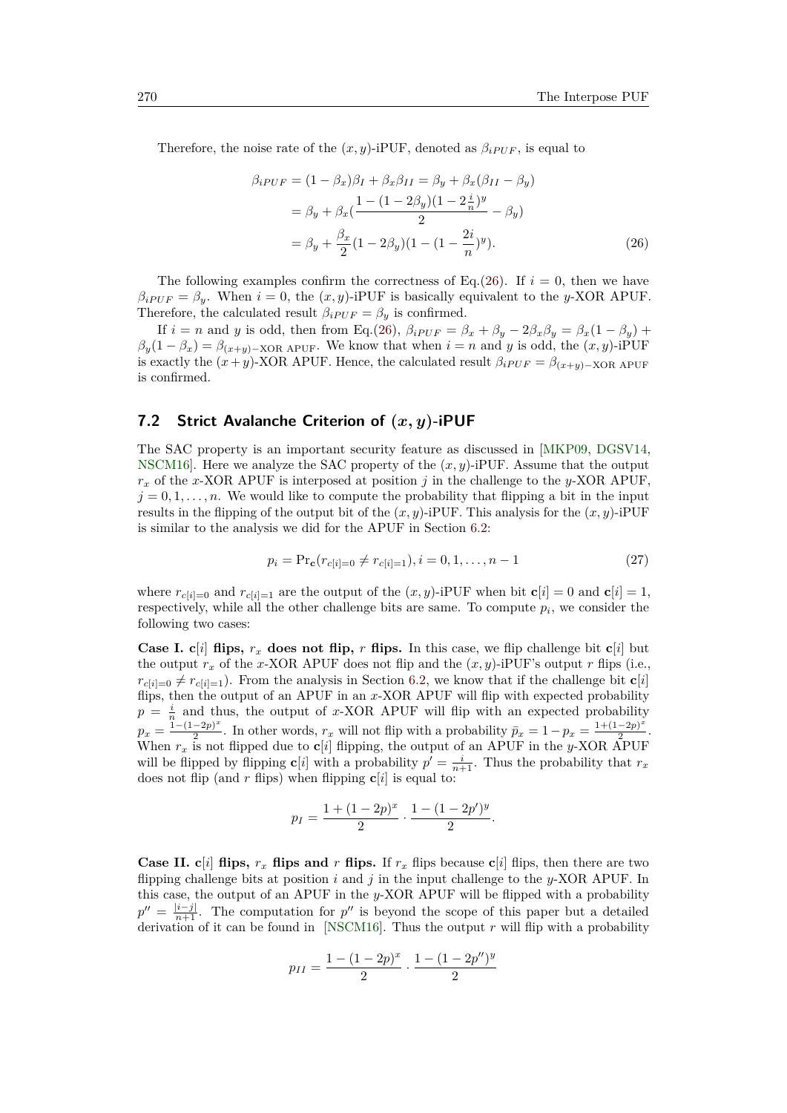Therefore, the noise rate of the  $(x, y)$ -iPUF, denoted as  $\beta_{iPUF}$ , is equal to

<span id="page-27-1"></span>
$$
\beta_{iPUF} = (1 - \beta_x)\beta_I + \beta_x\beta_{II} = \beta_y + \beta_x(\beta_{II} - \beta_y) \n= \beta_y + \beta_x(\frac{1 - (1 - 2\beta_y)(1 - 2\frac{i}{n})^y}{2} - \beta_y) \n= \beta_y + \frac{\beta_x}{2}(1 - 2\beta_y)(1 - (1 - \frac{2i}{n})^y).
$$
\n(26)

The following examples confirm the correctness of Eq.[\(26\)](#page-27-1). If  $i = 0$ , then we have  $\beta_{iPUF} = \beta_y$ . When  $i = 0$ , the  $(x, y)$ -iPUF is basically equivalent to the *y*-XOR APUF. Therefore, the calculated result  $\beta_{iPUF} = \beta_y$  is confirmed.

If  $i = n$  and *y* is odd, then from Eq.[\(26\)](#page-27-1),  $\beta_{iPUF} = \beta_x + \beta_y - 2\beta_x\beta_y = \beta_x(1 - \beta_y) +$  $\beta_y(1-\beta_x) = \beta_{(x+y)-XOR\text{ APUF}}$ . We know that when  $i = n$  and *y* is odd, the  $(x, y)$ -iPUF is exactly the  $(x + y)$ -XOR APUF. Hence, the calculated result  $\beta_i_{PUF} = \beta_{(x+y)-XOR}$  APUF is confirmed.

### <span id="page-27-0"></span>**7.2 Strict Avalanche Criterion of (***x, y***)-iPUF**

The SAC property is an important security feature as discussed in [\[MKP09,](#page-45-8) [DGSV14,](#page-44-12) [NSCM16\]](#page-46-8). Here we analyze the SAC property of the (*x, y*)-iPUF. Assume that the output *r<sup>x</sup>* of the *x*-XOR APUF is interposed at position *j* in the challenge to the *y*-XOR APUF,  $j = 0, 1, \ldots, n$ . We would like to compute the probability that flipping a bit in the input results in the flipping of the output bit of the  $(x, y)$ -iPUF. This analysis for the  $(x, y)$ -iPUF is similar to the analysis we did for the APUF in Section [6.2:](#page-15-1)

$$
p_i = \Pr_c(r_{c[i]=0} \neq r_{c[i]=1}), i = 0, 1, \dots, n-1
$$
\n(27)

where  $r_{c[i]=0}$  and  $r_{c[i]=1}$  are the output of the  $(x, y)$ -iPUF when bit  $\mathbf{c}[i] = 0$  and  $\mathbf{c}[i] = 1$ , respectively, while all the other challenge bits are same. To compute  $p_i$ , we consider the following two cases:

**Case I. c**[*i*] **flips,**  $r_x$  **does not flip,**  $r$  **flips.** In this case, we flip challenge bit **c**[*i*] but the output  $r_x$  of the *x*-XOR APUF does not flip and the  $(x, y)$ -iPUF's output *r* flips (i.e.,  $r_{c[i]=0} \neq r_{c[i]=1}$ ). From the analysis in Section [6.2,](#page-15-1) we know that if the challenge bit **c**[*i*] flips, then the output of an APUF in an *x*-XOR APUF will flip with expected probability  $p = \frac{i}{n}$  and thus, the output of *x*-XOR APUF will flip with an expected probability  $p_x = \frac{1-(1-2p)^x}{2}$  $\frac{(x-2p)^x}{2}$ . In other words,  $r_x$  will not flip with a probability  $\bar{p}_x = 1 - p_x = \frac{1 + (1-2p)^x}{2}$  $\frac{-2p}{2}$ . When  $r_x$  is not flipped due to  $\mathbf{c}[i]$  flipping, the output of an APUF in the *y*-XOR APUF will be flipped by flipping **c**[*i*] with a probability  $p' = \frac{i}{n+1}$ . Thus the probability that  $r_x$ does not flip (and  $r$  flips) when flipping  $c[i]$  is equal to:

$$
p_I = \frac{1 + (1 - 2p)^x}{2} \cdot \frac{1 - (1 - 2p')^y}{2}.
$$

**Case II.**  $c[i]$  **flips,**  $r_x$  **flips and**  $r$  **flips.** If  $r_x$  flips because  $c[i]$  flips, then there are two flipping challenge bits at position *i* and *j* in the input challenge to the *y*-XOR APUF. In this case, the output of an APUF in the *y*-XOR APUF will be flipped with a probability  $p'' = \frac{|i-j|}{n+1}$ . The computation for *p*<sup>"</sup> is beyond the scope of this paper but a detailed derivation of it can be found in [\[NSCM16\]](#page-46-8). Thus the output *r* will flip with a probability

$$
p_{II} = \frac{1 - (1 - 2p)^x}{2} \cdot \frac{1 - (1 - 2p'')^y}{2}
$$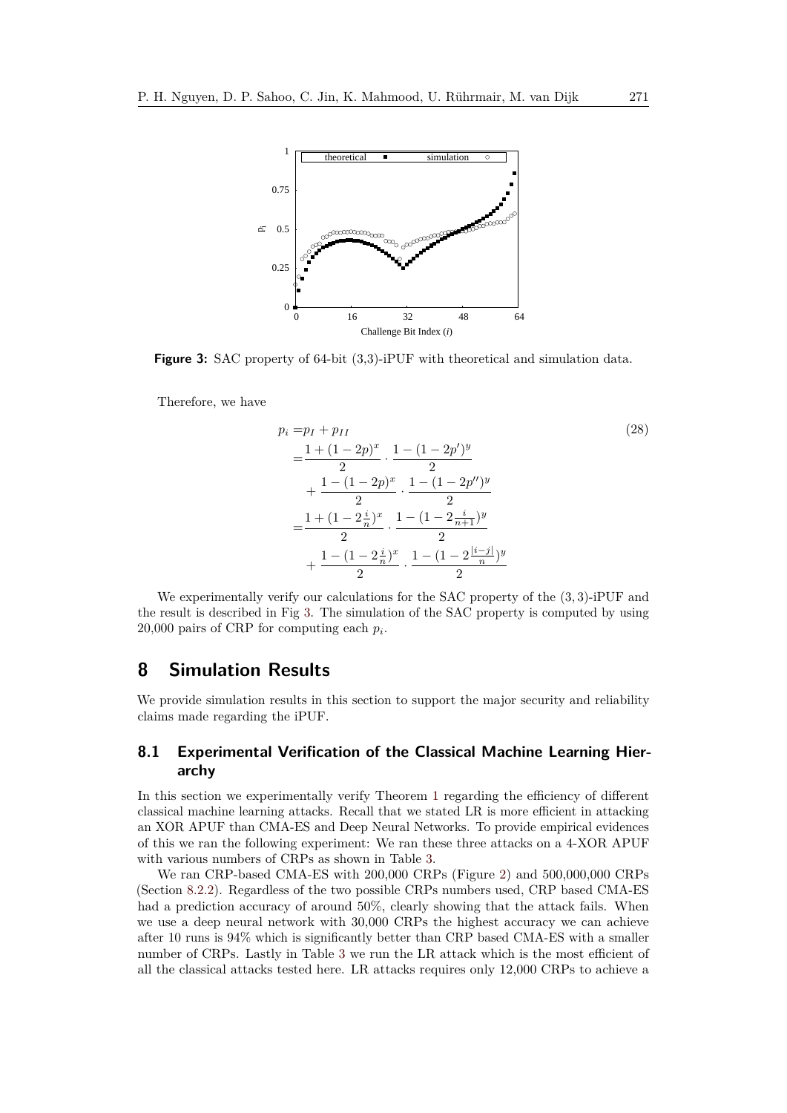<span id="page-28-2"></span>

**Figure 3:** SAC property of 64-bit (3,3)-iPUF with theoretical and simulation data.

Therefore, we have

<span id="page-28-1"></span>
$$
p_i = p_I + p_{II}
$$
\n
$$
= \frac{1 + (1 - 2p)^x}{2} \cdot \frac{1 - (1 - 2p')^y}{2}
$$
\n
$$
+ \frac{1 - (1 - 2p)^x}{2} \cdot \frac{1 - (1 - 2p'')^y}{2}
$$
\n
$$
= \frac{1 + (1 - 2\frac{i}{n})^x}{2} \cdot \frac{1 - (1 - 2\frac{i}{n+1})^y}{2}
$$
\n
$$
+ \frac{1 - (1 - 2\frac{i}{n})^x}{2} \cdot \frac{1 - (1 - 2\frac{|i - j|}{n})^y}{2}
$$
\n(28)

We experimentally verify our calculations for the SAC property of the (3*,* 3)-iPUF and the result is described in Fig [3.](#page-28-2) The simulation of the SAC property is computed by using 20,000 pairs of CRP for computing each *p<sup>i</sup>* .

## <span id="page-28-0"></span>**8 Simulation Results**

We provide simulation results in this section to support the major security and reliability claims made regarding the iPUF.

### **8.1 Experimental Verification of the Classical Machine Learning Hierarchy**

In this section we experimentally verify Theorem [1](#page-6-1) regarding the efficiency of different classical machine learning attacks. Recall that we stated LR is more efficient in attacking an XOR APUF than CMA-ES and Deep Neural Networks. To provide empirical evidences of this we ran the following experiment: We ran these three attacks on a 4-XOR APUF with various numbers of CRPs as shown in Table [3.](#page-29-0)

We ran CRP-based CMA-ES with 200,000 CRPs (Figure [2\)](#page-17-1) and 500,000,000 CRPs (Section [8.2.2\)](#page-30-0). Regardless of the two possible CRPs numbers used, CRP based CMA-ES had a prediction accuracy of around 50%, clearly showing that the attack fails. When we use a deep neural network with 30,000 CRPs the highest accuracy we can achieve after 10 runs is 94% which is significantly better than CRP based CMA-ES with a smaller number of CRPs. Lastly in Table [3](#page-29-0) we run the LR attack which is the most efficient of all the classical attacks tested here. LR attacks requires only 12,000 CRPs to achieve a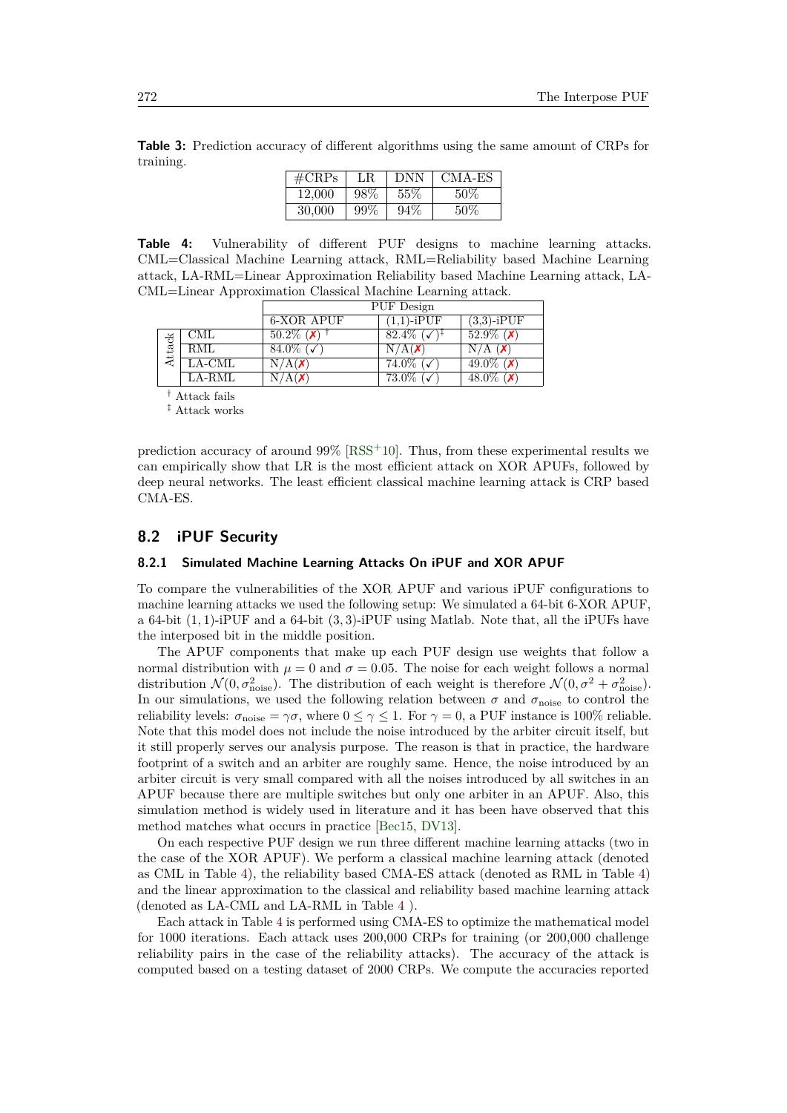<span id="page-29-0"></span>**Table 3:** Prediction accuracy of different algorithms using the same amount of CRPs for training.

| $\rm \#CRPs$ | LR.    | <b>DNN</b> | CMA-ES |
|--------------|--------|------------|--------|
| 12.000       | 98%    | 55%        | 50%    |
| 30,000       | $99\%$ | $94\%$     | 50%    |

**Table 4:** Vulnerability of different PUF designs to machine learning attacks. CML=Classical Machine Learning attack, RML=Reliability based Machine Learning attack, LA-RML=Linear Approximation Reliability based Machine Learning attack, LA-CML=Linear Approximation Classical Machine Learning attack.

<span id="page-29-1"></span>

|        |                        |                          | PUF Design                |                   |
|--------|------------------------|--------------------------|---------------------------|-------------------|
|        |                        | 6-XOR APUF               | $(1,1)$ -i $\mathrm{PUF}$ | $(3,3)$ -iPUF     |
|        | CML                    | $50.2\%$ (X)             | $82.4\%$ ( $\checkmark$ ) | $52.9\%$ (X)      |
| Attack | RML                    | 84.0\% $\sqrt{\sqrt{ }}$ | N/A(X)                    | $N/A$ $(X)$       |
|        | $_{\rm LA\text{-}CML}$ | N/A(X)                   | $74.0\%$ (                | 49.0\% ( $\chi$ ) |
|        | $_{\rm LA\text{-}RML}$ | $\rm N/A$ (X)            | 73.0%                     | 48.0\% ( $\chi$ ) |

† Attack fails

‡ Attack works

prediction accuracy of around  $99\%$  [\[RSS](#page-46-3)<sup>+</sup>10]. Thus, from these experimental results we can empirically show that LR is the most efficient attack on XOR APUFs, followed by deep neural networks. The least efficient classical machine learning attack is CRP based CMA-ES.

### <span id="page-29-2"></span>**8.2 iPUF Security**

#### **8.2.1 Simulated Machine Learning Attacks On iPUF and XOR APUF**

To compare the vulnerabilities of the XOR APUF and various iPUF configurations to machine learning attacks we used the following setup: We simulated a 64-bit 6-XOR APUF, a 64-bit (1*,* 1)-iPUF and a 64-bit (3*,* 3)-iPUF using Matlab. Note that, all the iPUFs have the interposed bit in the middle position.

The APUF components that make up each PUF design use weights that follow a normal distribution with  $\mu = 0$  and  $\sigma = 0.05$ . The noise for each weight follows a normal distribution  $\mathcal{N}(0, \sigma_{\text{noise}}^2)$ . The distribution of each weight is therefore  $\mathcal{N}(0, \sigma^2 + \sigma_{\text{noise}}^2)$ . In our simulations, we used the following relation between  $\sigma$  and  $\sigma_{\text{noise}}$  to control the reliability levels:  $\sigma_{\text{noise}} = \gamma \sigma$ , where  $0 \leq \gamma \leq 1$ . For  $\gamma = 0$ , a PUF instance is 100% reliable. Note that this model does not include the noise introduced by the arbiter circuit itself, but it still properly serves our analysis purpose. The reason is that in practice, the hardware footprint of a switch and an arbiter are roughly same. Hence, the noise introduced by an arbiter circuit is very small compared with all the noises introduced by all switches in an APUF because there are multiple switches but only one arbiter in an APUF. Also, this simulation method is widely used in literature and it has been have observed that this method matches what occurs in practice [\[Bec15,](#page-44-4) [DV13\]](#page-44-3).

On each respective PUF design we run three different machine learning attacks (two in the case of the XOR APUF). We perform a classical machine learning attack (denoted as CML in Table [4\)](#page-29-1), the reliability based CMA-ES attack (denoted as RML in Table [4\)](#page-29-1) and the linear approximation to the classical and reliability based machine learning attack (denoted as LA-CML and LA-RML in Table [4](#page-29-1) ).

Each attack in Table [4](#page-29-1) is performed using CMA-ES to optimize the mathematical model for 1000 iterations. Each attack uses 200,000 CRPs for training (or 200,000 challenge reliability pairs in the case of the reliability attacks). The accuracy of the attack is computed based on a testing dataset of 2000 CRPs. We compute the accuracies reported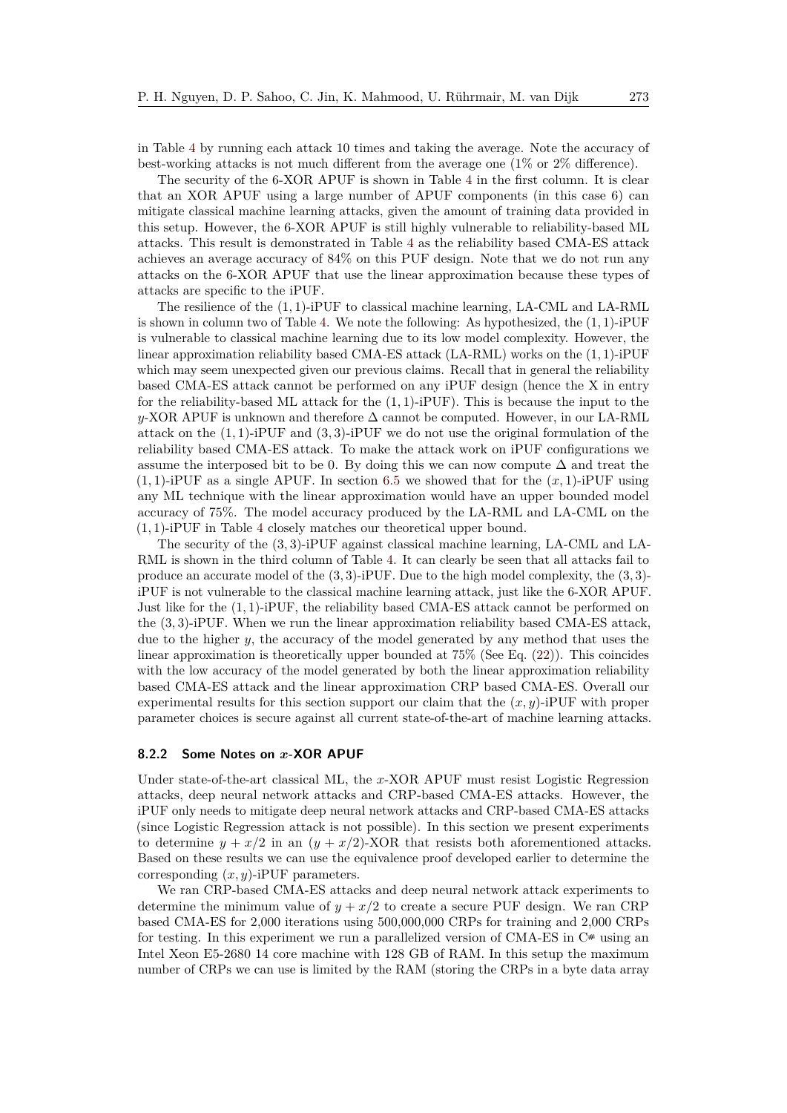in Table [4](#page-29-1) by running each attack 10 times and taking the average. Note the accuracy of best-working attacks is not much different from the average one (1% or 2% difference).

The security of the 6-XOR APUF is shown in Table [4](#page-29-1) in the first column. It is clear that an XOR APUF using a large number of APUF components (in this case 6) can mitigate classical machine learning attacks, given the amount of training data provided in this setup. However, the 6-XOR APUF is still highly vulnerable to reliability-based ML attacks. This result is demonstrated in Table [4](#page-29-1) as the reliability based CMA-ES attack achieves an average accuracy of 84% on this PUF design. Note that we do not run any attacks on the 6-XOR APUF that use the linear approximation because these types of attacks are specific to the iPUF.

The resilience of the (1*,* 1)-iPUF to classical machine learning, LA-CML and LA-RML is shown in column two of Table [4.](#page-29-1) We note the following: As hypothesized, the (1*,* 1)-iPUF is vulnerable to classical machine learning due to its low model complexity. However, the linear approximation reliability based CMA-ES attack (LA-RML) works on the (1*,* 1)-iPUF which may seem unexpected given our previous claims. Recall that in general the reliability based CMA-ES attack cannot be performed on any iPUF design (hence the X in entry for the reliability-based ML attack for the (1*,* 1)-iPUF). This is because the input to the *y*-XOR APUF is unknown and therefore  $\Delta$  cannot be computed. However, in our LA-RML attack on the (1*,* 1)-iPUF and (3*,* 3)-iPUF we do not use the original formulation of the reliability based CMA-ES attack. To make the attack work on iPUF configurations we assume the interposed bit to be 0. By doing this we can now compute  $\Delta$  and treat the  $(1,1)$ -iPUF as a single APUF. In section [6.5](#page-20-0) we showed that for the  $(x,1)$ -iPUF using any ML technique with the linear approximation would have an upper bounded model accuracy of 75%. The model accuracy produced by the LA-RML and LA-CML on the (1*,* 1)-iPUF in Table [4](#page-29-1) closely matches our theoretical upper bound.

The security of the (3*,* 3)-iPUF against classical machine learning, LA-CML and LA-RML is shown in the third column of Table [4.](#page-29-1) It can clearly be seen that all attacks fail to produce an accurate model of the (3*,* 3)-iPUF. Due to the high model complexity, the (3*,* 3) iPUF is not vulnerable to the classical machine learning attack, just like the 6-XOR APUF. Just like for the (1*,* 1)-iPUF, the reliability based CMA-ES attack cannot be performed on the (3*,* 3)-iPUF. When we run the linear approximation reliability based CMA-ES attack, due to the higher *y*, the accuracy of the model generated by any method that uses the linear approximation is theoretically upper bounded at 75% (See Eq. [\(22\)](#page-20-1)). This coincides with the low accuracy of the model generated by both the linear approximation reliability based CMA-ES attack and the linear approximation CRP based CMA-ES. Overall our experimental results for this section support our claim that the  $(x, y)$ -iPUF with proper parameter choices is secure against all current state-of-the-art of machine learning attacks.

#### <span id="page-30-0"></span>**8.2.2 Some Notes on** *x***-XOR APUF**

Under state-of-the-art classical ML, the *x*-XOR APUF must resist Logistic Regression attacks, deep neural network attacks and CRP-based CMA-ES attacks. However, the iPUF only needs to mitigate deep neural network attacks and CRP-based CMA-ES attacks (since Logistic Regression attack is not possible). In this section we present experiments to determine  $y + x/2$  in an  $(y + x/2)$ -XOR that resists both aforementioned attacks. Based on these results we can use the equivalence proof developed earlier to determine the corresponding (*x, y*)-iPUF parameters.

We ran CRP-based CMA-ES attacks and deep neural network attack experiments to determine the minimum value of  $y + x/2$  to create a secure PUF design. We ran CRP based CMA-ES for 2,000 iterations using 500,000,000 CRPs for training and 2,000 CRPs for testing. In this experiment we run a parallelized version of CMA-ES in C**#** using an Intel Xeon E5-2680 14 core machine with 128 GB of RAM. In this setup the maximum number of CRPs we can use is limited by the RAM (storing the CRPs in a byte data array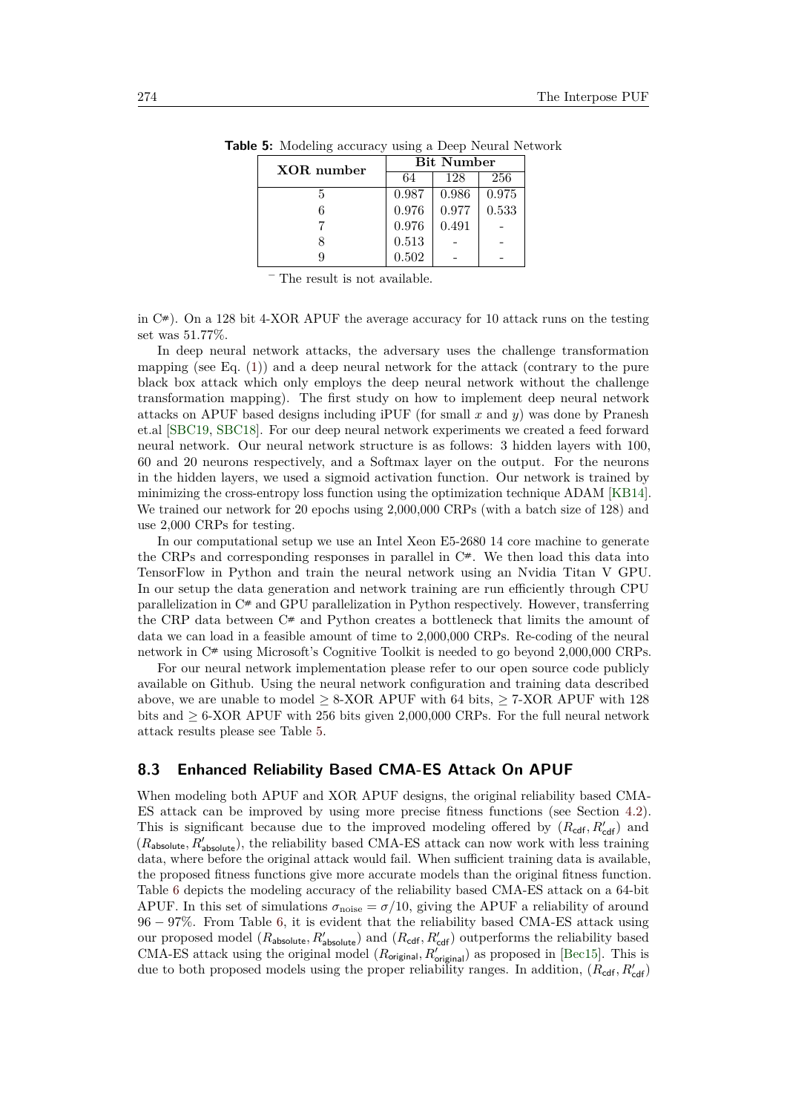<span id="page-31-1"></span>

| XOR number | <b>Bit Number</b> |       |       |  |  |
|------------|-------------------|-------|-------|--|--|
|            | 64                | 128   | 256   |  |  |
| 5          | 0.987             | 0.986 | 0.975 |  |  |
|            | 0.976             | 0.977 | 0.533 |  |  |
|            | 0.976             | 0.491 |       |  |  |
|            | 0.513             |       |       |  |  |
|            | 0.502             |       |       |  |  |

**Table 5:** Modeling accuracy using a Deep Neural Network

The result is not available.

in C**#**). On a 128 bit 4-XOR APUF the average accuracy for 10 attack runs on the testing set was 51*.*77%.

In deep neural network attacks, the adversary uses the challenge transformation mapping (see Eq.  $(1)$ ) and a deep neural network for the attack (contrary to the pure black box attack which only employs the deep neural network without the challenge transformation mapping). The first study on how to implement deep neural network attacks on APUF based designs including iPUF (for small *x* and *y*) was done by Pranesh et.al [\[SBC19,](#page-46-9) [SBC18\]](#page-46-10). For our deep neural network experiments we created a feed forward neural network. Our neural network structure is as follows: 3 hidden layers with 100, 60 and 20 neurons respectively, and a Softmax layer on the output. For the neurons in the hidden layers, we used a sigmoid activation function. Our network is trained by minimizing the cross-entropy loss function using the optimization technique ADAM [\[KB14\]](#page-45-9). We trained our network for 20 epochs using 2,000,000 CRPs (with a batch size of 128) and use 2,000 CRPs for testing.

In our computational setup we use an Intel Xeon E5-2680 14 core machine to generate the CRPs and corresponding responses in parallel in  $C^*$ . We then load this data into TensorFlow in Python and train the neural network using an Nvidia Titan V GPU. In our setup the data generation and network training are run efficiently through CPU parallelization in C**#** and GPU parallelization in Python respectively. However, transferring the CRP data between C**#** and Python creates a bottleneck that limits the amount of data we can load in a feasible amount of time to 2,000,000 CRPs. Re-coding of the neural network in  $C^*$  using Microsoft's Cognitive Toolkit is needed to go beyond 2,000,000 CRPs.

For our neural network implementation please refer to our open source code publicly available on Github. Using the neural network configuration and training data described above, we are unable to model  $> 8$ -XOR APUF with 64 bits,  $> 7$ -XOR APUF with 128 bits and  $> 6$ -XOR APUF with 256 bits given 2,000,000 CRPs. For the full neural network attack results please see Table [5.](#page-31-1)

### <span id="page-31-0"></span>**8.3 Enhanced Reliability Based CMA-ES Attack On APUF**

When modeling both APUF and XOR APUF designs, the original reliability based CMA-ES attack can be improved by using more precise fitness functions (see Section [4.2\)](#page-9-0). This is significant because due to the improved modeling offered by  $(R_{\text{cdf}}, R'_{\text{cdf}})$  and  $(R_{\text{absolute}}, R'_{\text{absolute}})$ , the reliability based CMA-ES attack can now work with less training data, where before the original attack would fail. When sufficient training data is available, the proposed fitness functions give more accurate models than the original fitness function. Table [6](#page-32-1) depicts the modeling accuracy of the reliability based CMA-ES attack on a 64-bit APUF. In this set of simulations  $\sigma_{\text{noise}} = \sigma/10$ , giving the APUF a reliability of around 96 − 97%. From Table [6,](#page-32-1) it is evident that the reliability based CMA-ES attack using our proposed model  $(R_{\text{absolute}}, R'_{\text{absolute}})$  and  $(R_{\text{cdf}}, R'_{\text{cdf}})$  outperforms the reliability based CMA-ES attack using the original model  $(R_{original}, R'_{original})$  as proposed in [\[Bec15\]](#page-44-4). This is due to both proposed models using the proper reliability ranges. In addition,  $(R_{\text{cdf}}, R'_{\text{cdf}})$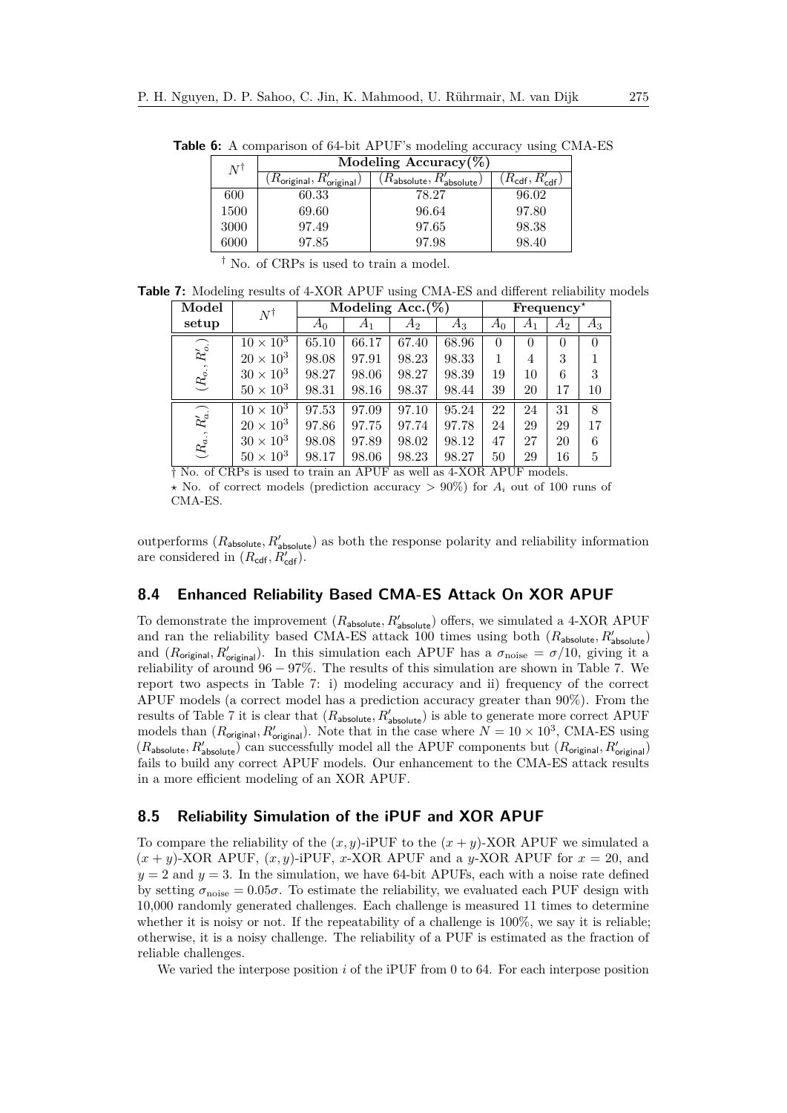<span id="page-32-1"></span>

| $N^{\dagger}$ | Modeling Accuracy $(\%)$                                        |                                                   |                                         |  |  |  |
|---------------|-----------------------------------------------------------------|---------------------------------------------------|-----------------------------------------|--|--|--|
|               | $\langle R_{\mathsf{original}}, R'_{\mathsf{original}} \rangle$ | $\overline{R_{\sf absolute}}, R'_{\sf absolute})$ | $(R_{\mathsf{cdf}}, R_{\mathsf{cdf}}')$ |  |  |  |
| 600           | 60.33                                                           | 78.27                                             | 96.02                                   |  |  |  |
| 1500          | 69.60                                                           | 96.64                                             | 97.80                                   |  |  |  |
| 3000          | 97.49                                                           | 97.65                                             | 98.38                                   |  |  |  |
| 6000          | 97.85                                                           | 97.98                                             | 98.40                                   |  |  |  |

**Table 6:** A comparison of 64-bit APUF's modeling accuracy using CMA-ES

† No. of CRPs is used to train a model.

**Table 7:** Modeling results of 4-XOR APUF using CMA-ES and different reliability models

<span id="page-32-2"></span>

| Model                                 | $N^{\dagger}$                             |                         | Modeling Acc. $(\%)$     |                      |                |                           | $Frequency^*$  |           |       |
|---------------------------------------|-------------------------------------------|-------------------------|--------------------------|----------------------|----------------|---------------------------|----------------|-----------|-------|
| setup                                 |                                           | $A_0$                   | $A_1$                    | $A_2$                | $A_3$          | $A_0$                     | A <sub>1</sub> | $A_2$     | $A_3$ |
| $\left(R_{o.},R_{o.}^{\prime}\right)$ | $10 \times 10^3$                          | 65.10                   | 66.17                    | 67.40                | 68.96          | $\theta$                  |                | $\theta$  | 0     |
|                                       | $20 \times 10^3$                          | 98.08                   | 97.91                    | 98.23                | 98.33          |                           | 4              | 3         |       |
|                                       | $30 \times 10^3$                          | 98.27                   | 98.06                    | 98.27                | 98.39          | 19                        | 10             | 6         | 3     |
|                                       | $50 \times 10^3$                          | 98.31                   | 98.16                    | 98.37                | 98.44          | 39                        | 20             | 17        | 10    |
| $R_a^\prime)$                         | $10 \times 10^3$                          | 97.53                   | 97.09                    | 97.10                | 95.24          | 22                        | 24             | 31        | 8     |
|                                       | $20 \times 10^3$                          | 97.86                   | 97.75                    | 97.74                | 97.78          | 24                        | 29             | 29        | 17    |
| $(R_{a.},$                            | $30 \times 10^3$                          | 98.08                   | 97.89                    | 98.02                | 98.12          | 47                        | 27             | 20        | 6     |
| $\sim$ $\sim$ $\sim$                  | $50 \times 10^3$<br>$2.075$ $\rightarrow$ | 98.17<br>$\blacksquare$ | 98.06<br>$1 + 1 + 1 + 1$ | 98.23<br><b>TIME</b> | 98.27<br>1.770 | 50<br>$1 + 2 + 3 + 3 = 1$ | 29             | 16<br>. . | 5     |

† No. of CRPs is used to train an APUF as well as 4-XOR APUF models.  $\star$  No. of correct models (prediction accuracy  $> 90\%$ ) for  $A_i$  out of 100 runs of CMA-ES.

outperforms  $(R_{\text{absolute}}, R'_{\text{absolute}})$  as both the response polarity and reliability information are considered in  $(R_{\text{cdf}}, R'_{\text{cdf}})$ .

### <span id="page-32-0"></span>**8.4 Enhanced Reliability Based CMA-ES Attack On XOR APUF**

To demonstrate the improvement  $(R_{\text{absolute}}, R'_{\text{absolute}})$  offers, we simulated a 4-XOR APUF and ran the reliability based CMA-ES attack 100 times using both  $(R_{\text{absolute}}, R_{\text{absolute}}')$ and  $(R_{\text{original}}, R'_{\text{original}})$ . In this simulation each APUF has a  $\sigma_{\text{noise}} = \sigma/10$ , giving it a reliability of around 96 − 97%. The results of this simulation are shown in Table [7.](#page-32-2) We report two aspects in Table [7:](#page-32-2) i) modeling accuracy and ii) frequency of the correct APUF models (a correct model has a prediction accuracy greater than 90%). From the results of Table [7](#page-32-2) it is clear that  $(R_{\text{absolute}}, R'_{\text{absolute}})$  is able to generate more correct APUF models than  $(R_{\text{original}}, R'_{\text{original}})$ . Note that in the case where  $N = 10 \times 10^3$ , CMA-ES using  $(R_{\text{absolute}}, R'_{\text{absolute}})$  can successfully model all the APUF components but  $(R_{\text{original}}, R'_{\text{original}})$ fails to build any correct APUF models. Our enhancement to the CMA-ES attack results in a more efficient modeling of an XOR APUF.

### **8.5 Reliability Simulation of the iPUF and XOR APUF**

To compare the reliability of the  $(x, y)$ -iPUF to the  $(x + y)$ -XOR APUF we simulated a  $(x + y)$ -XOR APUF,  $(x, y)$ -iPUF, x-XOR APUF and a y-XOR APUF for  $x = 20$ , and  $y = 2$  and  $y = 3$ . In the simulation, we have 64-bit APUFs, each with a noise rate defined by setting  $\sigma_{\text{noise}} = 0.05\sigma$ . To estimate the reliability, we evaluated each PUF design with 10,000 randomly generated challenges. Each challenge is measured 11 times to determine whether it is noisy or not. If the repeatability of a challenge is 100%, we say it is reliable; otherwise, it is a noisy challenge. The reliability of a PUF is estimated as the fraction of reliable challenges.

We varied the interpose position *i* of the iPUF from 0 to 64. For each interpose position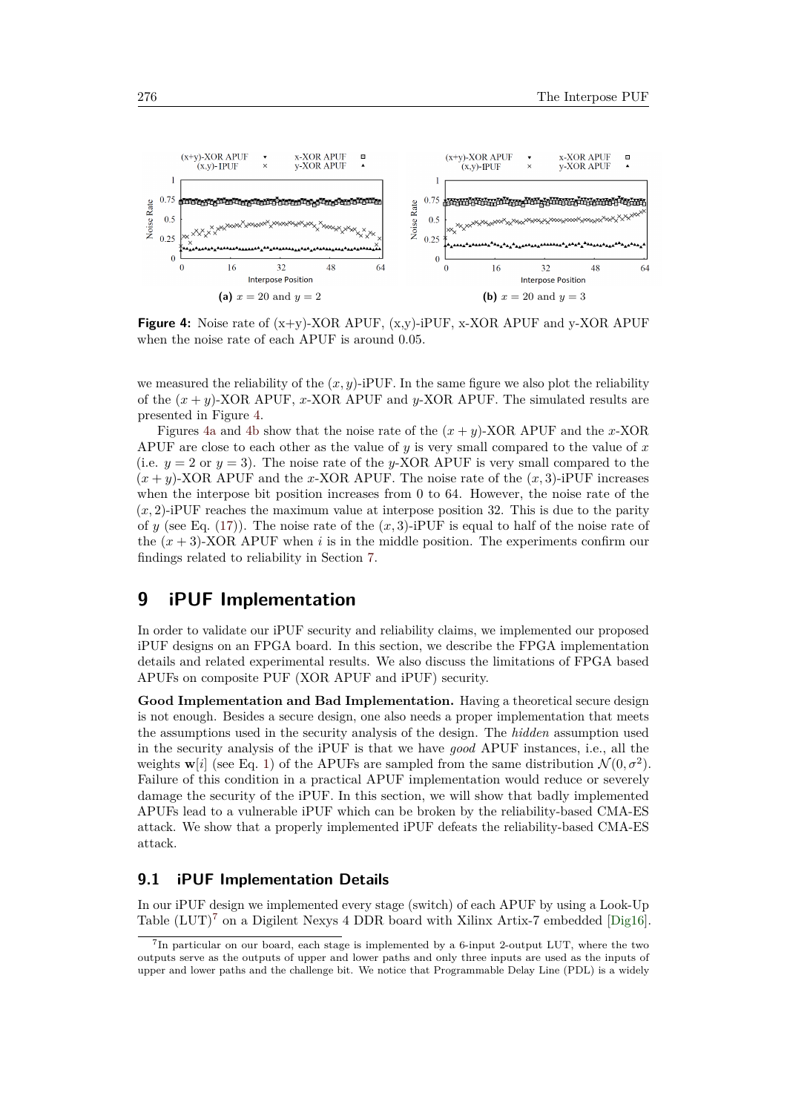<span id="page-33-2"></span><span id="page-33-1"></span>

<span id="page-33-3"></span>**Figure 4:** Noise rate of (x+y)-XOR APUF, (x,y)-iPUF, x-XOR APUF and y-XOR APUF when the noise rate of each APUF is around 0*.*05.

we measured the reliability of the  $(x, y)$ -iPUF. In the same figure we also plot the reliability of the  $(x + y)$ -XOR APUF, *x*-XOR APUF and *y*-XOR APUF. The simulated results are presented in Figure [4.](#page-33-1)

Figures [4a](#page-33-2) and [4b](#page-33-3) show that the noise rate of the  $(x + y)$ -XOR APUF and the *x*-XOR APUF are close to each other as the value of *y* is very small compared to the value of *x* (i.e.  $y = 2$  or  $y = 3$ ). The noise rate of the *y*-XOR APUF is very small compared to the  $(x + y)$ -XOR APUF and the *x*-XOR APUF. The noise rate of the  $(x, 3)$ -iPUF increases when the interpose bit position increases from 0 to 64. However, the noise rate of the  $(x, 2)$ -iPUF reaches the maximum value at interpose position 32. This is due to the parity of *y* (see Eq. [\(17\)](#page-16-3)). The noise rate of the  $(x, 3)$ -iPUF is equal to half of the noise rate of the  $(x + 3)$ -XOR APUF when *i* is in the middle position. The experiments confirm our findings related to reliability in Section [7.](#page-26-0)

## <span id="page-33-0"></span>**9 iPUF Implementation**

In order to validate our iPUF security and reliability claims, we implemented our proposed iPUF designs on an FPGA board. In this section, we describe the FPGA implementation details and related experimental results. We also discuss the limitations of FPGA based APUFs on composite PUF (XOR APUF and iPUF) security.

**Good Implementation and Bad Implementation.** Having a theoretical secure design is not enough. Besides a secure design, one also needs a proper implementation that meets the assumptions used in the security analysis of the design. The *hidden* assumption used in the security analysis of the iPUF is that we have *good* APUF instances, i.e., all the weights  $\mathbf{w}[i]$  (see Eq. [1\)](#page-4-2) of the APUFs are sampled from the same distribution  $\mathcal{N}(0, \sigma^2)$ . Failure of this condition in a practical APUF implementation would reduce or severely damage the security of the iPUF. In this section, we will show that badly implemented APUFs lead to a vulnerable iPUF which can be broken by the reliability-based CMA-ES attack. We show that a properly implemented iPUF defeats the reliability-based CMA-ES attack.

### <span id="page-33-5"></span>**9.1 iPUF Implementation Details**

In our iPUF design we implemented every stage (switch) of each APUF by using a Look-Up Table  $(LUT)^7$  $(LUT)^7$  on a Digilent Nexys 4 DDR board with Xilinx Artix-7 embedded [\[Dig16\]](#page-44-14).

<span id="page-33-4"></span><sup>&</sup>lt;sup>7</sup>In particular on our board, each stage is implemented by a 6-input 2-output LUT, where the two outputs serve as the outputs of upper and lower paths and only three inputs are used as the inputs of upper and lower paths and the challenge bit. We notice that Programmable Delay Line (PDL) is a widely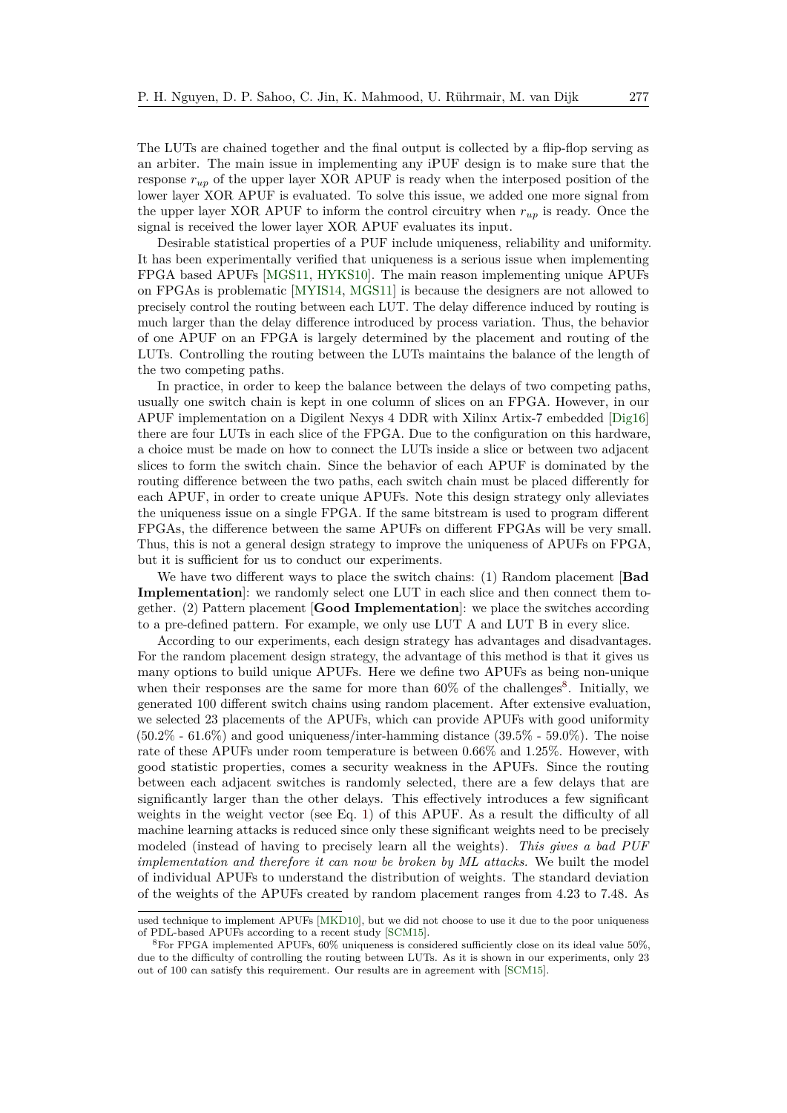The LUTs are chained together and the final output is collected by a flip-flop serving as an arbiter. The main issue in implementing any iPUF design is to make sure that the response *rup* of the upper layer XOR APUF is ready when the interposed position of the lower layer XOR APUF is evaluated. To solve this issue, we added one more signal from the upper layer XOR APUF to inform the control circuitry when  $r_{up}$  is ready. Once the signal is received the lower layer XOR APUF evaluates its input.

Desirable statistical properties of a PUF include uniqueness, reliability and uniformity. It has been experimentally verified that uniqueness is a serious issue when implementing FPGA based APUFs [\[MGS11,](#page-45-10) [HYKS10\]](#page-45-11). The main reason implementing unique APUFs on FPGAs is problematic [\[MYIS14,](#page-46-11) [MGS11\]](#page-45-10) is because the designers are not allowed to precisely control the routing between each LUT. The delay difference induced by routing is much larger than the delay difference introduced by process variation. Thus, the behavior of one APUF on an FPGA is largely determined by the placement and routing of the LUTs. Controlling the routing between the LUTs maintains the balance of the length of the two competing paths.

In practice, in order to keep the balance between the delays of two competing paths, usually one switch chain is kept in one column of slices on an FPGA. However, in our APUF implementation on a Digilent Nexys 4 DDR with Xilinx Artix-7 embedded [\[Dig16\]](#page-44-14) there are four LUTs in each slice of the FPGA. Due to the configuration on this hardware, a choice must be made on how to connect the LUTs inside a slice or between two adjacent slices to form the switch chain. Since the behavior of each APUF is dominated by the routing difference between the two paths, each switch chain must be placed differently for each APUF, in order to create unique APUFs. Note this design strategy only alleviates the uniqueness issue on a single FPGA. If the same bitstream is used to program different FPGAs, the difference between the same APUFs on different FPGAs will be very small. Thus, this is not a general design strategy to improve the uniqueness of APUFs on FPGA, but it is sufficient for us to conduct our experiments.

We have two different ways to place the switch chains: (1) Random placement [**Bad Implementation**: we randomly select one LUT in each slice and then connect them together. (2) Pattern placement [**Good Implementation**]: we place the switches according to a pre-defined pattern. For example, we only use LUT A and LUT B in every slice.

According to our experiments, each design strategy has advantages and disadvantages. For the random placement design strategy, the advantage of this method is that it gives us many options to build unique APUFs. Here we define two APUFs as being non-unique when their responses are the same for more than  $60\%$  of the challenges<sup>[8](#page-34-0)</sup>. Initially, we generated 100 different switch chains using random placement. After extensive evaluation, we selected 23 placements of the APUFs, which can provide APUFs with good uniformity (50.2% - 61.6%) and good uniqueness/inter-hamming distance (39.5% - 59.0%). The noise rate of these APUFs under room temperature is between 0.66% and 1.25%. However, with good statistic properties, comes a security weakness in the APUFs. Since the routing between each adjacent switches is randomly selected, there are a few delays that are significantly larger than the other delays. This effectively introduces a few significant weights in the weight vector (see Eq. [1\)](#page-4-2) of this APUF. As a result the difficulty of all machine learning attacks is reduced since only these significant weights need to be precisely modeled (instead of having to precisely learn all the weights). *This gives a bad PUF implementation and therefore it can now be broken by ML attacks.* We built the model of individual APUFs to understand the distribution of weights. The standard deviation of the weights of the APUFs created by random placement ranges from 4.23 to 7.48. As

used technique to implement APUFs [\[MKD10\]](#page-45-12), but we did not choose to use it due to the poor uniqueness of PDL-based APUFs according to a recent study [\[SCM15\]](#page-46-12).

<span id="page-34-0"></span><sup>8</sup>For FPGA implemented APUFs, 60% uniqueness is considered sufficiently close on its ideal value 50%, due to the difficulty of controlling the routing between LUTs. As it is shown in our experiments, only 23 out of 100 can satisfy this requirement. Our results are in agreement with [\[SCM15\]](#page-46-12).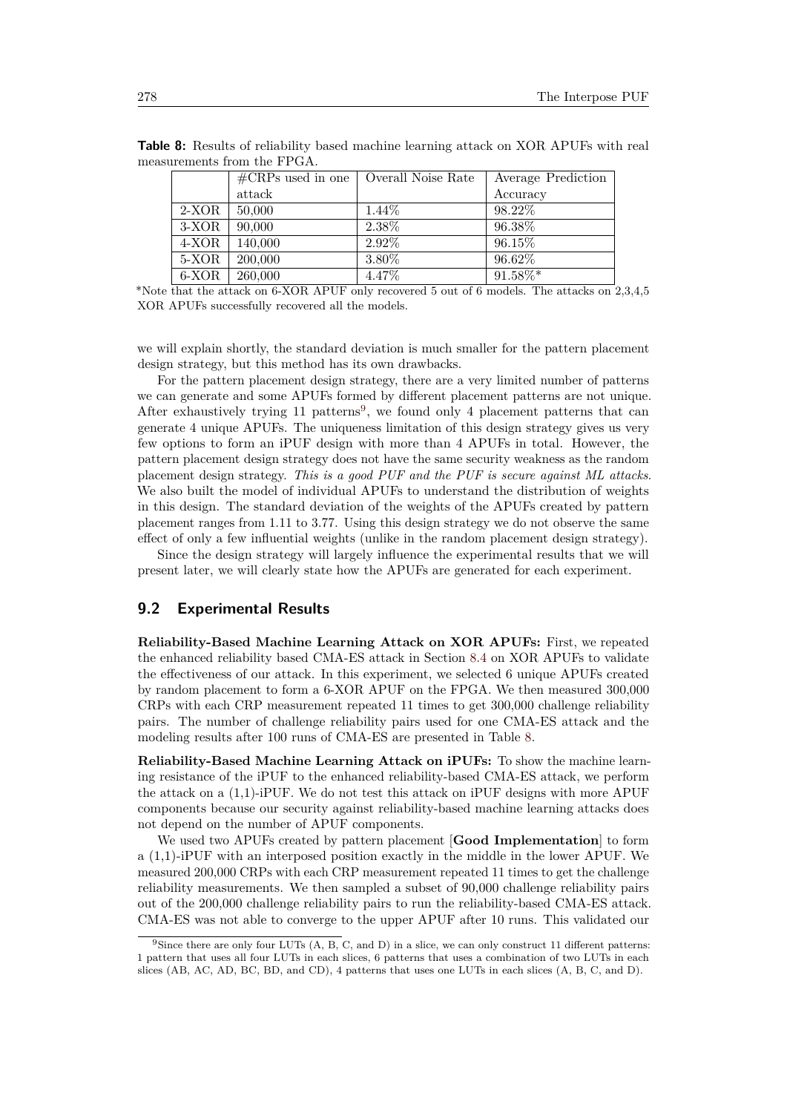|         | $\text{\#CRPs}$ used in one | Overall Noise Rate | Average Prediction |
|---------|-----------------------------|--------------------|--------------------|
|         | attack                      |                    | Accuracy           |
| $2-XOR$ | 50,000                      | $1.44\%$           | 98.22\%            |
| 3-XOR   | 90,000                      | 2.38%              | 96.38%             |
| 4-XOR   | 140,000                     | 2.92%              | 96.15%             |
| 5-XOR   | 200,000                     | 3.80%              | 96.62%             |
| 6-XOR   | 260,000                     | 4.47%              | 91.58%*            |

<span id="page-35-1"></span>**Table 8:** Results of reliability based machine learning attack on XOR APUFs with real measurements from the FPGA.

\*Note that the attack on 6-XOR APUF only recovered 5 out of 6 models. The attacks on 2,3,4,5 XOR APUFs successfully recovered all the models.

we will explain shortly, the standard deviation is much smaller for the pattern placement design strategy, but this method has its own drawbacks.

For the pattern placement design strategy, there are a very limited number of patterns we can generate and some APUFs formed by different placement patterns are not unique. After exhaustively trying 11 patterns<sup>[9](#page-35-0)</sup>, we found only 4 placement patterns that can generate 4 unique APUFs. The uniqueness limitation of this design strategy gives us very few options to form an iPUF design with more than 4 APUFs in total. However, the pattern placement design strategy does not have the same security weakness as the random placement design strategy. *This is a good PUF and the PUF is secure against ML attacks*. We also built the model of individual APUFs to understand the distribution of weights in this design. The standard deviation of the weights of the APUFs created by pattern placement ranges from 1.11 to 3.77. Using this design strategy we do not observe the same effect of only a few influential weights (unlike in the random placement design strategy).

Since the design strategy will largely influence the experimental results that we will present later, we will clearly state how the APUFs are generated for each experiment.

### **9.2 Experimental Results**

**Reliability-Based Machine Learning Attack on XOR APUFs:** First, we repeated the enhanced reliability based CMA-ES attack in Section [8.4](#page-32-0) on XOR APUFs to validate the effectiveness of our attack. In this experiment, we selected 6 unique APUFs created by random placement to form a 6-XOR APUF on the FPGA. We then measured 300,000 CRPs with each CRP measurement repeated 11 times to get 300,000 challenge reliability pairs. The number of challenge reliability pairs used for one CMA-ES attack and the modeling results after 100 runs of CMA-ES are presented in Table [8.](#page-35-1)

**Reliability-Based Machine Learning Attack on iPUFs:** To show the machine learning resistance of the iPUF to the enhanced reliability-based CMA-ES attack, we perform the attack on a (1,1)-iPUF. We do not test this attack on iPUF designs with more APUF components because our security against reliability-based machine learning attacks does not depend on the number of APUF components.

We used two APUFs created by pattern placement [**Good Implementation**] to form a (1,1)-iPUF with an interposed position exactly in the middle in the lower APUF. We measured 200,000 CRPs with each CRP measurement repeated 11 times to get the challenge reliability measurements. We then sampled a subset of 90,000 challenge reliability pairs out of the 200,000 challenge reliability pairs to run the reliability-based CMA-ES attack. CMA-ES was not able to converge to the upper APUF after 10 runs. This validated our

<span id="page-35-0"></span><sup>9</sup>Since there are only four LUTs (A, B, C, and D) in a slice, we can only construct 11 different patterns: 1 pattern that uses all four LUTs in each slices, 6 patterns that uses a combination of two LUTs in each slices (AB, AC, AD, BC, BD, and CD), 4 patterns that uses one LUTs in each slices (A, B, C, and D).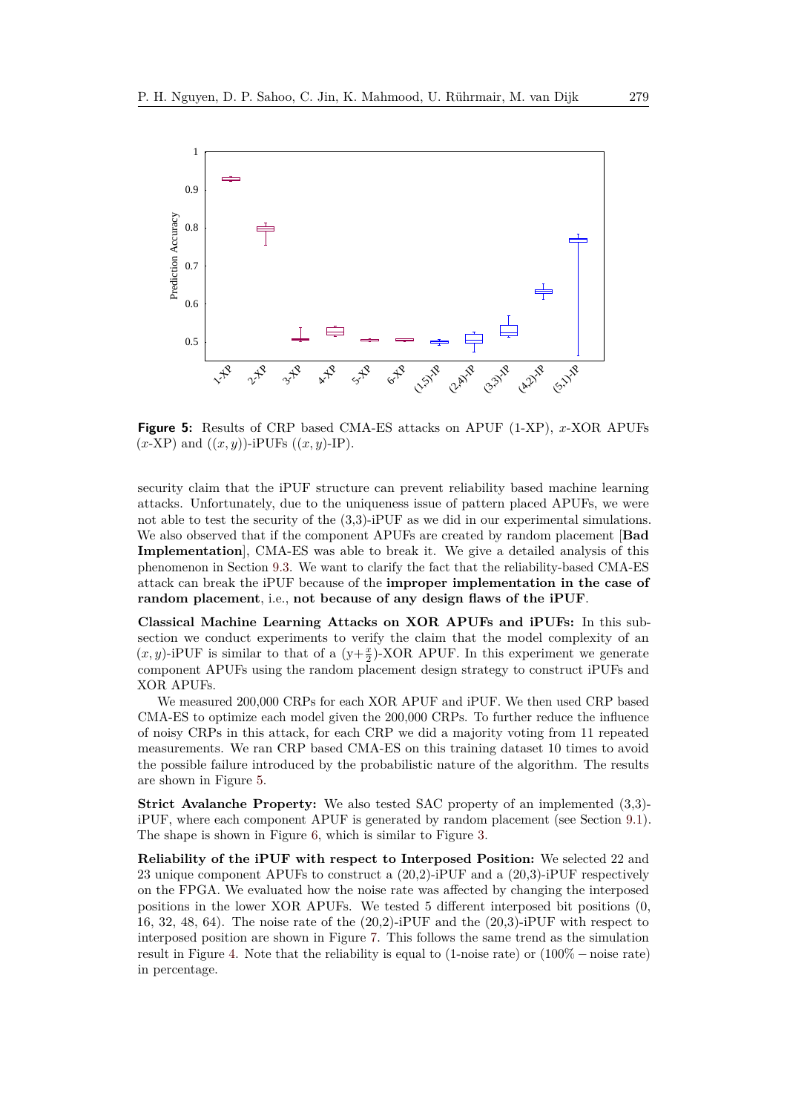<span id="page-36-0"></span>

**Figure 5:** Results of CRP based CMA-ES attacks on APUF (1-XP), *x*-XOR APUFs  $(x-XP)$  and  $((x, y))$ -iPUFs  $((x, y)$ -IP).

security claim that the iPUF structure can prevent reliability based machine learning attacks. Unfortunately, due to the uniqueness issue of pattern placed APUFs, we were not able to test the security of the  $(3,3)$ -iPUF as we did in our experimental simulations. We also observed that if the component APUFs are created by random placement [**Bad Implementation**], CMA-ES was able to break it. We give a detailed analysis of this phenomenon in Section [9.3.](#page-37-1) We want to clarify the fact that the reliability-based CMA-ES attack can break the iPUF because of the **improper implementation in the case of random placement**, i.e., **not because of any design flaws of the iPUF**.

**Classical Machine Learning Attacks on XOR APUFs and iPUFs:** In this subsection we conduct experiments to verify the claim that the model complexity of an  $(x, y)$ -iPUF is similar to that of a  $(y+\frac{x}{2})$ -XOR APUF. In this experiment we generate component APUFs using the random placement design strategy to construct iPUFs and XOR APUFs.

We measured 200,000 CRPs for each XOR APUF and iPUF. We then used CRP based CMA-ES to optimize each model given the 200,000 CRPs. To further reduce the influence of noisy CRPs in this attack, for each CRP we did a majority voting from 11 repeated measurements. We ran CRP based CMA-ES on this training dataset 10 times to avoid the possible failure introduced by the probabilistic nature of the algorithm. The results are shown in Figure [5.](#page-36-0)

**Strict Avalanche Property:** We also tested SAC property of an implemented (3,3) iPUF, where each component APUF is generated by random placement (see Section [9.1\)](#page-33-5). The shape is shown in Figure [6,](#page-37-0) which is similar to Figure [3.](#page-28-2)

**Reliability of the iPUF with respect to Interposed Position:** We selected 22 and 23 unique component APUFs to construct a (20,2)-iPUF and a (20,3)-iPUF respectively on the FPGA. We evaluated how the noise rate was affected by changing the interposed positions in the lower XOR APUFs. We tested 5 different interposed bit positions (0, 16, 32, 48, 64). The noise rate of the (20,2)-iPUF and the (20,3)-iPUF with respect to interposed position are shown in Figure [7.](#page-37-2) This follows the same trend as the simulation result in Figure [4.](#page-33-1) Note that the reliability is equal to (1-noise rate) or (100% − noise rate) in percentage.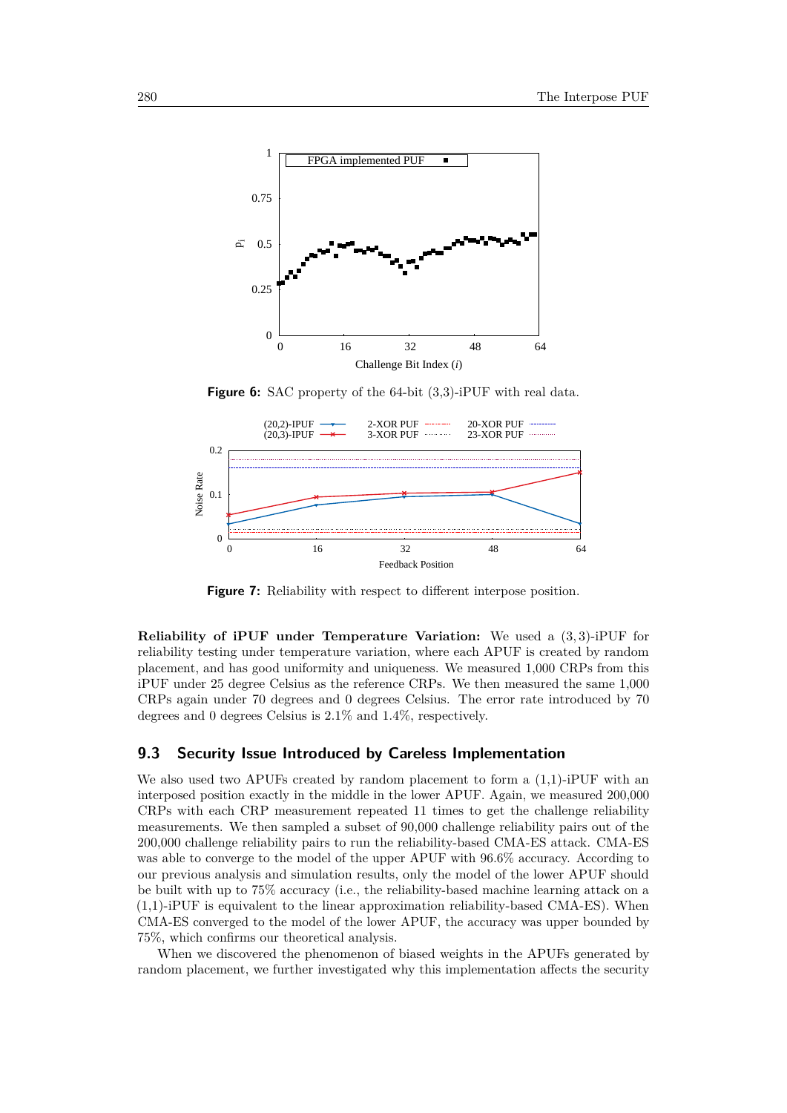<span id="page-37-0"></span>

**Figure 6:** SAC property of the 64-bit (3,3)-iPUF with real data.

<span id="page-37-2"></span>

**Figure 7:** Reliability with respect to different interpose position.

**Reliability of iPUF under Temperature Variation:** We used a (3*,* 3)-iPUF for reliability testing under temperature variation, where each APUF is created by random placement, and has good uniformity and uniqueness. We measured 1,000 CRPs from this iPUF under 25 degree Celsius as the reference CRPs. We then measured the same 1,000 CRPs again under 70 degrees and 0 degrees Celsius. The error rate introduced by 70 degrees and 0 degrees Celsius is 2.1% and 1.4%, respectively.

### <span id="page-37-1"></span>**9.3 Security Issue Introduced by Careless Implementation**

We also used two APUFs created by random placement to form a  $(1,1)$ -iPUF with an interposed position exactly in the middle in the lower APUF. Again, we measured 200,000 CRPs with each CRP measurement repeated 11 times to get the challenge reliability measurements. We then sampled a subset of 90,000 challenge reliability pairs out of the 200,000 challenge reliability pairs to run the reliability-based CMA-ES attack. CMA-ES was able to converge to the model of the upper APUF with 96.6% accuracy. According to our previous analysis and simulation results, only the model of the lower APUF should be built with up to 75% accuracy (i.e., the reliability-based machine learning attack on a (1,1)-iPUF is equivalent to the linear approximation reliability-based CMA-ES). When CMA-ES converged to the model of the lower APUF, the accuracy was upper bounded by 75%, which confirms our theoretical analysis.

When we discovered the phenomenon of biased weights in the APUFs generated by random placement, we further investigated why this implementation affects the security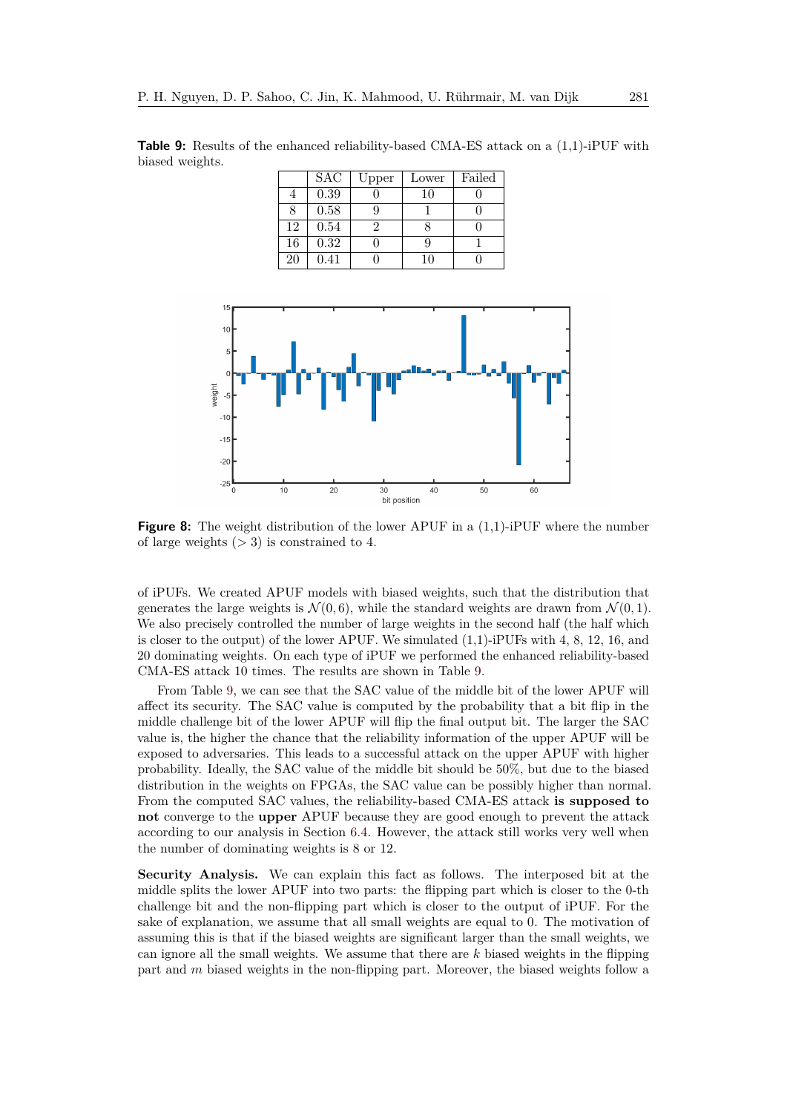<span id="page-38-0"></span>**Table 9:** Results of the enhanced reliability-based CMA-ES attack on a  $(1,1)$ -iPUF with biased weights.

|    | <b>SAC</b> | Upper | Lower | Failed |
|----|------------|-------|-------|--------|
|    | 0.39       |       | 10    |        |
|    | 0.58       |       |       |        |
| 12 | 0.54       |       |       |        |
| 16 | 0.32       |       |       |        |
| 20 | 0.41       |       |       |        |

<span id="page-38-1"></span>

**Figure 8:** The weight distribution of the lower APUF in a  $(1,1)$ -iPUF where the number of large weights (*>* 3) is constrained to 4.

of iPUFs. We created APUF models with biased weights, such that the distribution that generates the large weights is  $\mathcal{N}(0,6)$ , while the standard weights are drawn from  $\mathcal{N}(0,1)$ . We also precisely controlled the number of large weights in the second half (the half which is closer to the output) of the lower APUF. We simulated  $(1,1)$ -iPUFs with 4, 8, 12, 16, and 20 dominating weights. On each type of iPUF we performed the enhanced reliability-based CMA-ES attack 10 times. The results are shown in Table [9.](#page-38-0)

From Table [9,](#page-38-0) we can see that the SAC value of the middle bit of the lower APUF will affect its security. The SAC value is computed by the probability that a bit flip in the middle challenge bit of the lower APUF will flip the final output bit. The larger the SAC value is, the higher the chance that the reliability information of the upper APUF will be exposed to adversaries. This leads to a successful attack on the upper APUF with higher probability. Ideally, the SAC value of the middle bit should be 50%, but due to the biased distribution in the weights on FPGAs, the SAC value can be possibly higher than normal. From the computed SAC values, the reliability-based CMA-ES attack **is supposed to not** converge to the **upper** APUF because they are good enough to prevent the attack according to our analysis in Section [6.4.](#page-17-2) However, the attack still works very well when the number of dominating weights is 8 or 12.

**Security Analysis.** We can explain this fact as follows. The interposed bit at the middle splits the lower APUF into two parts: the flipping part which is closer to the 0-th challenge bit and the non-flipping part which is closer to the output of iPUF. For the sake of explanation, we assume that all small weights are equal to 0. The motivation of assuming this is that if the biased weights are significant larger than the small weights, we can ignore all the small weights. We assume that there are *k* biased weights in the flipping part and *m* biased weights in the non-flipping part. Moreover, the biased weights follow a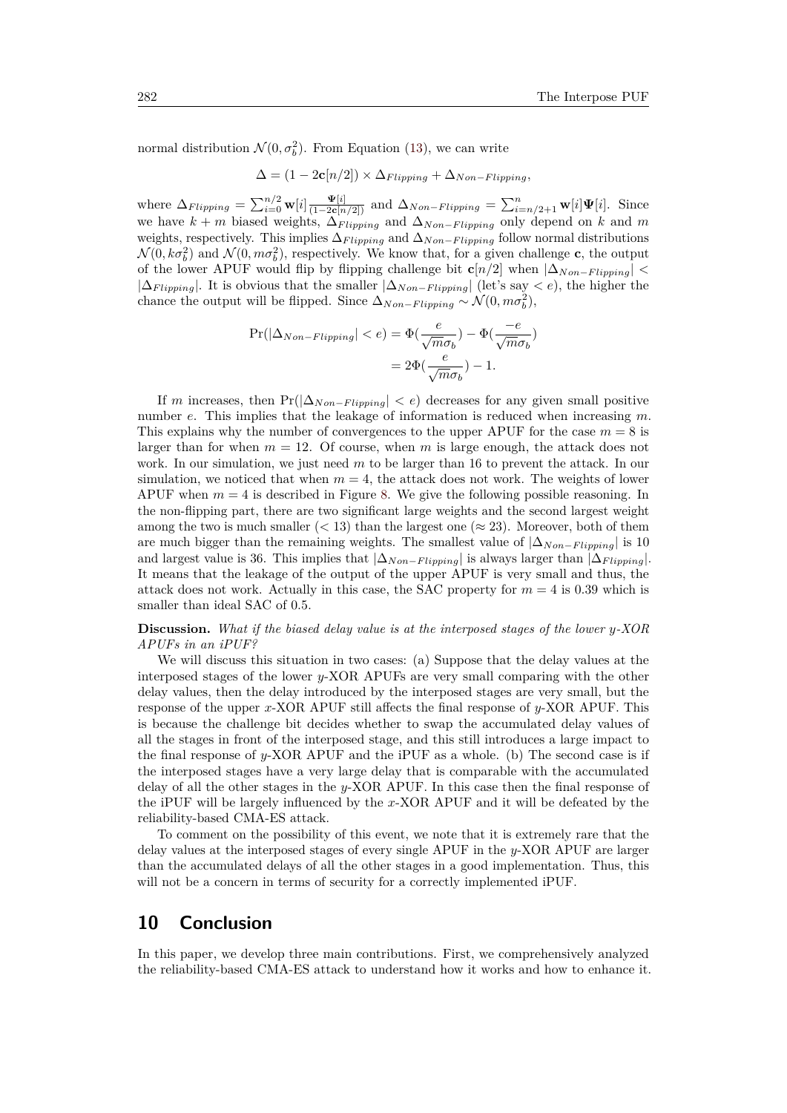normal distribution  $\mathcal{N}(0, \sigma_b^2)$ . From Equation [\(13\)](#page-15-3), we can write

 $\Delta = (1 - 2c[n/2]) \times \Delta_{Flipping} + \Delta_{Non-Flipping}$ 

where  $\Delta_{Flipping} = \sum_{i=0}^{n/2} \mathbf{w}[i] \frac{\mathbf{\Psi}[i]}{(1-2\mathbf{c}[n/2])}$  and  $\Delta_{Non-Flipping} = \sum_{i=n/2+1}^{n} \mathbf{w}[i] \mathbf{\Psi}[i]$ . Since we have  $k + m$  biased weights,  $\Delta_{Flipping}$  and  $\Delta_{Non-Flipping}$  only depend on  $k$  and  $m$ weights, respectively. This implies  $\Delta_{Flipping}$  and  $\Delta_{Non-Flipping}$  follow normal distributions  $\mathcal{N}(0, k\sigma_b^2)$  and  $\mathcal{N}(0, m\sigma_b^2)$ , respectively. We know that, for a given challenge **c**, the output of the lower APUF would flip by flipping challenge bit  $\mathbf{c}[n/2]$  when  $|\Delta_{Non-Flipping}| <$  $|\Delta_{Flipping}|$ . It is obvious that the smaller  $|\Delta_{Non-Flipping}|$  (let's say  $\langle e \rangle$ , the higher the chance the output will be flipped. Since  $\Delta_{Non-Flipping} \sim \mathcal{N}(0, m\sigma_b^2)$ ,

$$
\Pr(|\Delta_{Non-Flipping}| < e) = \Phi(\frac{e}{\sqrt{m\sigma_b}}) - \Phi(\frac{-e}{\sqrt{m\sigma_b}}) \\
= 2\Phi(\frac{e}{\sqrt{m\sigma_b}}) - 1.
$$

If *m* increases, then  $Pr(|\Delta_{Non-Flipping}| < e)$  decreases for any given small positive number *e*. This implies that the leakage of information is reduced when increasing *m*. This explains why the number of convergences to the upper APUF for the case  $m = 8$  is larger than for when  $m = 12$ . Of course, when  $m$  is large enough, the attack does not work. In our simulation, we just need *m* to be larger than 16 to prevent the attack. In our simulation, we noticed that when  $m = 4$ , the attack does not work. The weights of lower APUF when  $m = 4$  is described in Figure [8.](#page-38-1) We give the following possible reasoning. In the non-flipping part, there are two significant large weights and the second largest weight among the two is much smaller  $(< 13$ ) than the largest one  $(\approx 23)$ . Moreover, both of them are much bigger than the remaining weights. The smallest value of  $|\Delta_{Non-Flipping}|$  is 10 and largest value is 36. This implies that  $|\Delta_{Non-Flippinq}|$  is always larger than  $|\Delta_{Flippinq}|$ . It means that the leakage of the output of the upper APUF is very small and thus, the attack does not work. Actually in this case, the SAC property for  $m = 4$  is 0.39 which is smaller than ideal SAC of 0*.*5.

**Discussion.** *What if the biased delay value is at the interposed stages of the lower y-XOR APUFs in an iPUF?*

We will discuss this situation in two cases: (a) Suppose that the delay values at the interposed stages of the lower *y*-XOR APUFs are very small comparing with the other delay values, then the delay introduced by the interposed stages are very small, but the response of the upper *x*-XOR APUF still affects the final response of *y*-XOR APUF. This is because the challenge bit decides whether to swap the accumulated delay values of all the stages in front of the interposed stage, and this still introduces a large impact to the final response of *y*-XOR APUF and the iPUF as a whole. (b) The second case is if the interposed stages have a very large delay that is comparable with the accumulated delay of all the other stages in the *y*-XOR APUF. In this case then the final response of the iPUF will be largely influenced by the *x*-XOR APUF and it will be defeated by the reliability-based CMA-ES attack.

To comment on the possibility of this event, we note that it is extremely rare that the delay values at the interposed stages of every single APUF in the *y*-XOR APUF are larger than the accumulated delays of all the other stages in a good implementation. Thus, this will not be a concern in terms of security for a correctly implemented iPUF.

## <span id="page-39-0"></span>**10 Conclusion**

In this paper, we develop three main contributions. First, we comprehensively analyzed the reliability-based CMA-ES attack to understand how it works and how to enhance it.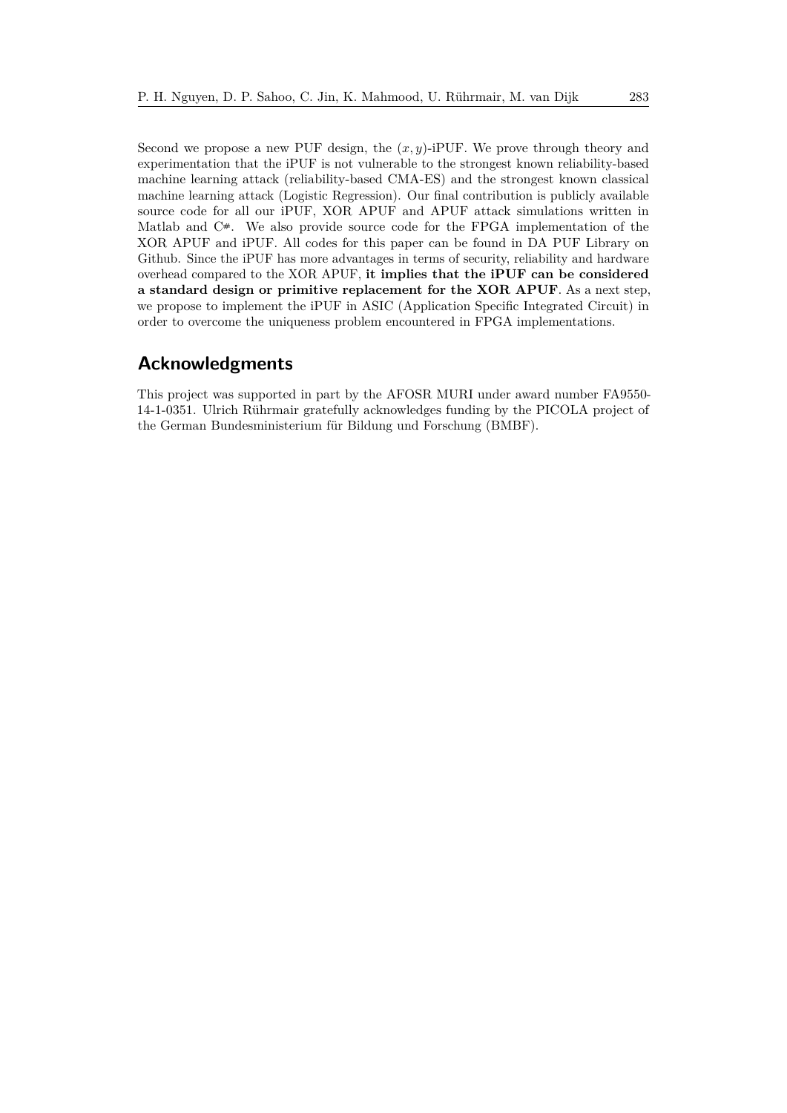Second we propose a new PUF design, the (*x, y*)-iPUF. We prove through theory and experimentation that the iPUF is not vulnerable to the strongest known reliability-based machine learning attack (reliability-based CMA-ES) and the strongest known classical machine learning attack (Logistic Regression). Our final contribution is publicly available source code for all our iPUF, XOR APUF and APUF attack simulations written in Matlab and  $C^*$ . We also provide source code for the FPGA implementation of the XOR APUF and iPUF. All codes for this paper can be found in DA PUF Library on Github. Since the iPUF has more advantages in terms of security, reliability and hardware overhead compared to the XOR APUF, **it implies that the iPUF can be considered a standard design or primitive replacement for the XOR APUF**. As a next step, we propose to implement the iPUF in ASIC (Application Specific Integrated Circuit) in order to overcome the uniqueness problem encountered in FPGA implementations.

## **Acknowledgments**

This project was supported in part by the AFOSR MURI under award number FA9550- 14-1-0351. Ulrich Rührmair gratefully acknowledges funding by the PICOLA project of the German Bundesministerium für Bildung und Forschung (BMBF).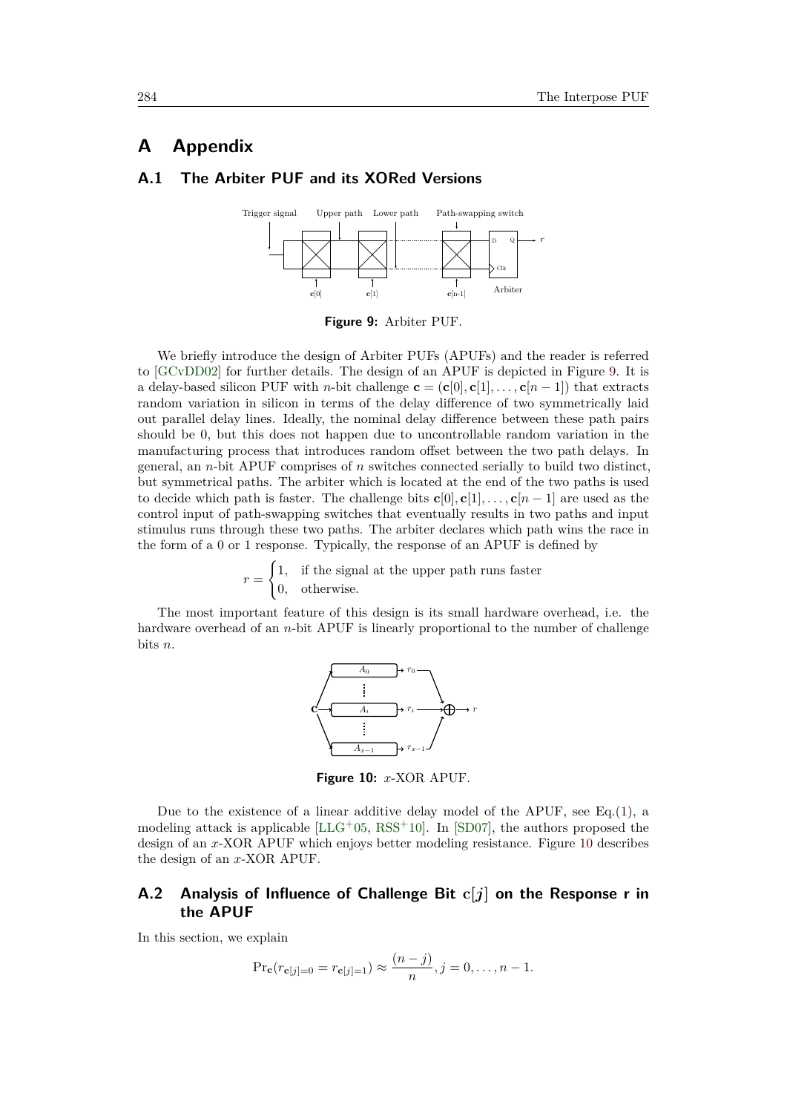## **A Appendix**

### <span id="page-41-2"></span><span id="page-41-0"></span>**A.1 The Arbiter PUF and its XORed Versions**



**Figure 9:** Arbiter PUF.

We briefly introduce the design of Arbiter PUFs (APUFs) and the reader is referred to [\[GCvDD02\]](#page-44-0) for further details. The design of an APUF is depicted in Figure [9.](#page-41-2) It is a delay-based silicon PUF with *n*-bit challenge  $\mathbf{c} = (\mathbf{c}[0], \mathbf{c}[1], \ldots, \mathbf{c}[n-1])$  that extracts random variation in silicon in terms of the delay difference of two symmetrically laid out parallel delay lines. Ideally, the nominal delay difference between these path pairs should be 0, but this does not happen due to uncontrollable random variation in the manufacturing process that introduces random offset between the two path delays. In general, an *n*-bit APUF comprises of *n* switches connected serially to build two distinct, but symmetrical paths. The arbiter which is located at the end of the two paths is used to decide which path is faster. The challenge bits  $\mathbf{c}[0], \mathbf{c}[1], \ldots, \mathbf{c}[n-1]$  are used as the control input of path-swapping switches that eventually results in two paths and input stimulus runs through these two paths. The arbiter declares which path wins the race in the form of a 0 or 1 response. Typically, the response of an APUF is defined by

> $r =$  $\int 1$ , if the signal at the upper path runs faster 0*,* otherwise*.*

<span id="page-41-3"></span>The most important feature of this design is its small hardware overhead, i.e. the hardware overhead of an *n*-bit APUF is linearly proportional to the number of challenge bits *n*.



**Figure 10:** *x*-XOR APUF.

Due to the existence of a linear additive delay model of the APUF, see Eq.  $(1)$ , a modeling attack is applicable  $[LLG+0.5, RSS+10]$  $[LLG+0.5, RSS+10]$  $[LLG+0.5, RSS+10]$  $[LLG+0.5, RSS+10]$ . In [\[SD07\]](#page-46-2), the authors proposed the design of an *x*-XOR APUF which enjoys better modeling resistance. Figure [10](#page-41-3) describes the design of an *x*-XOR APUF.

### <span id="page-41-1"></span>**A.2 Analysis of Influence of Challenge Bit c[***j***] on the Response r in the APUF**

In this section, we explain

$$
\Pr_{\mathbf{c}}(r_{\mathbf{c}[j]=0} = r_{\mathbf{c}[j]=1}) \approx \frac{(n-j)}{n}, j = 0, \dots, n-1.
$$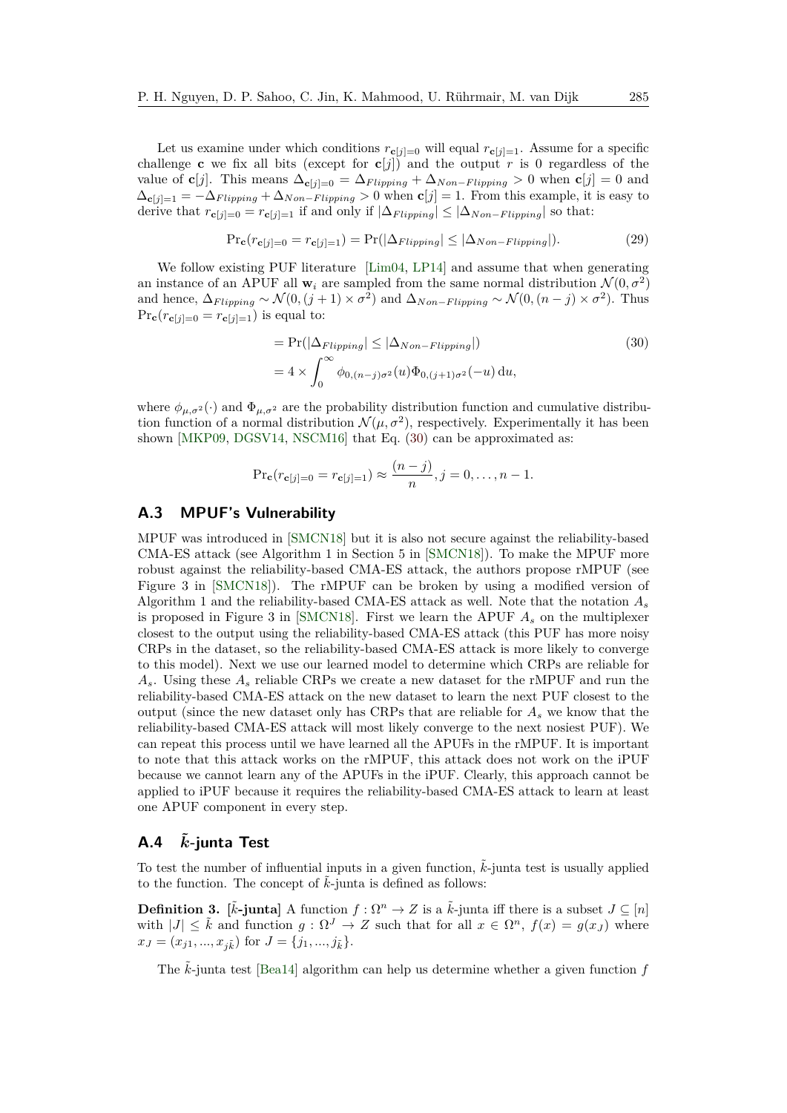Let us examine under which conditions  $r_{\mathbf{c}[j]=0}$  will equal  $r_{\mathbf{c}[j]=1}$ . Assume for a specific challenge **c** we fix all bits (except for  $c[j]$ ) and the output *r* is 0 regardless of the value of **c**[*j*]. This means  $\Delta_{\mathbf{c}[j]=0} = \Delta_{Flipping} + \Delta_{Non-Flipping} > 0$  when  $\mathbf{c}[j] = 0$  and  $\Delta_{\mathbf{c}[i]=1} = -\Delta_{Flipping} + \Delta_{Non-Flipping} > 0$  when  $\mathbf{c}[j] = 1$ . From this example, it is easy to derive that  $r_{\mathbf{c}[j]=0} = r_{\mathbf{c}[j]=1}$  if and only if  $|\Delta_{Flipping}| \leq |\Delta_{Non-Flipping}|$  so that:

$$
\Pr_{\mathbf{c}}(r_{\mathbf{c}[j]=0} = r_{\mathbf{c}[j]=1}) = \Pr(|\Delta_{Flipping}| \le |\Delta_{Non-Flipping}|). \tag{29}
$$

We follow existing PUF literature [\[Lim04,](#page-45-6) [LP14\]](#page-45-13) and assume that when generating an instance of an APUF all  $\mathbf{w}_i$  are sampled from the same normal distribution  $\mathcal{N}(0, \sigma^2)$ and hence,  $\Delta_{Flipping} \sim \mathcal{N}(0, (j+1) \times \sigma^2)$  and  $\Delta_{Non-Flipping} \sim \mathcal{N}(0, (n-j) \times \sigma^2)$ . Thus  $\Pr{\bf c}(r_{\bf c}[j]=0 = r_{\bf c}[j]=1)$  is equal to:

<span id="page-42-2"></span>
$$
= \Pr(|\Delta_{Flipping}| \le |\Delta_{Non-Flipping}|)
$$
\n
$$
= 4 \times \int_0^\infty \phi_{0,(n-j)\sigma^2}(u)\Phi_{0,(j+1)\sigma^2}(-u) du,
$$
\n(30)

where  $\phi_{\mu,\sigma^2}(\cdot)$  and  $\Phi_{\mu,\sigma^2}$  are the probability distribution function and cumulative distribution function of a normal distribution  $\mathcal{N}(\mu, \sigma^2)$ , respectively. Experimentally it has been shown [\[MKP09,](#page-45-8) [DGSV14,](#page-44-12) [NSCM16\]](#page-46-8) that Eq. [\(30\)](#page-42-2) can be approximated as:

$$
\Pr_{\mathbf{c}}(r_{\mathbf{c}[j]=0} = r_{\mathbf{c}[j]=1}) \approx \frac{(n-j)}{n}, j = 0, \dots, n-1.
$$

## <span id="page-42-0"></span>**A.3 MPUF's Vulnerability**

MPUF was introduced in [\[SMCN18\]](#page-47-2) but it is also not secure against the reliability-based CMA-ES attack (see Algorithm 1 in Section 5 in [\[SMCN18\]](#page-47-2)). To make the MPUF more robust against the reliability-based CMA-ES attack, the authors propose rMPUF (see Figure 3 in [\[SMCN18\]](#page-47-2)). The rMPUF can be broken by using a modified version of Algorithm 1 and the reliability-based CMA-ES attack as well. Note that the notation *A<sup>s</sup>* is proposed in Figure 3 in [\[SMCN18\]](#page-47-2). First we learn the APUF *A<sup>s</sup>* on the multiplexer closest to the output using the reliability-based CMA-ES attack (this PUF has more noisy CRPs in the dataset, so the reliability-based CMA-ES attack is more likely to converge to this model). Next we use our learned model to determine which CRPs are reliable for *As*. Using these *A<sup>s</sup>* reliable CRPs we create a new dataset for the rMPUF and run the reliability-based CMA-ES attack on the new dataset to learn the next PUF closest to the output (since the new dataset only has CRPs that are reliable for *A<sup>s</sup>* we know that the reliability-based CMA-ES attack will most likely converge to the next nosiest PUF). We can repeat this process until we have learned all the APUFs in the rMPUF. It is important to note that this attack works on the rMPUF, this attack does not work on the iPUF because we cannot learn any of the APUFs in the iPUF. Clearly, this approach cannot be applied to iPUF because it requires the reliability-based CMA-ES attack to learn at least one APUF component in every step.

### <span id="page-42-1"></span>**A.4** *k***˜-junta Test**

To test the number of influential inputs in a given function,  $\vec{k}$ -junta test is usually applied to the function. The concept of  $\tilde{k}$ -junta is defined as follows:

**Definition 3.**  $[\tilde{k}$ -junta] A function  $f : \Omega^n \to Z$  is a  $\tilde{k}$ -junta iff there is a subset  $J \subseteq [n]$ with  $|J| \leq \tilde{k}$  and function  $g : \Omega^J \to Z$  such that for all  $x \in \Omega^n$ ,  $f(x) = g(x_J)$  where  $x_J = (x_{j1}, ..., x_{j\tilde{k}})$  for  $J = \{j_1, ..., j_{\tilde{k}}\}.$ 

The *k*-junta test [\[Bea14\]](#page-44-13) algorithm can help us determine whether a given function f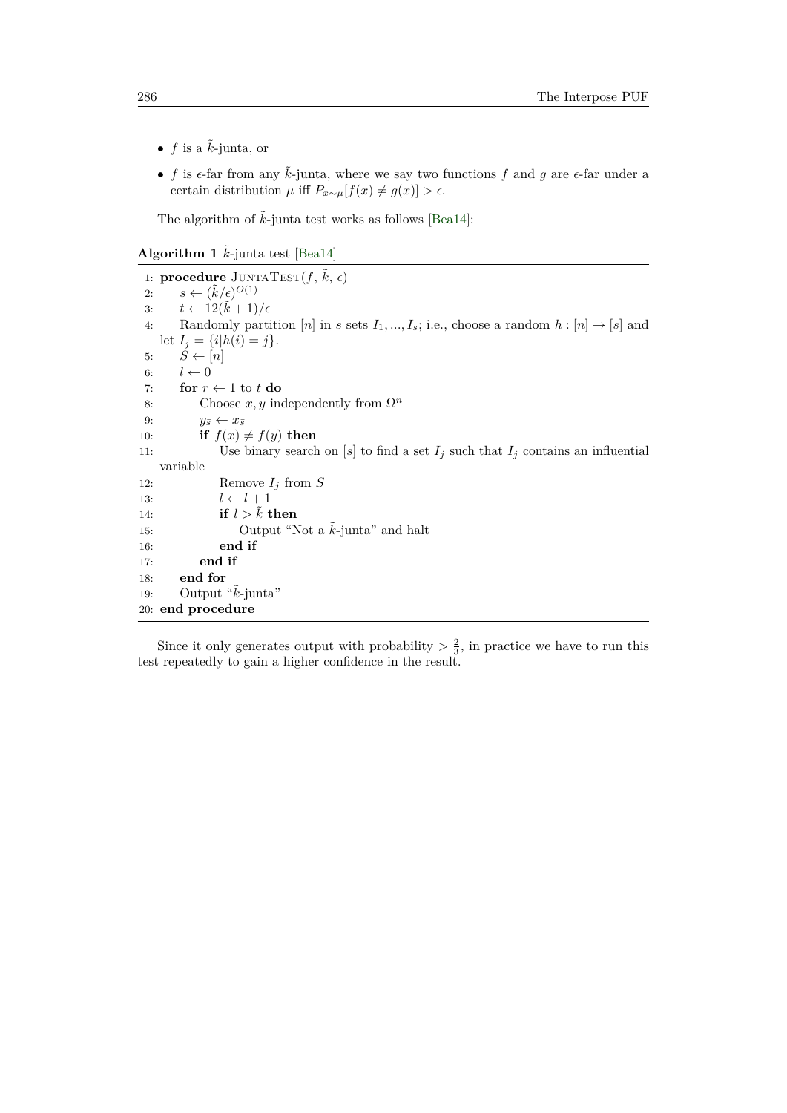- $f$  is a  $\tilde{k}$ -junta, or
- $f$  is  $\epsilon$ -far from any  $\tilde{k}$ -junta, where we say two functions  $f$  and  $g$  are  $\epsilon$ -far under a certain distribution  $\mu$  iff  $P_{x \sim \mu}[f(x) \neq g(x)] > \epsilon$ .

The algorithm of  $\tilde{k}$ -junta test works as follows [\[Bea14\]](#page-44-13):

**Algorithm 1**  $\tilde{k}$ -junta test [\[Bea14\]](#page-44-13)

1: **procedure**  $J\text{UNTATEST}(f, \tilde{k}, \epsilon)$ 2:  $s \leftarrow (\tilde{k}/\epsilon)^{O(1)}$ 3:  $t \leftarrow 12(\tilde{k} + 1)/\epsilon$ 4: Randomly partition  $[n]$  in *s* sets  $I_1, ..., I_s$ ; i.e., choose a random  $h : [n] \rightarrow [s]$  and let  $I_j = \{i | h(i) = j\}.$ 5:  $\tilde{S} \leftarrow [n]$ 6:  $l \leftarrow 0$ 7: **for**  $r \leftarrow 1$  to  $t$  **do** 8: Choose  $x, y$  independently from  $\Omega^n$ 9:  $y_{\bar{s}} \leftarrow x_{\bar{s}}$ 10: **if**  $f(x) \neq f(y)$  then 11: Use binary search on  $[s]$  to find a set  $I_j$  such that  $I_j$  contains an influential variable 12: Remove *I<sup>j</sup>* from *S* 13:  $l \leftarrow l + 1$ 14: **if**  $l > \tilde{k}$  **then** 15: Output "Not a  $\tilde{k}$ -junta" and halt 16: **end if** 17: **end if** 18: **end for** 19: Output " $\tilde{k}$ -junta" 20: **end procedure**

Since it only generates output with probability  $>\frac{2}{3}$ , in practice we have to run this test repeatedly to gain a higher confidence in the result.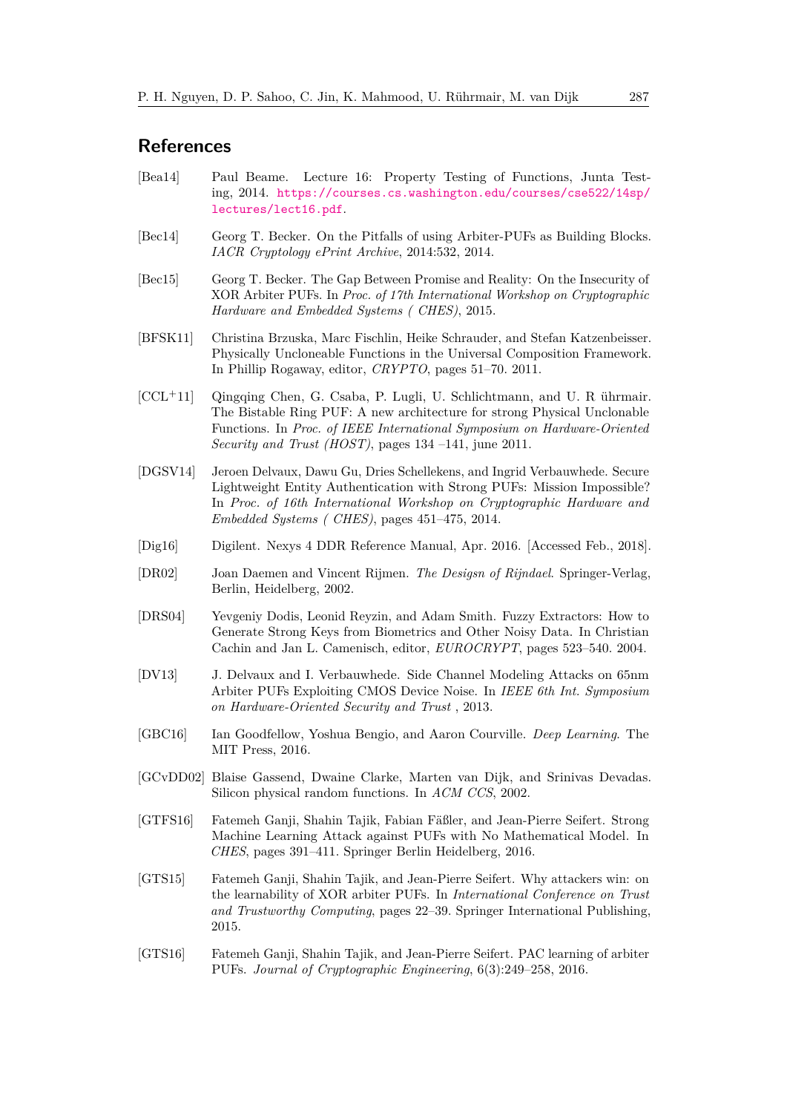## **References**

- <span id="page-44-13"></span>[Bea14] Paul Beame. Lecture 16: Property Testing of Functions, Junta Testing, 2014. [https://courses.cs.washington.edu/courses/cse522/14sp/](https://courses.cs.washington.edu/courses/cse522/14sp/lectures/lect16.pdf) [lectures/lect16.pdf](https://courses.cs.washington.edu/courses/cse522/14sp/lectures/lect16.pdf).
- <span id="page-44-10"></span>[Bec14] Georg T. Becker. On the Pitfalls of using Arbiter-PUFs as Building Blocks. *IACR Cryptology ePrint Archive*, 2014:532, 2014.
- <span id="page-44-4"></span>[Bec15] Georg T. Becker. The Gap Between Promise and Reality: On the Insecurity of XOR Arbiter PUFs. In *Proc. of 17th International Workshop on Cryptographic Hardware and Embedded Systems ( CHES)*, 2015.
- <span id="page-44-1"></span>[BFSK11] Christina Brzuska, Marc Fischlin, Heike Schrauder, and Stefan Katzenbeisser. Physically Uncloneable Functions in the Universal Composition Framework. In Phillip Rogaway, editor, *CRYPTO*, pages 51–70. 2011.
- <span id="page-44-2"></span>[CCL<sup>+</sup>11] Qingqing Chen, G. Csaba, P. Lugli, U. Schlichtmann, and U. R ührmair. The Bistable Ring PUF: A new architecture for strong Physical Unclonable Functions. In *Proc. of IEEE International Symposium on Hardware-Oriented Security and Trust (HOST)*, pages 134 –141, june 2011.
- <span id="page-44-12"></span>[DGSV14] Jeroen Delvaux, Dawu Gu, Dries Schellekens, and Ingrid Verbauwhede. Secure Lightweight Entity Authentication with Strong PUFs: Mission Impossible? In *Proc. of 16th International Workshop on Cryptographic Hardware and Embedded Systems ( CHES)*, pages 451–475, 2014.
- <span id="page-44-14"></span>[Dig16] Digilent. Nexys 4 DDR Reference Manual, Apr. 2016. [Accessed Feb., 2018].
- <span id="page-44-11"></span>[DR02] Joan Daemen and Vincent Rijmen. *The Desigsn of Rijndael*. Springer-Verlag, Berlin, Heidelberg, 2002.
- <span id="page-44-9"></span>[DRS04] Yevgeniy Dodis, Leonid Reyzin, and Adam Smith. Fuzzy Extractors: How to Generate Strong Keys from Biometrics and Other Noisy Data. In Christian Cachin and Jan L. Camenisch, editor, *EUROCRYPT*, pages 523–540. 2004.
- <span id="page-44-3"></span>[DV13] J. Delvaux and I. Verbauwhede. Side Channel Modeling Attacks on 65nm Arbiter PUFs Exploiting CMOS Device Noise. In *IEEE 6th Int. Symposium on Hardware-Oriented Security and Trust* , 2013.
- <span id="page-44-8"></span>[GBC16] Ian Goodfellow, Yoshua Bengio, and Aaron Courville. *Deep Learning*. The MIT Press, 2016.
- <span id="page-44-0"></span>[GCvDD02] Blaise Gassend, Dwaine Clarke, Marten van Dijk, and Srinivas Devadas. Silicon physical random functions. In *ACM CCS*, 2002.
- <span id="page-44-7"></span>[GTFS16] Fatemeh Ganji, Shahin Tajik, Fabian Fäßler, and Jean-Pierre Seifert. Strong Machine Learning Attack against PUFs with No Mathematical Model. In *CHES*, pages 391–411. Springer Berlin Heidelberg, 2016.
- <span id="page-44-5"></span>[GTS15] Fatemeh Ganji, Shahin Tajik, and Jean-Pierre Seifert. Why attackers win: on the learnability of XOR arbiter PUFs. In *International Conference on Trust and Trustworthy Computing*, pages 22–39. Springer International Publishing, 2015.
- <span id="page-44-6"></span>[GTS16] Fatemeh Ganji, Shahin Tajik, and Jean-Pierre Seifert. PAC learning of arbiter PUFs. *Journal of Cryptographic Engineering*, 6(3):249–258, 2016.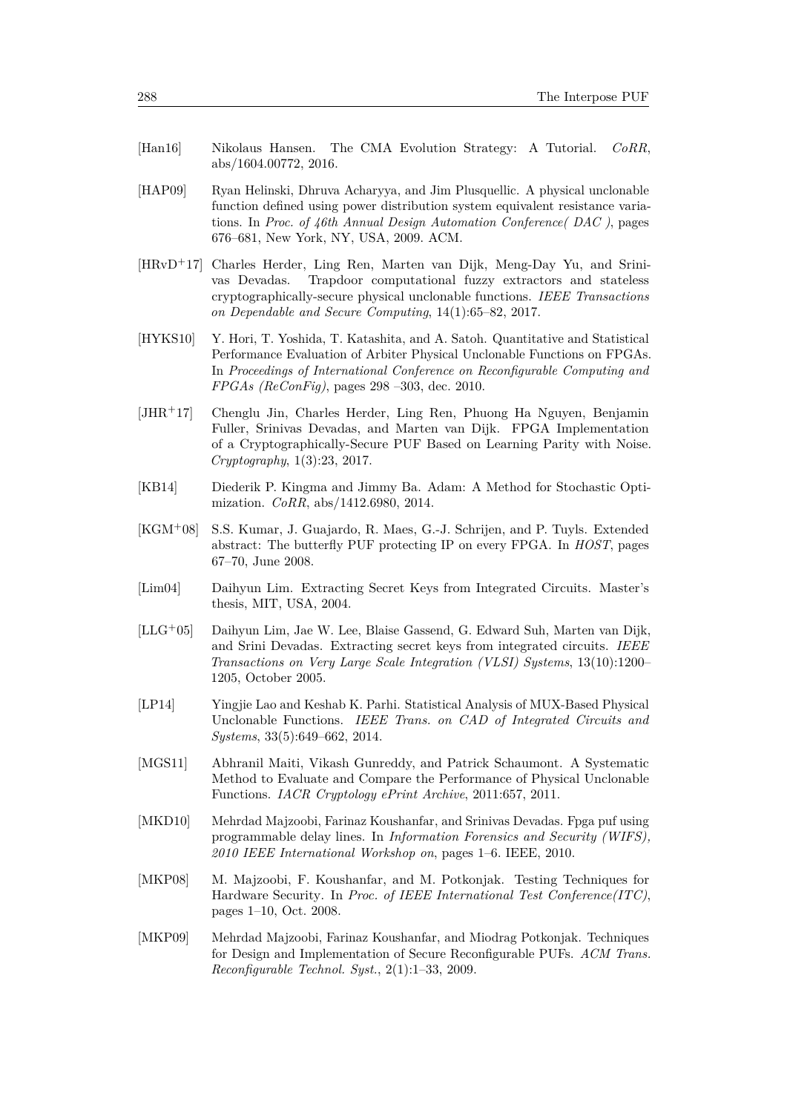- <span id="page-45-7"></span>[Han16] Nikolaus Hansen. The CMA Evolution Strategy: A Tutorial. *CoRR*, abs/1604.00772, 2016.
- <span id="page-45-1"></span>[HAP09] Ryan Helinski, Dhruva Acharyya, and Jim Plusquellic. A physical unclonable function defined using power distribution system equivalent resistance variations. In *Proc. of 46th Annual Design Automation Conference( DAC )*, pages 676–681, New York, NY, USA, 2009. ACM.
- <span id="page-45-4"></span>[HRvD<sup>+</sup>17] Charles Herder, Ling Ren, Marten van Dijk, Meng-Day Yu, and Srinivas Devadas. Trapdoor computational fuzzy extractors and stateless cryptographically-secure physical unclonable functions. *IEEE Transactions on Dependable and Secure Computing*, 14(1):65–82, 2017.
- <span id="page-45-11"></span>[HYKS10] Y. Hori, T. Yoshida, T. Katashita, and A. Satoh. Quantitative and Statistical Performance Evaluation of Arbiter Physical Unclonable Functions on FPGAs. In *Proceedings of International Conference on Reconfigurable Computing and FPGAs (ReConFig)*, pages 298 –303, dec. 2010.
- <span id="page-45-5"></span>[JHR<sup>+</sup>17] Chenglu Jin, Charles Herder, Ling Ren, Phuong Ha Nguyen, Benjamin Fuller, Srinivas Devadas, and Marten van Dijk. FPGA Implementation of a Cryptographically-Secure PUF Based on Learning Parity with Noise. *Cryptography*, 1(3):23, 2017.
- <span id="page-45-9"></span>[KB14] Diederik P. Kingma and Jimmy Ba. Adam: A Method for Stochastic Optimization. *CoRR*, abs/1412.6980, 2014.
- <span id="page-45-0"></span>[KGM<sup>+</sup>08] S.S. Kumar, J. Guajardo, R. Maes, G.-J. Schrijen, and P. Tuyls. Extended abstract: The butterfly PUF protecting IP on every FPGA. In *HOST*, pages 67–70, June 2008.
- <span id="page-45-6"></span>[Lim04] Daihyun Lim. Extracting Secret Keys from Integrated Circuits. Master's thesis, MIT, USA, 2004.
- <span id="page-45-2"></span>[LLG<sup>+</sup>05] Daihyun Lim, Jae W. Lee, Blaise Gassend, G. Edward Suh, Marten van Dijk, and Srini Devadas. Extracting secret keys from integrated circuits. *IEEE Transactions on Very Large Scale Integration (VLSI) Systems*, 13(10):1200– 1205, October 2005.
- <span id="page-45-13"></span>[LP14] Yingjie Lao and Keshab K. Parhi. Statistical Analysis of MUX-Based Physical Unclonable Functions. *IEEE Trans. on CAD of Integrated Circuits and Systems*, 33(5):649–662, 2014.
- <span id="page-45-10"></span>[MGS11] Abhranil Maiti, Vikash Gunreddy, and Patrick Schaumont. A Systematic Method to Evaluate and Compare the Performance of Physical Unclonable Functions. *IACR Cryptology ePrint Archive*, 2011:657, 2011.
- <span id="page-45-12"></span>[MKD10] Mehrdad Majzoobi, Farinaz Koushanfar, and Srinivas Devadas. Fpga puf using programmable delay lines. In *Information Forensics and Security (WIFS), 2010 IEEE International Workshop on*, pages 1–6. IEEE, 2010.
- <span id="page-45-3"></span>[MKP08] M. Majzoobi, F. Koushanfar, and M. Potkonjak. Testing Techniques for Hardware Security. In *Proc. of IEEE International Test Conference(ITC)*, pages 1–10, Oct. 2008.
- <span id="page-45-8"></span>[MKP09] Mehrdad Majzoobi, Farinaz Koushanfar, and Miodrag Potkonjak. Techniques for Design and Implementation of Secure Reconfigurable PUFs. *ACM Trans. Reconfigurable Technol. Syst.*, 2(1):1–33, 2009.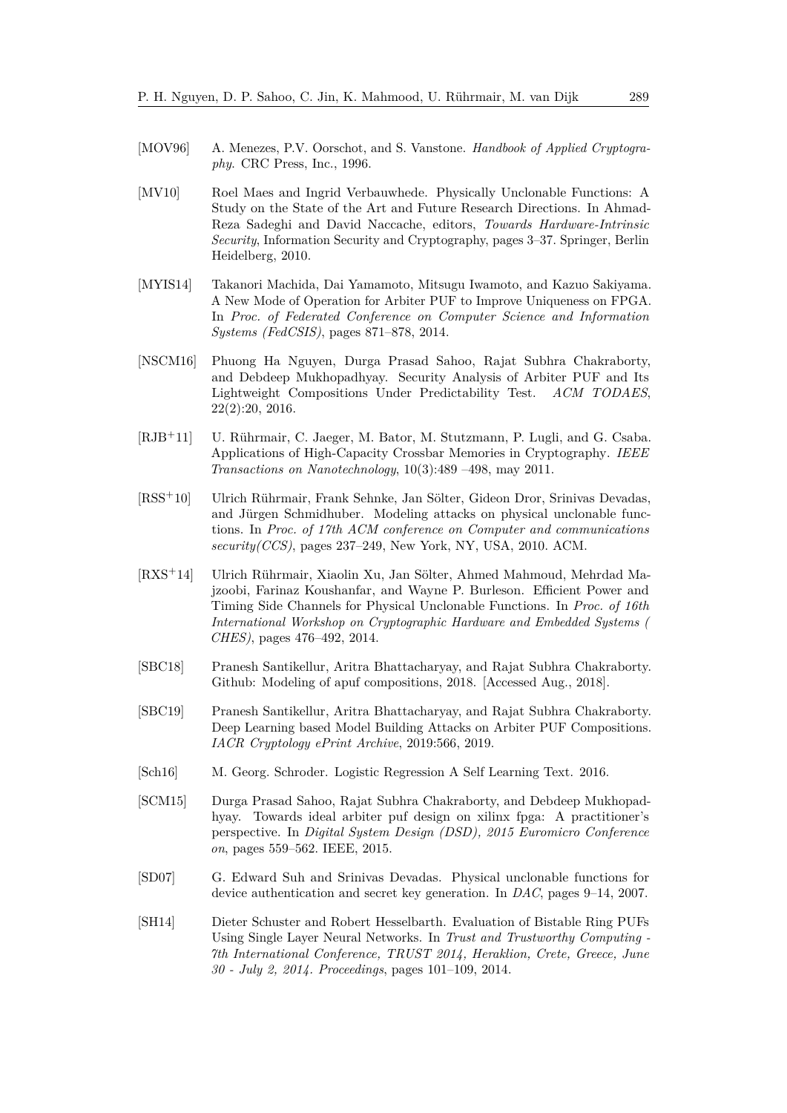- <span id="page-46-7"></span>[MOV96] A. Menezes, P.V. Oorschot, and S. Vanstone. *Handbook of Applied Cryptography*. CRC Press, Inc., 1996.
- <span id="page-46-0"></span>[MV10] Roel Maes and Ingrid Verbauwhede. Physically Unclonable Functions: A Study on the State of the Art and Future Research Directions. In Ahmad-Reza Sadeghi and David Naccache, editors, *Towards Hardware-Intrinsic Security*, Information Security and Cryptography, pages 3–37. Springer, Berlin Heidelberg, 2010.
- <span id="page-46-11"></span>[MYIS14] Takanori Machida, Dai Yamamoto, Mitsugu Iwamoto, and Kazuo Sakiyama. A New Mode of Operation for Arbiter PUF to Improve Uniqueness on FPGA. In *Proc. of Federated Conference on Computer Science and Information Systems (FedCSIS)*, pages 871–878, 2014.
- <span id="page-46-8"></span>[NSCM16] Phuong Ha Nguyen, Durga Prasad Sahoo, Rajat Subhra Chakraborty, and Debdeep Mukhopadhyay. Security Analysis of Arbiter PUF and Its Lightweight Compositions Under Predictability Test. *ACM TODAES*, 22(2):20, 2016.
- <span id="page-46-1"></span>[RJB<sup>+</sup>11] U. Rührmair, C. Jaeger, M. Bator, M. Stutzmann, P. Lugli, and G. Csaba. Applications of High-Capacity Crossbar Memories in Cryptography. *IEEE Transactions on Nanotechnology*, 10(3):489 –498, may 2011.
- <span id="page-46-3"></span>[RSS<sup>+</sup>10] Ulrich Rührmair, Frank Sehnke, Jan Sölter, Gideon Dror, Srinivas Devadas, and Jürgen Schmidhuber. Modeling attacks on physical unclonable functions. In *Proc. of 17th ACM conference on Computer and communications security(CCS)*, pages 237–249, New York, NY, USA, 2010. ACM.
- <span id="page-46-5"></span>[RXS<sup>+</sup>14] Ulrich Rührmair, Xiaolin Xu, Jan Sölter, Ahmed Mahmoud, Mehrdad Majzoobi, Farinaz Koushanfar, and Wayne P. Burleson. Efficient Power and Timing Side Channels for Physical Unclonable Functions. In *Proc. of 16th International Workshop on Cryptographic Hardware and Embedded Systems ( CHES)*, pages 476–492, 2014.
- <span id="page-46-10"></span>[SBC18] Pranesh Santikellur, Aritra Bhattacharyay, and Rajat Subhra Chakraborty. Github: Modeling of apuf compositions, 2018. [Accessed Aug., 2018].
- <span id="page-46-9"></span>[SBC19] Pranesh Santikellur, Aritra Bhattacharyay, and Rajat Subhra Chakraborty. Deep Learning based Model Building Attacks on Arbiter PUF Compositions. *IACR Cryptology ePrint Archive*, 2019:566, 2019.
- <span id="page-46-6"></span>[Sch16] M. Georg. Schroder. Logistic Regression A Self Learning Text. 2016.
- <span id="page-46-12"></span>[SCM15] Durga Prasad Sahoo, Rajat Subhra Chakraborty, and Debdeep Mukhopadhyay. Towards ideal arbiter puf design on xilinx fpga: A practitioner's perspective. In *Digital System Design (DSD), 2015 Euromicro Conference on*, pages 559–562. IEEE, 2015.
- <span id="page-46-2"></span>[SD07] G. Edward Suh and Srinivas Devadas. Physical unclonable functions for device authentication and secret key generation. In *DAC*, pages 9–14, 2007.
- <span id="page-46-4"></span>[SH14] Dieter Schuster and Robert Hesselbarth. Evaluation of Bistable Ring PUFs Using Single Layer Neural Networks. In *Trust and Trustworthy Computing - 7th International Conference, TRUST 2014, Heraklion, Crete, Greece, June 30 - July 2, 2014. Proceedings*, pages 101–109, 2014.